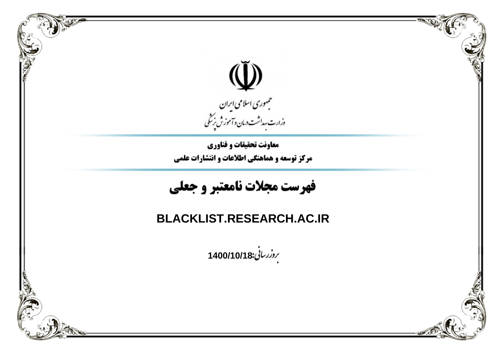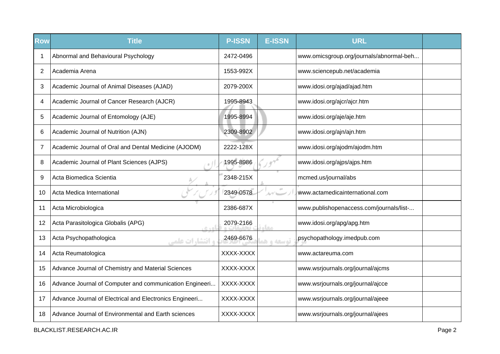| <b>Row</b>     | <b>Title</b>                                            | <b>P-ISSN</b> | <b>E-ISSN</b>  | <b>URL</b>                               |  |
|----------------|---------------------------------------------------------|---------------|----------------|------------------------------------------|--|
| 1              | Abnormal and Behavioural Psychology                     | 2472-0496     |                | www.omicsgroup.org/journals/abnormal-beh |  |
| $\overline{2}$ | Academia Arena                                          | 1553-992X     |                | www.sciencepub.net/academia              |  |
| 3              | Academic Journal of Animal Diseases (AJAD)              | 2079-200X     |                | www.idosi.org/ajad/ajad.htm              |  |
| 4              | Academic Journal of Cancer Research (AJCR)              | 1995-8943     |                | www.idosi.org/ajcr/ajcr.htm              |  |
| 5              | Academic Journal of Entomology (AJE)                    | 1995-8994     |                | www.idosi.org/aje/aje.htm                |  |
| 6              | Academic Journal of Nutrition (AJN)                     | 2309-8902     |                | www.idosi.org/ajn/ajn.htm                |  |
| 7              | Academic Journal of Oral and Dental Medicine (AJODM)    | 2222-128X     |                | www.idosi.org/ajodm/ajodm.htm            |  |
| 8              | Academic Journal of Plant Sciences (AJPS)               | 1995-8986     |                | www.idosi.org/ajps/ajps.htm              |  |
| 9              | Acta Biomedica Scientia                                 | 2348-215X     |                | mcmed.us/journal/abs                     |  |
| 10             | Acta Medica International                               | 2349-0578     | $\sigma^{\pm}$ | www.actamedicainternational.com          |  |
| 11             | Acta Microbiologica                                     | 2386-687X     |                | www.publishopenaccess.com/journals/list- |  |
| 12             | Acta Parasitologica Globalis (APG)<br>$C + D$           | 2079-2166     | <b>Linux</b>   | www.idosi.org/apg/apg.htm                |  |
| 13             | Acta Psychopathologica<br><b>و انتشارات علمی</b>        | 2469-6676     | توسعه و ه      | psychopathology.imedpub.com              |  |
| 14             | Acta Reumatologica                                      | XXXX-XXXX     |                | www.actareuma.com                        |  |
| 15             | Advance Journal of Chemistry and Material Sciences      | XXXX-XXXX     |                | www.wsrjournals.org/journal/ajcms        |  |
| 16             | Advance Journal of Computer and communication Engineeri | XXXX-XXXX     |                | www.wsrjournals.org/journal/ajcce        |  |
| 17             | Advance Journal of Electrical and Electronics Engineeri | XXXX-XXXX     |                | www.wsrjournals.org/journal/ajeee        |  |
| 18             | Advance Journal of Environmental and Earth sciences     | XXXX-XXXX     |                | www.wsrjournals.org/journal/ajees        |  |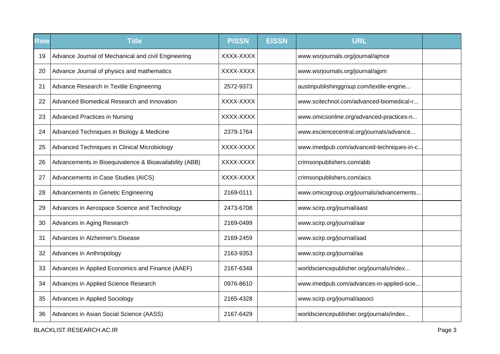| <b>Row</b> | <b>Title</b>                                           | <b>PISSN</b> | <b>EISSN</b> | <b>URL</b>                               |  |
|------------|--------------------------------------------------------|--------------|--------------|------------------------------------------|--|
| 19         | Advance Journal of Mechanical and civil Engineering    | XXXX-XXXX    |              | www.wsrjournals.org/journal/ajmce        |  |
| 20         | Advance Journal of physics and mathematics             | XXXX-XXXX    |              | www.wsrjournals.org/journal/ajpm         |  |
| 21         | Advance Research in Textile Engineering                | 2572-9373    |              | austinpublishinggroup.com/textile-engine |  |
| 22         | Advanced Biomedical Research and Innovation            | XXXX-XXXX    |              | www.scitechnol.com/advanced-biomedical-r |  |
| 23         | <b>Advanced Practices in Nursing</b>                   | XXXX-XXXX    |              | www.omicsonline.org/advanced-practices-n |  |
| 24         | Advanced Techniques in Biology & Medicine              | 2379-1764    |              | www.esciencecentral.org/journals/advance |  |
| 25         | Advanced Techniques in Clinical Microbiology           | XXXX-XXXX    |              | www.imedpub.com/advanced-techniques-in-c |  |
| 26         | Advancements in Bioequivalence & Bioavailability (ABB) | XXXX-XXXX    |              | crimsonpublishers.com/abb                |  |
| 27         | Advancements in Case Studies (AICS)                    | XXXX-XXXX    |              | crimsonpublishers.com/aics               |  |
| 28         | Advancements in Genetic Engineering                    | 2169-0111    |              | www.omicsgroup.org/journals/advancements |  |
| 29         | Advances in Aerospace Science and Technology           | 2473-6708    |              | www.scirp.org/journal/aast               |  |
| 30         | Advances in Aging Research                             | 2169-0499    |              | www.scirp.org/journal/aar                |  |
| 31         | Advances in Alzheimer's Disease                        | 2169-2459    |              | www.scirp.org/journal/aad                |  |
| 32         | Advances in Anthropology                               | 2163-9353    |              | www.scirp.org/journal/aa                 |  |
| 33         | Advances in Applied Economics and Finance (AAEF)       | 2167-6348    |              | worldsciencepublisher.org/journals/index |  |
| 34         | Advances in Applied Science Research                   | 0976-8610    |              | www.imedpub.com/advances-in-applied-scie |  |
| 35         | Advances in Applied Sociology                          | 2165-4328    |              | www.scirp.org/journal/aasoci             |  |
| 36         | Advances in Asian Social Science (AASS)                | 2167-6429    |              | worldsciencepublisher.org/journals/index |  |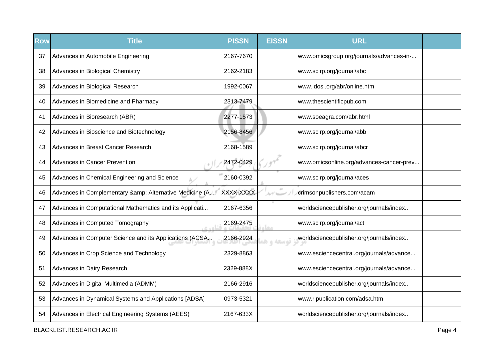| <b>Row</b> | <b>Title</b>                                            | <b>PISSN</b> | <b>EISSN</b> | <b>URL</b>                               |  |
|------------|---------------------------------------------------------|--------------|--------------|------------------------------------------|--|
| 37         | Advances in Automobile Engineering                      | 2167-7670    |              | www.omicsgroup.org/journals/advances-in- |  |
| 38         | Advances in Biological Chemistry                        | 2162-2183    |              | www.scirp.org/journal/abc                |  |
| 39         | Advances in Biological Research                         | 1992-0067    |              | www.idosi.org/abr/online.htm             |  |
| 40         | Advances in Biomedicine and Pharmacy                    | 2313-7479    |              | www.thescientificpub.com                 |  |
| 41         | Advances in Bioresearch (ABR)                           | 2277-1573    |              | www.soeagra.com/abr.html                 |  |
| 42         | Advances in Bioscience and Biotechnology                | 2156-8456    |              | www.scirp.org/journal/abb                |  |
| 43         | Advances in Breast Cancer Research                      | 2168-1589    |              | www.scirp.org/journal/abcr               |  |
| 44         | <b>Advances in Cancer Prevention</b>                    | 2472-0429    |              | www.omicsonline.org/advances-cancer-prev |  |
| 45         | Advances in Chemical Engineering and Science            | 2160-0392    |              | www.scirp.org/journal/aces               |  |
| 46         | Advances in Complementary & Alternative Medicine (A     | XXXX-XXXX    | $\alpha$     | crimsonpublishers.com/acam               |  |
| 47         | Advances in Computational Mathematics and its Applicati | 2167-6356    |              | worldsciencepublisher.org/journals/index |  |
| 48         | Advances in Computed Tomography<br>تامدہ                | 2169-2475    | معاه         | www.scirp.org/journal/act                |  |
| 49         | Advances in Computer Science and its Applications (ACSA | 2166-2924    | توسعه و هم   | worldsciencepublisher.org/journals/index |  |
| 50         | Advances in Crop Science and Technology                 | 2329-8863    |              | www.esciencecentral.org/journals/advance |  |
| 51         | Advances in Dairy Research                              | 2329-888X    |              | www.esciencecentral.org/journals/advance |  |
| 52         | Advances in Digital Multimedia (ADMM)                   | 2166-2916    |              | worldsciencepublisher.org/journals/index |  |
| 53         | Advances in Dynamical Systems and Applications [ADSA]   | 0973-5321    |              | www.ripublication.com/adsa.htm           |  |
| 54         | Advances in Electrical Engineering Systems (AEES)       | 2167-633X    |              | worldsciencepublisher.org/journals/index |  |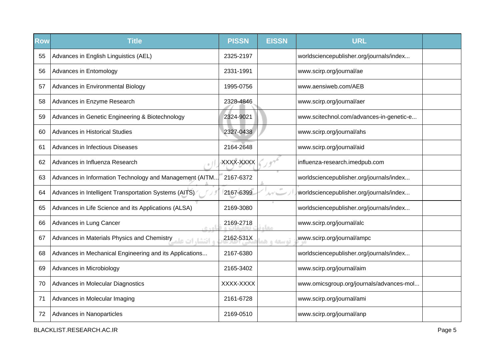| <b>Row</b> | <b>Title</b>                                                   | <b>PISSN</b> | <b>EISSN</b> | <b>URL</b>                               |  |
|------------|----------------------------------------------------------------|--------------|--------------|------------------------------------------|--|
| 55         | Advances in English Linguistics (AEL)                          | 2325-2197    |              | worldsciencepublisher.org/journals/index |  |
| 56         | Advances in Entomology                                         | 2331-1991    |              | www.scirp.org/journal/ae                 |  |
| 57         | Advances in Environmental Biology                              | 1995-0756    |              | www.aensiweb.com/AEB                     |  |
| 58         | Advances in Enzyme Research                                    | 2328-4846    |              | www.scirp.org/journal/aer                |  |
| 59         | Advances in Genetic Engineering & Biotechnology                | 2324-9021    |              | www.scitechnol.com/advances-in-genetic-e |  |
| 60         | Advances in Historical Studies                                 | 2327-0438    |              | www.scirp.org/journal/ahs                |  |
| 61         | <b>Advances in Infectious Diseases</b>                         | 2164-2648    |              | www.scirp.org/journal/aid                |  |
| 62         | Advances in Influenza Research                                 | XXXX-XXXX    |              | influenza-research.imedpub.com           |  |
| 63         | Advances in Information Technology and Management (AITM        | 2167-6372    |              | worldsciencepublisher.org/journals/index |  |
| 64         | Advances in Intelligent Transportation Systems (AITS)          | 2167-6399    | ルゲーー         | worldsciencepublisher.org/journals/index |  |
| 65         | Advances in Life Science and its Applications (ALSA)           | 2169-3080    |              | worldsciencepublisher.org/journals/index |  |
| 66         | Advances in Lung Cancer<br>$R + \Delta$                        | 2169-2718    | معا          | www.scirp.org/journal/alc                |  |
| 67         | Advances in Materials Physics and Chemistry<br>ه انتشا، ات علم | 2162-531X    | توسعه و هد   | www.scirp.org/journal/ampc               |  |
| 68         | Advances in Mechanical Engineering and its Applications        | 2167-6380    |              | worldsciencepublisher.org/journals/index |  |
| 69         | Advances in Microbiology                                       | 2165-3402    |              | www.scirp.org/journal/aim                |  |
| 70         | Advances in Molecular Diagnostics                              | XXXX-XXXX    |              | www.omicsgroup.org/journals/advances-mol |  |
| 71         | Advances in Molecular Imaging                                  | 2161-6728    |              | www.scirp.org/journal/ami                |  |
| 72         | Advances in Nanoparticles                                      | 2169-0510    |              | www.scirp.org/journal/anp                |  |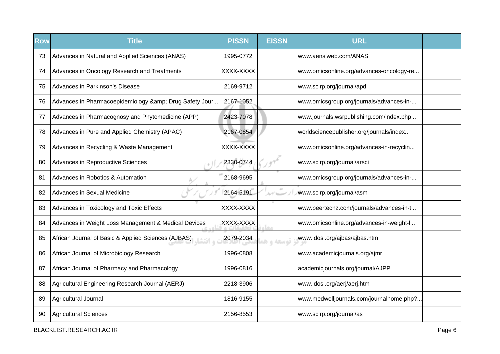| <b>Row</b> | <b>Title</b>                                         | <b>PISSN</b> | <b>EISSN</b> | <b>URL</b>                               |  |
|------------|------------------------------------------------------|--------------|--------------|------------------------------------------|--|
| 73         | Advances in Natural and Applied Sciences (ANAS)      | 1995-0772    |              | www.aensiweb.com/ANAS                    |  |
| 74         | Advances in Oncology Research and Treatments         | XXXX-XXXX    |              | www.omicsonline.org/advances-oncology-re |  |
| 75         | Advances in Parkinson's Disease                      | 2169-9712    |              | www.scirp.org/journal/apd                |  |
| 76         | Advances in Pharmacoepidemiology & Drug Safety Jour  | 2167-1052    |              | www.omicsgroup.org/journals/advances-in- |  |
| 77         | Advances in Pharmacognosy and Phytomedicine (APP)    | 2423-7078    |              | www.journals.wsrpublishing.com/index.php |  |
| 78         | Advances in Pure and Applied Chemistry (APAC)        | 2167-0854    |              | worldsciencepublisher.org/journals/index |  |
| 79         | Advances in Recycling & Waste Management             | XXXX-XXXX    |              | www.omicsonline.org/advances-in-recyclin |  |
| 80         | Advances in Reproductive Sciences                    | 2330-0744    |              | www.scirp.org/journal/arsci              |  |
| 81         | Advances in Robotics & Automation                    | 2168-9695    |              | www.omicsgroup.org/journals/advances-in- |  |
| 82         | Advances in Sexual Medicine                          | 2164-5191    |              | www.scirp.org/journal/asm                |  |
| 83         | Advances in Toxicology and Toxic Effects             | XXXX-XXXX    |              | www.peertechz.com/journals/advances-in-t |  |
| 84         | Advances in Weight Loss Management & Medical Devices | XXXX-XXXX    | <b>SLO</b>   | www.omicsonline.org/advances-in-weight-l |  |
| 85         | African Journal of Basic & Applied Sciences (AJBAS)  | 2079-2034    | توسعه و ه    | www.idosi.org/ajbas/ajbas.htm            |  |
| 86         | African Journal of Microbiology Research             | 1996-0808    |              | www.academicjournals.org/ajmr            |  |
| 87         | African Journal of Pharmacy and Pharmacology         | 1996-0816    |              | academicjournals.org/journal/AJPP        |  |
| 88         | Agricultural Engineering Research Journal (AERJ)     | 2218-3906    |              | www.idosi.org/aerj/aerj.htm              |  |
| 89         | Agricultural Journal                                 | 1816-9155    |              | www.medwelljournals.com/journalhome.php? |  |
| 90         | <b>Agricultural Sciences</b>                         | 2156-8553    |              | www.scirp.org/journal/as                 |  |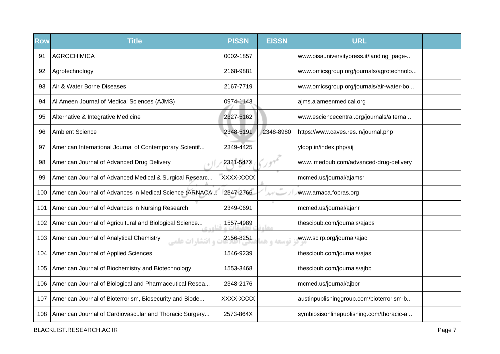| <b>Row</b> | <b>Title</b>                                                      | <b>PISSN</b> | <b>EISSN</b> | <b>URL</b>                               |  |
|------------|-------------------------------------------------------------------|--------------|--------------|------------------------------------------|--|
| 91         | <b>AGROCHIMICA</b>                                                | 0002-1857    |              | www.pisauniversitypress.it/landing_page- |  |
| 92         | Agrotechnology                                                    | 2168-9881    |              | www.omicsgroup.org/journals/agrotechnolo |  |
| 93         | Air & Water Borne Diseases                                        | 2167-7719    |              | www.omicsgroup.org/journals/air-water-bo |  |
| 94         | Al Ameen Journal of Medical Sciences (AJMS)                       | 0974-1143    |              | ajms.alameenmedical.org                  |  |
| 95         | Alternative & Integrative Medicine                                | 2327-5162    |              | www.esciencecentral.org/journals/alterna |  |
| 96         | <b>Ambient Science</b>                                            | 2348-5191    | 2348-8980    | https://www.caves.res.in/journal.php     |  |
| 97         | American International Journal of Contemporary Scientif           | 2349-4425    |              | yloop.in/index.php/aij                   |  |
| 98         | American Journal of Advanced Drug Delivery                        | 2321-547X    |              | www.imedpub.com/advanced-drug-delivery   |  |
| 99         | American Journal of Advanced Medical & Surgical Researc           | XXXX-XXXX    |              | mcmed.us/journal/ajamsr                  |  |
| 100        | American Journal of Advances in Medical Science (ARNACA           | 2347-2766    |              | www.arnaca.fopras.org                    |  |
| 101        | American Journal of Advances in Nursing Research                  | 2349-0691    |              | mcmed.us/journal/ajanr                   |  |
| 102        | American Journal of Agricultural and Biological Science           | 1557-4989    | معاء         | thescipub.com/journals/ajabs             |  |
| 103        | American Journal of Analytical Chemistry<br><b>و انتشارات علم</b> | 2156-8251    | توسعه و ه    | www.scirp.org/journal/ajac               |  |
| 104        | American Journal of Applied Sciences                              | 1546-9239    |              | thescipub.com/journals/ajas              |  |
| 105        | American Journal of Biochemistry and Biotechnology                | 1553-3468    |              | thescipub.com/journals/ajbb              |  |
| 106        | American Journal of Biological and Pharmaceutical Resea           | 2348-2176    |              | mcmed.us/journal/ajbpr                   |  |
| 107        | American Journal of Bioterrorism, Biosecurity and Biode           | XXXX-XXXX    |              | austinpublishinggroup.com/bioterrorism-b |  |
| 108        | American Journal of Cardiovascular and Thoracic Surgery           | 2573-864X    |              | symbiosisonlinepublishing.com/thoracic-a |  |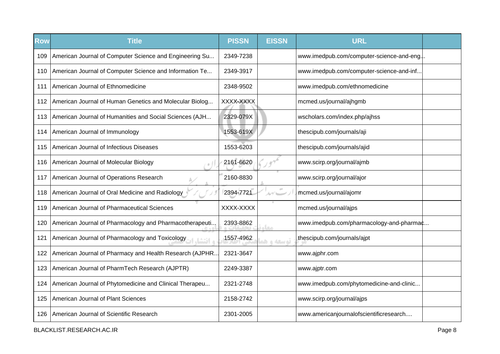| <b>Row</b> | <b>Title</b>                                                | <b>PISSN</b> | <b>EISSN</b> | <b>URL</b>                                |  |
|------------|-------------------------------------------------------------|--------------|--------------|-------------------------------------------|--|
| 109        | American Journal of Computer Science and Engineering Su     | 2349-7238    |              | www.imedpub.com/computer-science-and-eng. |  |
| 110        | American Journal of Computer Science and Information Te     | 2349-3917    |              | www.imedpub.com/computer-science-and-inf  |  |
| 111        | American Journal of Ethnomedicine                           | 2348-9502    |              | www.imedpub.com/ethnomedicine             |  |
| 112        | American Journal of Human Genetics and Molecular Biolog     | XXXX-XXXX    |              | mcmed.us/journal/ajhgmb                   |  |
| 113        | American Journal of Humanities and Social Sciences (AJH     | 2329-079X    |              | wscholars.com/index.php/ajhss             |  |
| 114        | American Journal of Immunology                              | 1553-619X    |              | thescipub.com/journals/aji                |  |
| 115        | American Journal of Infectious Diseases                     | 1553-6203    |              | thescipub.com/journals/ajid               |  |
| 116        | American Journal of Molecular Biology                       | 2161-6620    |              | www.scirp.org/journal/ajmb                |  |
| 117        | American Journal of Operations Research                     | 2160-8830    |              | www.scirp.org/journal/ajor                |  |
| 118        | American Journal of Oral Medicine and Radiology             | 2394-7721    | $\alpha$     | mcmed.us/journal/ajomr                    |  |
| 119        | American Journal of Pharmaceutical Sciences                 | XXXX-XXXX    |              | mcmed.us/journal/ajps                     |  |
| 120        | American Journal of Pharmacology and Pharmacotherapeuti     | 2393-8862    | <b>CLASS</b> | www.imedpub.com/pharmacology-and-pharmac  |  |
| 121        | American Journal of Pharmacology and Toxicology<br>م انتشا. | 1557-4962    | توسعه و ه    | thescipub.com/journals/ajpt               |  |
| 122        | American Journal of Pharmacy and Health Research (AJPHR     | 2321-3647    |              | www.ajphr.com                             |  |
| 123        | American Journal of PharmTech Research (AJPTR)              | 2249-3387    |              | www.ajptr.com                             |  |
| 124        | American Journal of Phytomedicine and Clinical Therapeu     | 2321-2748    |              | www.imedpub.com/phytomedicine-and-clinic  |  |
| 125        | American Journal of Plant Sciences                          | 2158-2742    |              | www.scirp.org/journal/ajps                |  |
| 126        | American Journal of Scientific Research                     | 2301-2005    |              | www.americanjournalofscientificresearch   |  |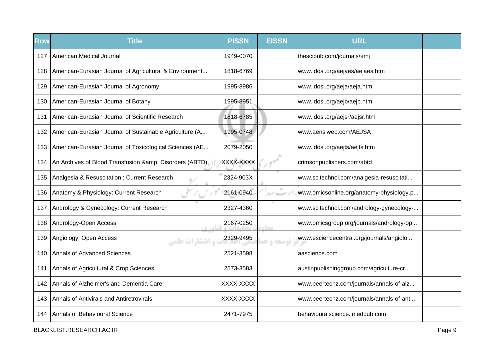| <b>Row</b> | <b>Title</b>                                            | <b>PISSN</b> | <b>EISSN</b>                     | <b>URL</b>                               |  |
|------------|---------------------------------------------------------|--------------|----------------------------------|------------------------------------------|--|
| 127        | American Medical Journal                                | 1949-0070    |                                  | thescipub.com/journals/amj               |  |
| 128        | American-Eurasian Journal of Agricultural & Environment | 1818-6769    |                                  | www.idosi.org/aejaes/aejaes.htm          |  |
| 129        | American-Eurasian Journal of Agronomy                   | 1995-8986    |                                  | www.idosi.org/aeja/aeja.htm              |  |
| 130        | American-Eurasian Journal of Botany                     | 1995-8951    |                                  | www.idosi.org/aejb/aejb.htm              |  |
| 131        | American-Eurasian Journal of Scientific Research        | 1818-6785    |                                  | www.idosi.org/aejsr/aejsr.htm            |  |
| 132        | American-Eurasian Journal of Sustainable Agriculture (A | 1995-0748    |                                  | www.aensiweb.com/AEJSA                   |  |
| 133        | American-Eurasian Journal of Toxicological Sciences (AE | 2079-2050    |                                  | www.idosi.org/aejts/aejts.htm            |  |
| 134        | An Archives of Blood Transfusion & Disorders (ABTD)     | XXXX-XXXX    |                                  | crimsonpublishers.com/abtd               |  |
| 135        | Analgesia & Resuscitation: Current Research             | 2324-903X    |                                  | www.scitechnol.com/analgesia-resuscitati |  |
| 136        | Anatomy & Physiology: Current Research                  | 2161-0940    | $\Delta\gamma'$ because $\gamma$ | www.omicsonline.org/anatomy-physiology.p |  |
| 137        | Andrology & Gynecology: Current Research                | 2327-4360    |                                  | www.scitechnol.com/andrology-gynecology- |  |
| 138        | Andrology-Open Access<br>0.401                          | 2167-0250    | مغار                             | www.omicsgroup.org/journals/andrology-op |  |
| 139        | Angiology: Open Access<br><b>و انتشا, ات علمی</b>       | 2329-9495    | توسعه و هد                       | www.esciencecentral.org/journals/angiolo |  |
| 140        | Annals of Advanced Sciences                             | 2521-3598    |                                  | aascience.com                            |  |
| 141        | Annals of Agricultural & Crop Sciences                  | 2573-3583    |                                  | austinpublishinggroup.com/agriculture-cr |  |
| 142        | Annals of Alzheimer's and Dementia Care                 | XXXX-XXXX    |                                  | www.peertechz.com/journals/annals-of-alz |  |
| 143        | Annals of Antivirals and Antiretrovirals                | XXXX-XXXX    |                                  | www.peertechz.com/journals/annals-of-ant |  |
| 144        | Annals of Behavioural Science                           | 2471-7975    |                                  | behaviouralscience.imedpub.com           |  |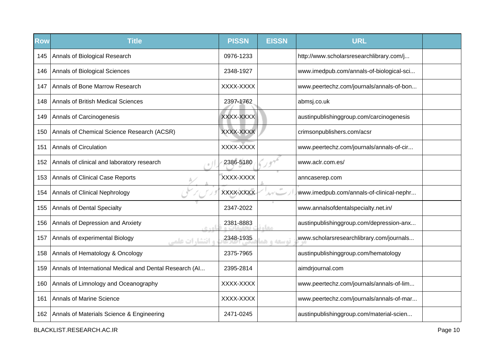| <b>Row</b> | <b>Title</b>                                             | <b>PISSN</b> | <b>EISSN</b> | <b>URL</b>                               |  |
|------------|----------------------------------------------------------|--------------|--------------|------------------------------------------|--|
| 145        | Annals of Biological Research                            | 0976-1233    |              | http://www.scholarsresearchlibrary.com/j |  |
| 146        | Annals of Biological Sciences                            | 2348-1927    |              | www.imedpub.com/annals-of-biological-sci |  |
| 147        | Annals of Bone Marrow Research                           | XXXX-XXXX    |              | www.peertechz.com/journals/annals-of-bon |  |
| 148        | <b>Annals of British Medical Sciences</b>                | 2397-1762    |              | abmsj.co.uk                              |  |
| 149        | Annals of Carcinogenesis                                 | XXXX-XXXX    |              | austinpublishinggroup.com/carcinogenesis |  |
| 150        | Annals of Chemical Science Research (ACSR)               | XXXX-XXXX    |              | crimsonpublishers.com/acsr               |  |
| 151        | Annals of Circulation                                    | XXXX-XXXX    |              | www.peertechz.com/journals/annals-of-cir |  |
| 152        | Annals of clinical and laboratory research               | 2386-5180    |              | www.aclr.com.es/                         |  |
| 153        | Annals of Clinical Case Reports                          | XXXX-XXXX    |              | anncaserep.com                           |  |
| 154        | Annals of Clinical Nephrology                            | XXXX-XXXX    |              | www.imedpub.com/annals-of-clinical-nephr |  |
| 155        | Annals of Dental Specialty                               | 2347-2022    |              | www.annalsofdentalspecialty.net.in/      |  |
| 156        | Annals of Depression and Anxiety                         | 2381-8883    | معا          | austinpublishinggroup.com/depression-anx |  |
| 157        | Annals of experimental Biology<br><b>، انتشارات علمی</b> | 2348-1935    | توسعه و هد   | www.scholarsresearchlibrary.com/journals |  |
| 158        | Annals of Hematology & Oncology                          | 2375-7965    |              | austinpublishinggroup.com/hematology     |  |
| 159        | Annals of International Medical and Dental Research (AI  | 2395-2814    |              | aimdrjournal.com                         |  |
| 160        | Annals of Limnology and Oceanography                     | XXXX-XXXX    |              | www.peertechz.com/journals/annals-of-lim |  |
| 161        | Annals of Marine Science                                 | XXXX-XXXX    |              | www.peertechz.com/journals/annals-of-mar |  |
|            | 162   Annals of Materials Science & Engineering          | 2471-0245    |              | austinpublishinggroup.com/material-scien |  |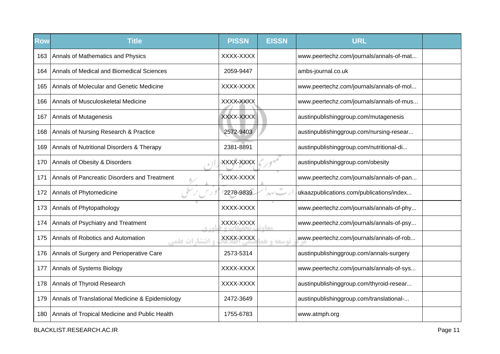| <b>Row</b> | <b>Title</b>                                                | <b>PISSN</b> | <b>EISSN</b>         | <b>URL</b>                               |  |
|------------|-------------------------------------------------------------|--------------|----------------------|------------------------------------------|--|
| 163        | Annals of Mathematics and Physics                           | XXXX-XXXX    |                      | www.peertechz.com/journals/annals-of-mat |  |
| 164        | Annals of Medical and Biomedical Sciences                   | 2059-9447    |                      | ambs-journal.co.uk                       |  |
| 165        | Annals of Molecular and Genetic Medicine                    | XXXX-XXXX    |                      | www.peertechz.com/journals/annals-of-mol |  |
| 166        | Annals of Musculoskeletal Medicine                          | XXXX-XXXX    |                      | www.peertechz.com/journals/annals-of-mus |  |
| 167        | Annals of Mutagenesis                                       | XXXX-XXXX    |                      | austinpublishinggroup.com/mutagenesis    |  |
| 168        | Annals of Nursing Research & Practice                       | 2572-9403    |                      | austinpublishinggroup.com/nursing-resear |  |
| 169        | Annals of Nutritional Disorders & Therapy                   | 2381-8891    |                      | austinpublishinggroup.com/nutritional-di |  |
| 170        | Annals of Obesity & Disorders                               | XXXX-XXXX    |                      | austinpublishinggroup.com/obesity        |  |
| 171        | Annals of Pancreatic Disorders and Treatment                | XXXX-XXXX    |                      | www.peertechz.com/journals/annals-of-pan |  |
| 172        | Annals of Phytomedicine                                     | 2278-9839    | $\alpha\dot{\sigma}$ | ukaazpublications.com/publications/index |  |
| 173        | Annals of Phytopathology                                    | XXXX-XXXX    |                      | www.peertechz.com/journals/annals-of-phy |  |
| 174        | Annals of Psychiatry and Treatment<br>$C + D$               | XXXX-XXXX    | مخاه                 | www.peertechz.com/journals/annals-of-psy |  |
| 175        | Annals of Robotics and Automation<br><b>، انتشارات علمی</b> | XXXX-XXXX    | توسعه و هد           | www.peertechz.com/journals/annals-of-rob |  |
| 176        | Annals of Surgery and Perioperative Care                    | 2573-5314    |                      | austinpublishinggroup.com/annals-surgery |  |
| 177        | Annals of Systems Biology                                   | XXXX-XXXX    |                      | www.peertechz.com/journals/annals-of-sys |  |
| 178        | Annals of Thyroid Research                                  | XXXX-XXXX    |                      | austinpublishinggroup.com/thyroid-resear |  |
| 179        | Annals of Translational Medicine & Epidemiology             | 2472-3649    |                      | austinpublishinggroup.com/translational- |  |
| 180        | Annals of Tropical Medicine and Public Health               | 1755-6783    |                      | www.atmph.org                            |  |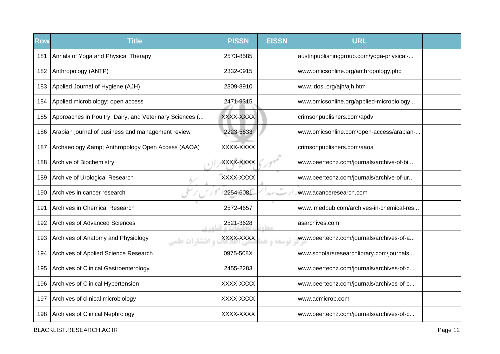| <b>Row</b> | <b>Title</b>                                                  | <b>PISSN</b> | <b>EISSN</b>    | <b>URL</b>                               |  |
|------------|---------------------------------------------------------------|--------------|-----------------|------------------------------------------|--|
| 181        | Annals of Yoga and Physical Therapy                           | 2573-8585    |                 | austinpublishinggroup.com/yoga-physical- |  |
| 182        | Anthropology (ANTP)                                           | 2332-0915    |                 | www.omicsonline.org/anthropology.php     |  |
| 183        | Applied Journal of Hygiene (AJH)                              | 2309-8910    |                 | www.idosi.org/ajh/ajh.htm                |  |
| 184        | Applied microbiology: open access                             | 2471-9315    |                 | www.omicsonline.org/applied-microbiology |  |
| 185        | Approaches in Poultry, Dairy, and Veterinary Sciences (       | XXXX-XXXX    |                 | crimsonpublishers.com/apdv               |  |
| 186        | Arabian journal of business and management review             | 2223-5833    |                 | www.omicsonline.com/open-access/arabian- |  |
| 187        | Archaeology & Anthropology Open Access (AAOA)                 | XXXX-XXXX    |                 | crimsonpublishers.com/aaoa               |  |
| 188        | Archive of Biochemistry                                       | XXXX-XXXX    |                 | www.peertechz.com/journals/archive-of-bi |  |
| 189        | Archive of Urological Research                                | XXXX-XXXX    |                 | www.peertechz.com/journals/archive-of-ur |  |
| 190        | Archives in cancer research                                   | 2254-6081    | 10 <sup>2</sup> | www.acanceresearch.com                   |  |
| 191        | Archives in Chemical Research                                 | 2572-4657    |                 | www.imedpub.com/archives-in-chemical-res |  |
| 192        | <b>Archives of Advanced Sciences</b><br>0.401                 | 2521-3628    | مقام            | asarchives.com                           |  |
| 193        | Archives of Anatomy and Physiology<br><b>و انتشا, ات علمی</b> | XXXX-XXXX    | توسعه و هد      | www.peertechz.com/journals/archives-of-a |  |
| 194        | Archives of Applied Science Research                          | 0975-508X    |                 | www.scholarsresearchlibrary.com/journals |  |
| 195        | Archives of Clinical Gastroenterology                         | 2455-2283    |                 | www.peertechz.com/journals/archives-of-c |  |
| 196        | Archives of Clinical Hypertension                             | XXXX-XXXX    |                 | www.peertechz.com/journals/archives-of-c |  |
| 197        | Archives of clinical microbiology                             | XXXX-XXXX    |                 | www.acmicrob.com                         |  |
| 198        | Archives of Clinical Nephrology                               | XXXX-XXXX    |                 | www.peertechz.com/journals/archives-of-c |  |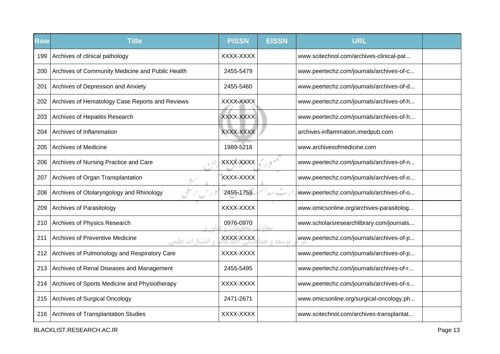| <b>Row</b> | <b>Title</b>                                               | <b>PISSN</b> | <b>EISSN</b> | <b>URL</b>                               |  |
|------------|------------------------------------------------------------|--------------|--------------|------------------------------------------|--|
| 199        | Archives of clinical pathology                             | XXXX-XXXX    |              | www.scitechnol.com/archives-clinical-pat |  |
| 200        | Archives of Community Medicine and Public Health           | 2455-5479    |              | www.peertechz.com/journals/archives-of-c |  |
| 201        | Archives of Depression and Anxiety                         | 2455-5460    |              | www.peertechz.com/journals/archives-of-d |  |
| 202        | Archives of Hematology Case Reports and Reviews            | XXXX-XXXX    |              | www.peertechz.com/journals/archives-of-h |  |
| 203        | Archives of Hepatitis Research                             | XXXX-XXXX    |              | www.peertechz.com/journals/archives-of-h |  |
| 204        | Archives of Inflammation                                   | XXXX-XXXX    |              | archives-inflammation.imedpub.com        |  |
| 205        | <b>Archives of Medicine</b>                                | 1989-5216    |              | www.archivesofmedicine.com               |  |
| 206        | Archives of Nursing Practice and Care                      | XXXX-XXXX    |              | www.peertechz.com/journals/archives-of-n |  |
| 207        | Archives of Organ Transplantation                          | XXXX-XXXX    |              | www.peertechz.com/journals/archives-of-o |  |
| 208        | Archives of Otolaryngology and Rhinology                   | 2455-1759    |              | www.peertechz.com/journals/archives-of-o |  |
| 209        | Archives of Parasitology                                   | XXXX-XXXX    |              | www.omicsonline.org/archives-parasitolog |  |
| 210        | Archives of Physics Research<br>0.401                      | 0976-0970    | مغار         | www.scholarsresearchlibrary.com/journals |  |
| 211        | Archives of Preventive Medicine<br><b>و انتشا, ات علمی</b> | XXXX-XXXX    | توسعه و هذ   | www.peertechz.com/journals/archives-of-p |  |
| 212        | Archives of Pulmonology and Respiratory Care               | XXXX-XXXX    |              | www.peertechz.com/journals/archives-of-p |  |
| 213        | Archives of Renal Diseases and Management                  | 2455-5495    |              | www.peertechz.com/journals/archives-of-r |  |
| 214        | Archives of Sports Medicine and Physiotherapy              | XXXX-XXXX    |              | www.peertechz.com/journals/archives-of-s |  |
| 215        | Archives of Surgical Oncology                              | 2471-2671    |              | www.omicsonline.org/surgical-oncology.ph |  |
| 216        | Archives of Transplantation Studies                        | XXXX-XXXX    |              | www.scitechnol.com/archives-transplantat |  |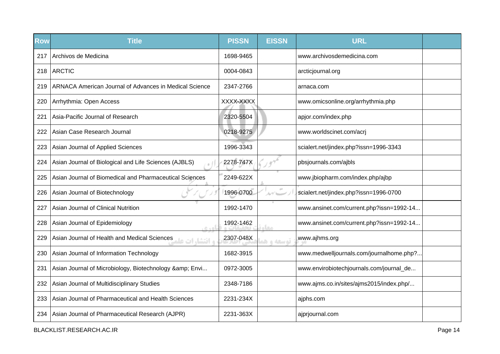| <b>Row</b> | <b>Title</b>                                                   | <b>PISSN</b> | <b>EISSN</b>     | <b>URL</b>                               |  |
|------------|----------------------------------------------------------------|--------------|------------------|------------------------------------------|--|
| 217        | Archivos de Medicina                                           | 1698-9465    |                  | www.archivosdemedicina.com               |  |
| 218        | <b>ARCTIC</b>                                                  | 0004-0843    |                  | arcticjournal.org                        |  |
| 219        | ARNACA American Journal of Advances in Medical Science         | 2347-2766    |                  | arnaca.com                               |  |
| 220        | Arrhythmia: Open Access                                        | XXXX-XXXX    |                  | www.omicsonline.org/arrhythmia.php       |  |
| 221        | Asia-Pacific Journal of Research                               | 2320-5504    |                  | apjor.com/index.php                      |  |
| 222        | Asian Case Research Journal                                    | 0218-9275    |                  | www.worldscinet.com/acrj                 |  |
| 223        | Asian Journal of Applied Sciences                              | 1996-3343    |                  | scialert.net/jindex.php?issn=1996-3343   |  |
| 224        | Asian Journal of Biological and Life Sciences (AJBLS)          | 2278-747X    |                  | pbsjournals.com/ajbls                    |  |
| 225        | Asian Journal of Biomedical and Pharmaceutical Sciences        | 2249-622X    |                  | www.jbiopharm.com/index.php/ajbp         |  |
| 226        | Asian Journal of Biotechnology                                 | 1996-0700    | $\alpha$<br>ルゲーー | scialert.net/jindex.php?issn=1996-0700   |  |
| 227        | Asian Journal of Clinical Nutrition                            | 1992-1470    |                  | www.ansinet.com/current.php?issn=1992-14 |  |
| 228        | Asian Journal of Epidemiology<br>0.401                         | 1992-1462    | مخام             | www.ansinet.com/current.php?issn=1992-14 |  |
| 229        | و افتشار ات علمية Asian Journal of Health and Medical Sciences | 2307-048X    | توسعه و هذ       | www.ajhms.org                            |  |
| 230        | Asian Journal of Information Technology                        | 1682-3915    |                  | www.medwelljournals.com/journalhome.php? |  |
| 231        | Asian Journal of Microbiology, Biotechnology & amp; Envi       | 0972-3005    |                  | www.envirobiotechjournals.com/journal_de |  |
| 232        | Asian Journal of Multidisciplinary Studies                     | 2348-7186    |                  | www.ajms.co.in/sites/ajms2015/index.php/ |  |
| 233        | Asian Journal of Pharmaceutical and Health Sciences            | 2231-234X    |                  | ajphs.com                                |  |
| 234        | Asian Journal of Pharmaceutical Research (AJPR)                | 2231-363X    |                  | ajprjournal.com                          |  |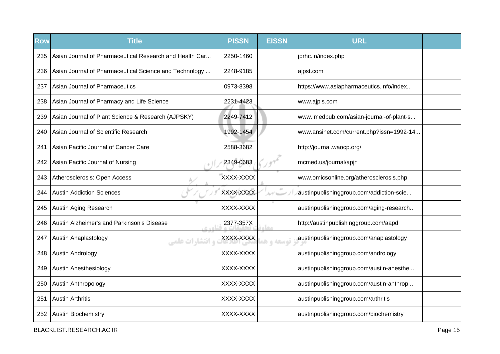| Row | <b>Title</b>                                            | <b>PISSN</b> | <b>EISSN</b> | <b>URL</b>                               |  |
|-----|---------------------------------------------------------|--------------|--------------|------------------------------------------|--|
| 235 | Asian Journal of Pharmaceutical Research and Health Car | 2250-1460    |              | jprhc.in/index.php                       |  |
| 236 | Asian Journal of Pharmaceutical Science and Technology  | 2248-9185    |              | ajpst.com                                |  |
| 237 | Asian Journal of Pharmaceutics                          | 0973-8398    |              | https://www.asiapharmaceutics.info/index |  |
| 238 | Asian Journal of Pharmacy and Life Science              | 2231-4423    |              | www.ajpls.com                            |  |
| 239 | Asian Journal of Plant Science & Research (AJPSKY)      | 2249-7412    |              | www.imedpub.com/asian-journal-of-plant-s |  |
| 240 | Asian Journal of Scientific Research                    | 1992-1454    |              | www.ansinet.com/current.php?issn=1992-14 |  |
| 241 | Asian Pacific Journal of Cancer Care                    | 2588-3682    |              | http://journal.waocp.org/                |  |
| 242 | Asian Pacific Journal of Nursing                        | 2349-0683    |              | mcmed.us/journal/apjn                    |  |
| 243 | Atherosclerosis: Open Access                            | XXXX-XXXX    |              | www.omicsonline.org/atherosclerosis.php  |  |
| 244 | <b>Austin Addiction Sciences</b>                        | XXXX-XXXX    | ムゲニー         | austinpublishinggroup.com/addiction-scie |  |
| 245 | Austin Aging Research                                   | XXXX-XXXX    |              | austinpublishinggroup.com/aging-research |  |
| 246 | Austin Alzheimer's and Parkinson's Disease<br>$C + D$   | 2377-357X    |              | http://austinpublishinggroup.com/aapd    |  |
| 247 | <b>Austin Anaplastology</b><br><b>و انتشا, ات علمی</b>  | XXXX-XXXX    | توسعه و هر   | austinpublishinggroup.com/anaplastology  |  |
| 248 | Austin Andrology                                        | XXXX-XXXX    |              | austinpublishinggroup.com/andrology      |  |
| 249 | <b>Austin Anesthesiology</b>                            | XXXX-XXXX    |              | austinpublishinggroup.com/austin-anesthe |  |
| 250 | Austin Anthropology                                     | XXXX-XXXX    |              | austinpublishinggroup.com/austin-anthrop |  |
| 251 | <b>Austin Arthritis</b>                                 | XXXX-XXXX    |              | austinpublishinggroup.com/arthritis      |  |
| 252 | <b>Austin Biochemistry</b>                              | XXXX-XXXX    |              | austinpublishinggroup.com/biochemistry   |  |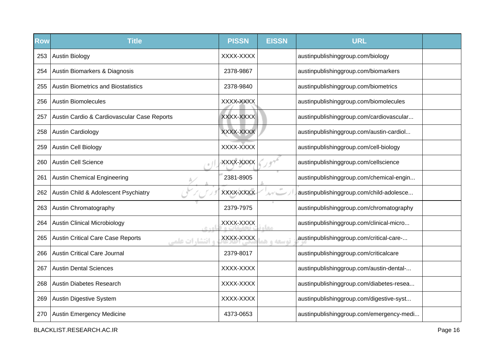| <b>Row</b> | <b>Title</b>                                                        | <b>PISSN</b> | <b>EISSN</b>            | <b>URL</b>                               |  |
|------------|---------------------------------------------------------------------|--------------|-------------------------|------------------------------------------|--|
| 253        | <b>Austin Biology</b>                                               | XXXX-XXXX    |                         | austinpublishinggroup.com/biology        |  |
| 254        | Austin Biomarkers & Diagnosis                                       | 2378-9867    |                         | austinpublishinggroup.com/biomarkers     |  |
| 255        | <b>Austin Biometrics and Biostatistics</b>                          | 2378-9840    |                         | austinpublishinggroup.com/biometrics     |  |
| 256        | <b>Austin Biomolecules</b>                                          | XXXX-XXXX    |                         | austinpublishinggroup.com/biomolecules   |  |
| 257        | Austin Cardio & Cardiovascular Case Reports                         | XXXX-XXXX    |                         | austinpublishinggroup.com/cardiovascular |  |
| 258        | <b>Austin Cardiology</b>                                            | XXXX-XXXX    |                         | austinpublishinggroup.com/austin-cardiol |  |
| 259        | <b>Austin Cell Biology</b>                                          | XXXX-XXXX    |                         | austinpublishinggroup.com/cell-biology   |  |
| 260        | <b>Austin Cell Science</b>                                          | XXXX-XXXX    |                         | austinpublishinggroup.com/cellscience    |  |
| 261        | <b>Austin Chemical Engineering</b>                                  | 2381-8905    |                         | austinpublishinggroup.com/chemical-engin |  |
| 262        | Austin Child & Adolescent Psychiatry                                | XXXX-XXXX    | 10 <sup>2</sup><br>ルイレー | austinpublishinggroup.com/child-adolesce |  |
| 263        | Austin Chromatography                                               | 2379-7975    |                         | austinpublishinggroup.com/chromatography |  |
| 264        | <b>Austin Clinical Microbiology</b><br>$C + D$                      | XXXX-XXXX    | مخاه                    | austinpublishinggroup.com/clinical-micro |  |
| 265        | <b>Austin Critical Care Case Reports</b><br><b>و انتشا, ات علمی</b> | XXXX-XXXX    | توسعه و هد              | austinpublishinggroup.com/critical-care- |  |
| 266        | <b>Austin Critical Care Journal</b>                                 | 2379-8017    |                         | austinpublishinggroup.com/criticalcare   |  |
| 267        | <b>Austin Dental Sciences</b>                                       | XXXX-XXXX    |                         | austinpublishinggroup.com/austin-dental- |  |
| 268        | <b>Austin Diabetes Research</b>                                     | XXXX-XXXX    |                         | austinpublishinggroup.com/diabetes-resea |  |
| 269        | <b>Austin Digestive System</b>                                      | XXXX-XXXX    |                         | austinpublishinggroup.com/digestive-syst |  |
| 270        | Austin Emergency Medicine                                           | 4373-0653    |                         | austinpublishinggroup.com/emergency-medi |  |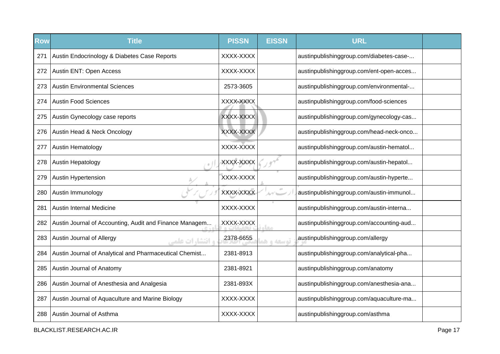| <b>Row</b> | <b>Title</b>                                            | <b>PISSN</b> | <b>EISSN</b> | <b>URL</b>                               |  |
|------------|---------------------------------------------------------|--------------|--------------|------------------------------------------|--|
| 271        | Austin Endocrinology & Diabetes Case Reports            | XXXX-XXXX    |              | austinpublishinggroup.com/diabetes-case- |  |
| 272.       | Austin ENT: Open Access                                 | XXXX-XXXX    |              | austinpublishinggroup.com/ent-open-acces |  |
| 273        | <b>Austin Environmental Sciences</b>                    | 2573-3605    |              | austinpublishinggroup.com/environmental- |  |
| 274        | <b>Austin Food Sciences</b>                             | XXXX-XXXX    |              | austinpublishinggroup.com/food-sciences  |  |
| 275        | Austin Gynecology case reports                          | XXXX-XXXX    |              | austinpublishinggroup.com/gynecology-cas |  |
| 276        | Austin Head & Neck Oncology                             | XXXX-XXXX    |              | austinpublishinggroup.com/head-neck-onco |  |
| 277        | <b>Austin Hematology</b>                                | XXXX-XXXX    |              | austinpublishinggroup.com/austin-hematol |  |
| 278        | Austin Hepatology                                       | XXXX-XXXX    |              | austinpublishinggroup.com/austin-hepatol |  |
| 279        | Austin Hypertension                                     | XXXX-XXXX    |              | austinpublishinggroup.com/austin-hyperte |  |
| 280        | Austin Immunology                                       | XXXX-XXXX    |              | austinpublishinggroup.com/austin-immunol |  |
| 281        | Austin Internal Medicine                                | XXXX-XXXX    |              | austinpublishinggroup.com/austin-interna |  |
| 282        | Austin Journal of Accounting, Audit and Finance Managem | XXXX-XXXX    | 单态           | austinpublishinggroup.com/accounting-aud |  |
| 283        | Austin Journal of Allergy<br><b>، انتشا, ات علمہ</b>    | 2378-6655    | توسعه و ه    | austinpublishinggroup.com/allergy        |  |
| 284        | Austin Journal of Analytical and Pharmaceutical Chemist | 2381-8913    |              | austinpublishinggroup.com/analytical-pha |  |
| 285        | Austin Journal of Anatomy                               | 2381-8921    |              | austinpublishinggroup.com/anatomy        |  |
| 286        | Austin Journal of Anesthesia and Analgesia              | 2381-893X    |              | austinpublishinggroup.com/anesthesia-ana |  |
| 287        | Austin Journal of Aquaculture and Marine Biology        | XXXX-XXXX    |              | austinpublishinggroup.com/aquaculture-ma |  |
| 288        | Austin Journal of Asthma                                | XXXX-XXXX    |              | austinpublishinggroup.com/asthma         |  |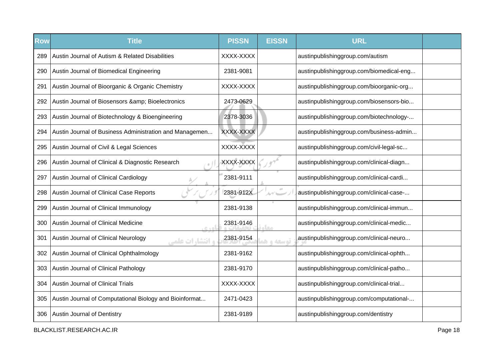| <b>Row</b> | <b>Title</b>                                                    | <b>PISSN</b> | <b>EISSN</b> | <b>URL</b>                               |  |
|------------|-----------------------------------------------------------------|--------------|--------------|------------------------------------------|--|
| 289        | Austin Journal of Autism & Related Disabilities                 | XXXX-XXXX    |              | austinpublishinggroup.com/autism         |  |
| 290        | Austin Journal of Biomedical Engineering                        | 2381-9081    |              | austinpublishinggroup.com/biomedical-eng |  |
| 291        | Austin Journal of Bioorganic & Organic Chemistry                | XXXX-XXXX    |              | austinpublishinggroup.com/bioorganic-org |  |
| 292        | Austin Journal of Biosensors & Bioelectronics                   | 2473-0629    |              | austinpublishinggroup.com/biosensors-bio |  |
| 293        | Austin Journal of Biotechnology & Bioengineering                | 2378-3036    |              | austinpublishinggroup.com/biotechnology- |  |
| 294        | Austin Journal of Business Administration and Managemen         | XXXX-XXXX    |              | austinpublishinggroup.com/business-admin |  |
| 295        | Austin Journal of Civil & Legal Sciences                        | XXXX-XXXX    |              | austinpublishinggroup.com/civil-legal-sc |  |
| 296        | Austin Journal of Clinical & Diagnostic Research                | XXXX-XXXX    |              | austinpublishinggroup.com/clinical-diagn |  |
| 297        | Austin Journal of Clinical Cardiology                           | 2381-9111    |              | austinpublishinggroup.com/clinical-cardi |  |
| 298        | Austin Journal of Clinical Case Reports                         | 2381-912X    |              | austinpublishinggroup.com/clinical-case- |  |
| 299        | Austin Journal of Clinical Immunology                           | 2381-9138    |              | austinpublishinggroup.com/clinical-immun |  |
| 300        | Austin Journal of Clinical Medicine<br>$C + D$                  | 2381-9146    | معا          | austinpublishinggroup.com/clinical-medic |  |
| 301        | Austin Journal of Clinical Neurology<br><b>و انتشا, ات علمی</b> | 2381-9154    | قوسعه واها   | austinpublishinggroup.com/clinical-neuro |  |
| 302        | Austin Journal of Clinical Ophthalmology                        | 2381-9162    |              | austinpublishinggroup.com/clinical-ophth |  |
| 303        | Austin Journal of Clinical Pathology                            | 2381-9170    |              | austinpublishinggroup.com/clinical-patho |  |
| 304        | <b>Austin Journal of Clinical Trials</b>                        | XXXX-XXXX    |              | austinpublishinggroup.com/clinical-trial |  |
| 305        | Austin Journal of Computational Biology and Bioinformat         | 2471-0423    |              | austinpublishinggroup.com/computational- |  |
| 306        | Austin Journal of Dentistry                                     | 2381-9189    |              | austinpublishinggroup.com/dentistry      |  |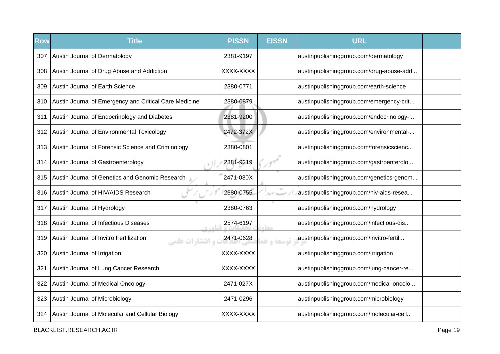| <b>Row</b> | <b>Title</b>                                                      | <b>PISSN</b> | <b>EISSN</b>           | <b>URL</b>                               |  |
|------------|-------------------------------------------------------------------|--------------|------------------------|------------------------------------------|--|
| 307        | Austin Journal of Dermatology                                     | 2381-9197    |                        | austinpublishinggroup.com/dermatology    |  |
| 308        | Austin Journal of Drug Abuse and Addiction                        | XXXX-XXXX    |                        | austinpublishinggroup.com/drug-abuse-add |  |
| 309        | Austin Journal of Earth Science                                   | 2380-0771    |                        | austinpublishinggroup.com/earth-science  |  |
| 310        | Austin Journal of Emergency and Critical Care Medicine            | 2380-0879    |                        | austinpublishinggroup.com/emergency-crit |  |
| 311        | Austin Journal of Endocrinology and Diabetes                      | 2381-9200    |                        | austinpublishinggroup.com/endocrinology- |  |
| 312        | Austin Journal of Environmental Toxicology                        | 2472-372X    |                        | austinpublishinggroup.com/environmental- |  |
| 313        | Austin Journal of Forensic Science and Criminology                | 2380-0801    |                        | austinpublishinggroup.com/forensicscienc |  |
| 314        | Austin Journal of Gastroenterology                                | 2381-9219    |                        | austinpublishinggroup.com/gastroenterolo |  |
| 315        | Austin Journal of Genetics and Genomic Research                   | 2471-030X    |                        | austinpublishinggroup.com/genetics-genom |  |
| 316        | Austin Journal of HIV/AIDS Research                               | 2380-0755    | $\sigma^{\pm}$<br>ルゲニー | austinpublishinggroup.com/hiv-aids-resea |  |
| 317        | Austin Journal of Hydrology                                       | 2380-0763    |                        | austinpublishinggroup.com/hydrology      |  |
| 318        | <b>Austin Journal of Infectious Diseases</b><br>0.401             | 2574-6197    | معاد                   | austinpublishinggroup.com/infectious-dis |  |
| 319        | Austin Journal of Invitro Fertilization<br><b>و انتشارات علمی</b> | 2471-0628    | توسعه و ه              | austinpublishinggroup.com/invitro-fertil |  |
| 320        | Austin Journal of Irrigation                                      | XXXX-XXXX    |                        | austinpublishinggroup.com/irrigation     |  |
| 321        | Austin Journal of Lung Cancer Research                            | XXXX-XXXX    |                        | austinpublishinggroup.com/lung-cancer-re |  |
| 322        | Austin Journal of Medical Oncology                                | 2471-027X    |                        | austinpublishinggroup.com/medical-oncolo |  |
| 323        | Austin Journal of Microbiology                                    | 2471-0296    |                        | austinpublishinggroup.com/microbiology   |  |
| 324        | Austin Journal of Molecular and Cellular Biology                  | XXXX-XXXX    |                        | austinpublishinggroup.com/molecular-cell |  |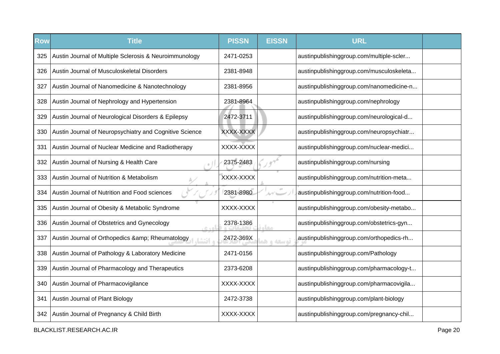| <b>Row</b> | <b>Title</b>                                             | <b>PISSN</b> | <b>EISSN</b> | <b>URL</b>                               |  |
|------------|----------------------------------------------------------|--------------|--------------|------------------------------------------|--|
| 325        | Austin Journal of Multiple Sclerosis & Neuroimmunology   | 2471-0253    |              | austinpublishinggroup.com/multiple-scler |  |
| 326        | Austin Journal of Musculoskeletal Disorders              | 2381-8948    |              | austinpublishinggroup.com/musculoskeleta |  |
| 327        | Austin Journal of Nanomedicine & Nanotechnology          | 2381-8956    |              | austinpublishinggroup.com/nanomedicine-n |  |
| 328        | Austin Journal of Nephrology and Hypertension            | 2381-8964    |              | austinpublishinggroup.com/nephrology     |  |
| 329        | Austin Journal of Neurological Disorders & Epilepsy      | 2472-3711    |              | austinpublishinggroup.com/neurological-d |  |
| 330        | Austin Journal of Neuropsychiatry and Cognitive Science  | XXXX-XXXX    |              | austinpublishinggroup.com/neuropsychiatr |  |
| 331        | Austin Journal of Nuclear Medicine and Radiotherapy      | XXXX-XXXX    |              | austinpublishinggroup.com/nuclear-medici |  |
| 332        | Austin Journal of Nursing & Health Care                  | 2375-2483    |              | austinpublishinggroup.com/nursing        |  |
| 333        | Austin Journal of Nutrition & Metabolism                 | XXXX-XXXX    |              | austinpublishinggroup.com/nutrition-meta |  |
| 334        | Austin Journal of Nutrition and Food sciences            | 2381-8980    |              | austinpublishinggroup.com/nutrition-food |  |
| 335        | Austin Journal of Obesity & Metabolic Syndrome           | XXXX-XXXX    |              | austinpublishinggroup.com/obesity-metabo |  |
| 336        | Austin Journal of Obstetrics and Gynecology<br>0.401     | 2378-1386    | <b>SLO</b>   | austinpublishinggroup.com/obstetrics-gyn |  |
| 337        | Austin Journal of Orthopedics & Rheumatology<br>ء انتشا. | 2472-369X    | توسعه و ه    | austinpublishinggroup.com/orthopedics-rh |  |
| 338        | Austin Journal of Pathology & Laboratory Medicine        | 2471-0156    |              | austinpublishinggroup.com/Pathology      |  |
| 339        | Austin Journal of Pharmacology and Therapeutics          | 2373-6208    |              | austinpublishinggroup.com/pharmacology-t |  |
| 340        | Austin Journal of Pharmacovigilance                      | XXXX-XXXX    |              | austinpublishinggroup.com/pharmacovigila |  |
| 341        | Austin Journal of Plant Biology                          | 2472-3738    |              | austinpublishinggroup.com/plant-biology  |  |
| 342        | Austin Journal of Pregnancy & Child Birth                | XXXX-XXXX    |              | austinpublishinggroup.com/pregnancy-chil |  |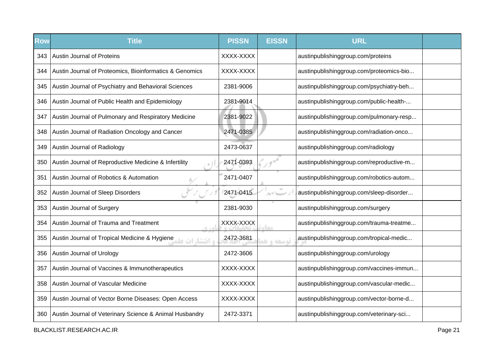| <b>Row</b> | <b>Title</b>                                                    | <b>PISSN</b> | <b>EISSN</b> | <b>URL</b>                               |  |
|------------|-----------------------------------------------------------------|--------------|--------------|------------------------------------------|--|
| 343        | <b>Austin Journal of Proteins</b>                               | XXXX-XXXX    |              | austinpublishinggroup.com/proteins       |  |
| 344        | Austin Journal of Proteomics, Bioinformatics & Genomics         | XXXX-XXXX    |              | austinpublishinggroup.com/proteomics-bio |  |
| 345        | Austin Journal of Psychiatry and Behavioral Sciences            | 2381-9006    |              | austinpublishinggroup.com/psychiatry-beh |  |
| 346        | Austin Journal of Public Health and Epidemiology                | 2381-9014    |              | austinpublishinggroup.com/public-health- |  |
| 347        | Austin Journal of Pulmonary and Respiratory Medicine            | 2381-9022    |              | austinpublishinggroup.com/pulmonary-resp |  |
| 348        | Austin Journal of Radiation Oncology and Cancer                 | 2471-0385    |              | austinpublishinggroup.com/radiation-onco |  |
| 349        | Austin Journal of Radiology                                     | 2473-0637    |              | austinpublishinggroup.com/radiology      |  |
| 350        | Austin Journal of Reproductive Medicine & Infertility           | 2471-0393    |              | austinpublishinggroup.com/reproductive-m |  |
| 351        | Austin Journal of Robotics & Automation                         | 2471-0407    |              | austinpublishinggroup.com/robotics-autom |  |
| 352        | Austin Journal of Sleep Disorders                               | 2471-0415    | $\alpha$     | austinpublishinggroup.com/sleep-disorder |  |
| 353        | Austin Journal of Surgery                                       | 2381-9030    |              | austinpublishinggroup.com/surgery        |  |
| 354        | Austin Journal of Trauma and Treatment                          | XXXX-XXXX    | <b>STAR</b>  | austinpublishinggroup.com/trauma-treatme |  |
| 355        | و افتشار ات علمها Austin Journal of Tropical Medicine & Hygiene | 2472-3681    | توسعه و ه    | austinpublishinggroup.com/tropical-medic |  |
| 356        | Austin Journal of Urology                                       | 2472-3606    |              | austinpublishinggroup.com/urology        |  |
| 357        | Austin Journal of Vaccines & Immunotherapeutics                 | XXXX-XXXX    |              | austinpublishinggroup.com/vaccines-immun |  |
| 358        | Austin Journal of Vascular Medicine                             | XXXX-XXXX    |              | austinpublishinggroup.com/vascular-medic |  |
| 359        | Austin Journal of Vector Borne Diseases: Open Access            | XXXX-XXXX    |              | austinpublishinggroup.com/vector-borne-d |  |
| 360        | Austin Journal of Veterinary Science & Animal Husbandry         | 2472-3371    |              | austinpublishinggroup.com/veterinary-sci |  |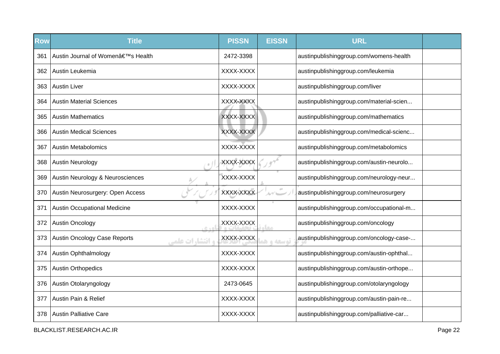| <b>Row</b> | <b>Title</b>                                           | <b>PISSN</b> | <b>EISSN</b>    | <b>URL</b>                               |  |
|------------|--------------------------------------------------------|--------------|-----------------|------------------------------------------|--|
| 361        | Austin Journal of Women's Health                       | 2472-3398    |                 | austinpublishinggroup.com/womens-health  |  |
| 362        | Austin Leukemia                                        | XXXX-XXXX    |                 | austinpublishinggroup.com/leukemia       |  |
| 363        | <b>Austin Liver</b>                                    | XXXX-XXXX    |                 | austinpublishinggroup.com/liver          |  |
| 364        | <b>Austin Material Sciences</b>                        | XXXX-XXXX    |                 | austinpublishinggroup.com/material-scien |  |
| 365        | <b>Austin Mathematics</b>                              | XXXX-XXXX    |                 | austinpublishinggroup.com/mathematics    |  |
| 366        | <b>Austin Medical Sciences</b>                         | XXXX-XXXX    |                 | austinpublishinggroup.com/medical-scienc |  |
| 367        | <b>Austin Metabolomics</b>                             | XXXX-XXXX    |                 | austinpublishinggroup.com/metabolomics   |  |
| 368        | <b>Austin Neurology</b>                                | XXXX-XXXX    |                 | austinpublishinggroup.com/austin-neurolo |  |
| 369        | Austin Neurology & Neurosciences                       | XXXX-XXXX    |                 | austinpublishinggroup.com/neurology-neur |  |
| 370        | Austin Neurosurgery: Open Access                       | XXXX-XXXX    | 10 <sup>2</sup> | austinpublishinggroup.com/neurosurgery   |  |
| 371        | <b>Austin Occupational Medicine</b>                    | XXXX-XXXX    |                 | austinpublishinggroup.com/occupational-m |  |
| 372        | <b>Austin Oncology</b><br>$C + D$                      | XXXX-XXXX    | مخام            | austinpublishinggroup.com/oncology       |  |
| 373        | <b>Austin Oncology Case Reports</b><br>و انتشارات علمی | XXXX-XXXX    | توسعه واهد      | austinpublishinggroup.com/oncology-case- |  |
| 374        | <b>Austin Ophthalmology</b>                            | XXXX-XXXX    |                 | austinpublishinggroup.com/austin-ophthal |  |
| 375        | <b>Austin Orthopedics</b>                              | XXXX-XXXX    |                 | austinpublishinggroup.com/austin-orthope |  |
| 376        | Austin Otolaryngology                                  | 2473-0645    |                 | austinpublishinggroup.com/otolaryngology |  |
| 377        | Austin Pain & Relief                                   | XXXX-XXXX    |                 | austinpublishinggroup.com/austin-pain-re |  |
| 378        | <b>Austin Palliative Care</b>                          | XXXX-XXXX    |                 | austinpublishinggroup.com/palliative-car |  |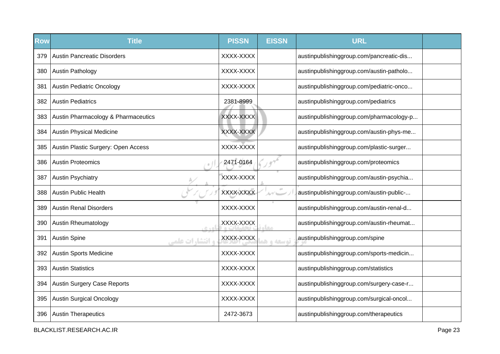| <b>Row</b> | <b>Title</b>                                  | <b>PISSN</b> | <b>EISSN</b>   | <b>URL</b>                               |  |
|------------|-----------------------------------------------|--------------|----------------|------------------------------------------|--|
| 379        | <b>Austin Pancreatic Disorders</b>            | XXXX-XXXX    |                | austinpublishinggroup.com/pancreatic-dis |  |
| 380        | Austin Pathology                              | XXXX-XXXX    |                | austinpublishinggroup.com/austin-patholo |  |
| 381        | <b>Austin Pediatric Oncology</b>              | XXXX-XXXX    |                | austinpublishinggroup.com/pediatric-onco |  |
| 382        | <b>Austin Pediatrics</b>                      | 2381-8999    |                | austinpublishinggroup.com/pediatrics     |  |
| 383        | Austin Pharmacology & Pharmaceutics           | XXXX-XXXX    |                | austinpublishinggroup.com/pharmacology-p |  |
| 384        | <b>Austin Physical Medicine</b>               | XXXX-XXXX    |                | austinpublishinggroup.com/austin-phys-me |  |
| 385        | Austin Plastic Surgery: Open Access           | XXXX-XXXX    |                | austinpublishinggroup.com/plastic-surger |  |
| 386        | <b>Austin Proteomics</b>                      | 2471-0164    |                | austinpublishinggroup.com/proteomics     |  |
| 387        | <b>Austin Psychiatry</b>                      | XXXX-XXXX    |                | austinpublishinggroup.com/austin-psychia |  |
| 388        | <b>Austin Public Health</b>                   | XXXX-XXXX    | $\sigma^{\pm}$ | austinpublishinggroup.com/austin-public- |  |
| 389        | <b>Austin Renal Disorders</b>                 | XXXX-XXXX    |                | austinpublishinggroup.com/austin-renal-d |  |
| 390        | <b>Austin Rheumatology</b><br>$C + D$         | XXXX-XXXX    | مخام           | austinpublishinggroup.com/austin-rheumat |  |
| 391        | <b>Austin Spine</b><br><b>و انتشارات علمی</b> | XXXX-XXXX    | توسعه و هد     | austinpublishinggroup.com/spine          |  |
| 392        | <b>Austin Sports Medicine</b>                 | XXXX-XXXX    |                | austinpublishinggroup.com/sports-medicin |  |
| 393        | <b>Austin Statistics</b>                      | XXXX-XXXX    |                | austinpublishinggroup.com/statistics     |  |
| 394        | <b>Austin Surgery Case Reports</b>            | XXXX-XXXX    |                | austinpublishinggroup.com/surgery-case-r |  |
| 395        | <b>Austin Surgical Oncology</b>               | XXXX-XXXX    |                | austinpublishinggroup.com/surgical-oncol |  |
| 396        | <b>Austin Therapeutics</b>                    | 2472-3673    |                | austinpublishinggroup.com/therapeutics   |  |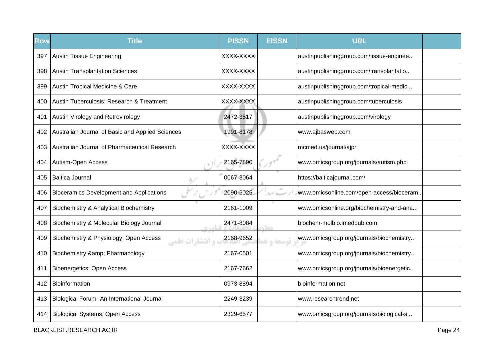| Row | <b>Title</b>                                                     | <b>PISSN</b> | <b>EISSN</b> | <b>URL</b>                               |  |
|-----|------------------------------------------------------------------|--------------|--------------|------------------------------------------|--|
| 397 | <b>Austin Tissue Engineering</b>                                 | XXXX-XXXX    |              | austinpublishinggroup.com/tissue-enginee |  |
| 398 | <b>Austin Transplantation Sciences</b>                           | XXXX-XXXX    |              | austinpublishinggroup.com/transplantatio |  |
| 399 | Austin Tropical Medicine & Care                                  | XXXX-XXXX    |              | austinpublishinggroup.com/tropical-medic |  |
| 400 | Austin Tuberculosis: Research & Treatment                        | XXXX-XXXX    |              | austinpublishinggroup.com/tuberculosis   |  |
| 401 | Austin Virology and Retrovirology                                | 2472-3517    |              | austinpublishinggroup.com/virology       |  |
| 402 | Australian Journal of Basic and Applied Sciences                 | 1991-8178    |              | www.ajbasweb.com                         |  |
| 403 | Australian Journal of Pharmaceutical Research                    | XXXX-XXXX    |              | mcmed.us/journal/ajpr                    |  |
| 404 | Autism-Open Access                                               | 2165-7890    |              | www.omicsgroup.org/journals/autism.php   |  |
| 405 | <b>Baltica Journal</b>                                           | 0067-3064    |              | https://balticajournal.com/              |  |
| 406 | <b>Bioceramics Development and Applications</b>                  | 2090-5025    | $\pm 0$      | www.omicsonline.com/open-access/bioceram |  |
| 407 | <b>Biochemistry &amp; Analytical Biochemistry</b>                | 2161-1009    |              | www.omicsonline.org/biochemistry-and-ana |  |
| 408 | Biochemistry & Molecular Biology Journal<br>اهد ہ                | 2471-8084    | مخام         | biochem-molbio.imedpub.com               |  |
| 409 | Biochemistry & Physiology: Open Access<br><b>، انتشارات علمے</b> | 2168-9652    | توسعه و هد   | www.omicsgroup.org/journals/biochemistry |  |
| 410 | Biochemistry & Pharmacology                                      | 2167-0501    |              | www.omicsgroup.org/journals/biochemistry |  |
| 411 | <b>Bioenergetics: Open Access</b>                                | 2167-7662    |              | www.omicsgroup.org/journals/bioenergetic |  |
| 412 | Bioinformation                                                   | 0973-8894    |              | bioinformation.net                       |  |
| 413 | Biological Forum- An International Journal                       | 2249-3239    |              | www.researchtrend.net                    |  |
| 414 | <b>Biological Systems: Open Access</b>                           | 2329-6577    |              | www.omicsgroup.org/journals/biological-s |  |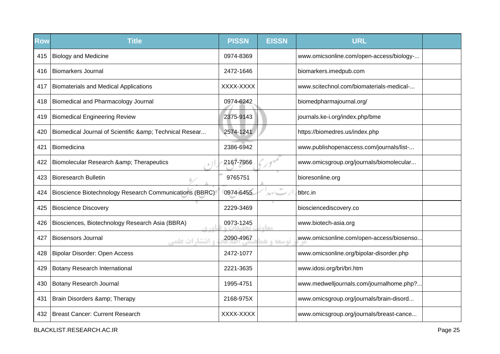| <b>Row</b> | <b>Title</b>                                              | <b>PISSN</b> | <b>EISSN</b>           | <b>URL</b>                               |  |
|------------|-----------------------------------------------------------|--------------|------------------------|------------------------------------------|--|
| 415        | <b>Biology and Medicine</b>                               | 0974-8369    |                        | www.omicsonline.com/open-access/biology- |  |
| 416        | <b>Biomarkers Journal</b>                                 | 2472-1646    |                        | biomarkers.imedpub.com                   |  |
| 417        | <b>Biomaterials and Medical Applications</b>              | XXXX-XXXX    |                        | www.scitechnol.com/biomaterials-medical- |  |
| 418        | Biomedical and Pharmacology Journal                       | 0974-6242    |                        | biomedpharmajournal.org/                 |  |
| 419        | <b>Biomedical Engineering Review</b>                      | 2375-9143    |                        | journals.ke-i.org/index.php/bme          |  |
| 420        | Biomedical Journal of Scientific & Technical Resear       | 2574-1241    |                        | https://biomedres.us/index.php           |  |
| 421        | Biomedicina                                               | 2386-6942    |                        | www.publishopenaccess.com/journals/list- |  |
| 422        | Biomolecular Research & Therapeutics                      | 2167-7956    |                        | www.omicsgroup.org/journals/biomolecular |  |
| 423        | <b>Bioresearch Bulletin</b>                               | 9765751      |                        | bioresonline.org                         |  |
| 424        | Bioscience Biotechnology Research Communications (BBRC)   | 0974-6455    | 10 <sup>2</sup><br>ルイー | bbrc.in                                  |  |
| 425        | <b>Bioscience Discovery</b>                               | 2229-3469    |                        | biosciencediscovery.co                   |  |
| 426        | Biosciences, Biotechnology Research Asia (BBRA)<br>ناه ده | 0973-1245    | مخام                   | www.biotech-asia.org                     |  |
| 427        | <b>Biosensors Journal</b><br><b>و انتشارات علمی</b>       | 2090-4967    | توسعه و هد             | www.omicsonline.com/open-access/biosenso |  |
| 428        | Bipolar Disorder: Open Access                             | 2472-1077    |                        | www.omicsonline.org/bipolar-disorder.php |  |
| 429        | <b>Botany Research International</b>                      | 2221-3635    |                        | www.idosi.org/bri/bri.htm                |  |
| 430        | Botany Research Journal                                   | 1995-4751    |                        | www.medwelljournals.com/journalhome.php? |  |
| 431        | Brain Disorders & Therapy                                 | 2168-975X    |                        | www.omicsgroup.org/journals/brain-disord |  |
| 432        | <b>Breast Cancer: Current Research</b>                    | XXXX-XXXX    |                        | www.omicsgroup.org/journals/breast-cance |  |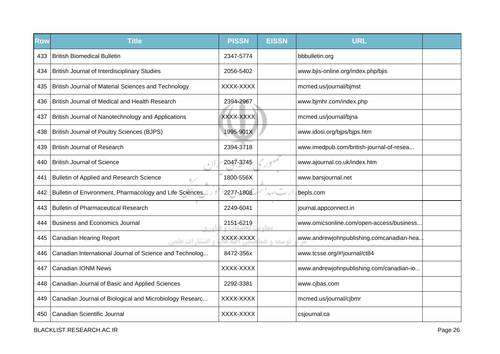| <b>Row</b> | <b>Title</b>                                              | <b>PISSN</b> | <b>EISSN</b> | <b>URL</b>                                |  |
|------------|-----------------------------------------------------------|--------------|--------------|-------------------------------------------|--|
| 433        | <b>British Biomedical Bulletin</b>                        | 2347-5774    |              | bbbulletin.org                            |  |
| 434        | <b>British Journal of Interdisciplinary Studies</b>       | 2056-5402    |              | www.bjis-online.org/index.php/bjis        |  |
| 435        | British Journal of Material Sciences and Technology       | XXXX-XXXX    |              | mcmed.us/journal/bjmst                    |  |
| 436        | British Journal of Medical and Health Research            | 2394-2967    |              | www.bjmhr.com/index.php                   |  |
| 437        | British Journal of Nanotechnology and Applications        | XXXX-XXXX    |              | mcmed.us/journal/bjna                     |  |
| 438        | <b>British Journal of Poultry Sciences (BJPS)</b>         | 1995-901X    |              | www.idosi.org/bjps/bjps.htm               |  |
| 439        | <b>British Journal of Research</b>                        | 2394-3718    |              | www.imedpub.com/british-journal-of-resea  |  |
| 440        | <b>British Journal of Science</b>                         | 2047-3745    |              | www.ajournal.co.uk/index.htm              |  |
| 441        | Bulletin of Applied and Research Science                  | 1800-556X    |              | www.barsjournal.net                       |  |
| 442        | Bulletin of Environment, Pharmacology and Life Sciences   | 2277-1808    | ルブーー         | bepls.com                                 |  |
| 443        | <b>Bulletin of Pharmaceutical Research</b>                | 2249-6041    |              | journal.appconnect.in                     |  |
| 444        | <b>Business and Economics Journal</b><br>0.401            | 2151-6219    | معاد         | www.omicsonline.com/open-access/business  |  |
| 445        | <b>Canadian Hearing Report</b><br><b>، انتشا, ات علمہ</b> | XXXX-XXXX    | توسعه و هذ   | www.andrewjohnpublishing.comcanadian-hea. |  |
| 446        | Canadian International Journal of Science and Technolog   | 8472-356x    |              | www.tcsse.org/#!journal/ct84              |  |
| 447        | <b>Canadian IONM News</b>                                 | XXXX-XXXX    |              | www.andrewjohnpublishing.com/canadian-io  |  |
| 448        | Canadian Journal of Basic and Applied Sciences            | 2292-3381    |              | www.cjbas.com                             |  |
| 449        | Canadian Journal of Biological and Microbiology Researc   | XXXX-XXXX    |              | mcmed.us/journal/cjbmr                    |  |
| 450        | Canadian Scientific Journal                               | XXXX-XXXX    |              | csjournal.ca                              |  |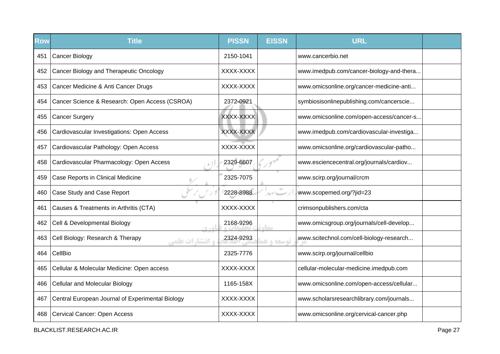| <b>Row</b> | <b>Title</b>                                                | <b>PISSN</b> | <b>EISSN</b> | <b>URL</b>                               |  |
|------------|-------------------------------------------------------------|--------------|--------------|------------------------------------------|--|
| 451        | <b>Cancer Biology</b>                                       | 2150-1041    |              | www.cancerbio.net                        |  |
| 452        | Cancer Biology and Therapeutic Oncology                     | XXXX-XXXX    |              | www.imedpub.com/cancer-biology-and-thera |  |
| 453        | Cancer Medicine & Anti Cancer Drugs                         | XXXX-XXXX    |              | www.omicsonline.org/cancer-medicine-anti |  |
| 454        | Cancer Science & Research: Open Access (CSROA)              | 2372-0921    |              | symbiosisonlinepublishing.com/cancerscie |  |
| 455        | Cancer Surgery                                              | XXXX-XXXX    |              | www.omicsonline.com/open-access/cancer-s |  |
| 456        | Cardiovascular Investigations: Open Access                  | XXXX-XXXX    |              | www.imedpub.com/cardiovascular-investiga |  |
| 457        | Cardiovascular Pathology: Open Access                       | XXXX-XXXX    |              | www.omicsonline.org/cardiovascular-patho |  |
| 458        | Cardiovascular Pharmacology: Open Access                    | 2329-6607    |              | www.esciencecentral.org/journals/cardiov |  |
| 459        | Case Reports in Clinical Medicine                           | 2325-7075    |              | www.scirp.org/journal/crcm               |  |
| 460        | Case Study and Case Report                                  | 2228-8988    |              | www.scopemed.org/?jid=23                 |  |
| 461        | Causes & Treatments in Arthritis (CTA)                      | XXXX-XXXX    |              | crimsonpublishers.com/cta                |  |
| 462        | Cell & Developmental Biology<br>0.40                        | 2168-9296    | <b>CLO</b>   | www.omicsgroup.org/journals/cell-develop |  |
| 463        | Cell Biology: Research & Therapy<br><b>و انتشا, ات علمی</b> | 2324-9293    | توسعه و ه    | www.scitechnol.com/cell-biology-research |  |
| 464        | CellBio                                                     | 2325-7776    |              | www.scirp.org/journal/cellbio            |  |
| 465        | Cellular & Molecular Medicine: Open access                  | XXXX-XXXX    |              | cellular-molecular-medicine.imedpub.com  |  |
| 466        | <b>Cellular and Molecular Biology</b>                       | 1165-158X    |              | www.omicsonline.com/open-access/cellular |  |
| 467        | Central European Journal of Experimental Biology            | XXXX-XXXX    |              | www.scholarsresearchlibrary.com/journals |  |
| 468        | <b>Cervical Cancer: Open Access</b>                         | XXXX-XXXX    |              | www.omicsonline.org/cervical-cancer.php  |  |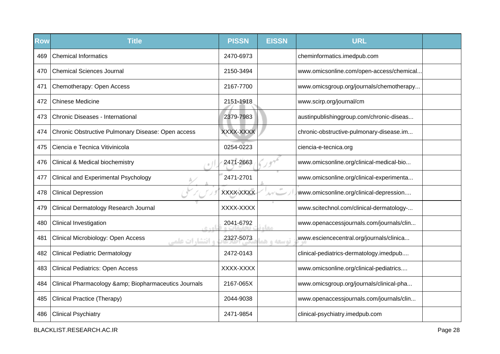| <b>Row</b> | <b>Title</b>                                                 | <b>PISSN</b> | <b>EISSN</b> | <b>URL</b>                               |  |
|------------|--------------------------------------------------------------|--------------|--------------|------------------------------------------|--|
| 469        | <b>Chemical Informatics</b>                                  | 2470-6973    |              | cheminformatics.imedpub.com              |  |
| 470        | <b>Chemical Sciences Journal</b>                             | 2150-3494    |              | www.omicsonline.com/open-access/chemical |  |
| 471        | Chemotherapy: Open Access                                    | 2167-7700    |              | www.omicsgroup.org/journals/chemotherapy |  |
| 472        | <b>Chinese Medicine</b>                                      | 2151-1918    |              | www.scirp.org/journal/cm                 |  |
| 473        | Chronic Diseases - International                             | 2379-7983    |              | austinpublishinggroup.com/chronic-diseas |  |
| 474        | Chronic Obstructive Pulmonary Disease: Open access           | XXXX-XXXX    |              | chronic-obstructive-pulmonary-disease.im |  |
| 475        | Ciencia e Tecnica Vitivinicola                               | 0254-0223    |              | ciencia-e-tecnica.org                    |  |
| 476        | <b>Clinical &amp; Medical biochemistry</b>                   | 2471-2663    |              | www.omicsonline.org/clinical-medical-bio |  |
| 477        | <b>Clinical and Experimental Psychology</b>                  | 2471-2701    |              | www.omicsonline.org/clinical-experimenta |  |
| 478        | <b>Clinical Depression</b>                                   | XXXX-XXXX    |              | www.omicsonline.org/clinical-depression  |  |
| 479        | Clinical Dermatology Research Journal                        | XXXX-XXXX    |              | www.scitechnol.com/clinical-dermatology- |  |
| 480        | Clinical Investigation                                       | 2041-6792    |              | www.openaccessjournals.com/journals/clin |  |
| 481        | Clinical Microbiology: Open Access<br><b>و انتشارات علمی</b> | 2327-5073    | توسعه واها   | www.esciencecentral.org/journals/clinica |  |
| 482        | <b>Clinical Pediatric Dermatology</b>                        | 2472-0143    |              | clinical-pediatrics-dermatology.imedpub  |  |
| 483        | <b>Clinical Pediatrics: Open Access</b>                      | XXXX-XXXX    |              | www.omicsonline.org/clinical-pediatrics  |  |
| 484        | Clinical Pharmacology & Biopharmaceutics Journals            | 2167-065X    |              | www.omicsgroup.org/journals/clinical-pha |  |
| 485        | <b>Clinical Practice (Therapy)</b>                           | 2044-9038    |              | www.openaccessjournals.com/journals/clin |  |
| 486        | <b>Clinical Psychiatry</b>                                   | 2471-9854    |              | clinical-psychiatry.imedpub.com          |  |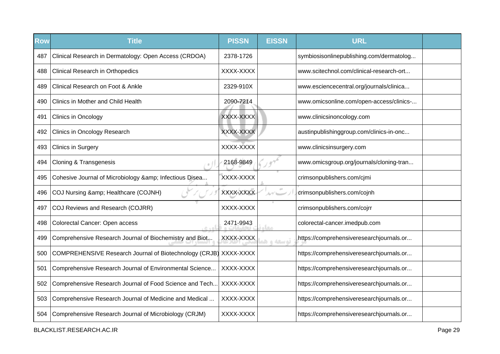| Row | <b>Title</b>                                                     | <b>PISSN</b> | <b>EISSN</b> | <b>URL</b>                               |  |
|-----|------------------------------------------------------------------|--------------|--------------|------------------------------------------|--|
| 487 | Clinical Research in Dermatology: Open Access (CRDOA)            | 2378-1726    |              | symbiosisonlinepublishing.com/dermatolog |  |
| 488 | <b>Clinical Research in Orthopedics</b>                          | XXXX-XXXX    |              | www.scitechnol.com/clinical-research-ort |  |
| 489 | Clinical Research on Foot & Ankle                                | 2329-910X    |              | www.esciencecentral.org/journals/clinica |  |
| 490 | Clinics in Mother and Child Health                               | 2090-7214    |              | www.omicsonline.com/open-access/clinics- |  |
| 491 | Clinics in Oncology                                              | XXXX-XXXX    |              | www.clinicsinoncology.com                |  |
| 492 | <b>Clinics in Oncology Research</b>                              | XXXX-XXXX    |              | austinpublishinggroup.com/clinics-in-onc |  |
| 493 | <b>Clinics in Surgery</b>                                        | XXXX-XXXX    |              | www.clinicsinsurgery.com                 |  |
| 494 | <b>Cloning &amp; Transgenesis</b>                                | 2168-9849    |              | www.omicsgroup.org/journals/cloning-tran |  |
| 495 | Cohesive Journal of Microbiology & Infectious Disea              | XXXX-XXXX    |              | crimsonpublishers.com/cjmi               |  |
| 496 | COJ Nursing & Healthcare (COJNH)                                 | XXXX-XXXX    | $\alpha$     | crimsonpublishers.com/cojnh              |  |
| 497 | COJ Reviews and Research (COJRR)                                 | XXXX-XXXX    |              | crimsonpublishers.com/cojrr              |  |
| 498 | Colorectal Cancer: Open access<br>$C + D$                        | 2471-9943    | مخاه         | colorectal-cancer.imedpub.com            |  |
| 499 | Comprehensive Research Journal of Biochemistry and Biot          | XXXX-XXXX    | توسعه و هد   | https://comprehensiveresearchjournals.or |  |
| 500 | COMPREHENSIVE Research Journal of Biotechnology (CRJB) XXXX-XXXX |              |              | https://comprehensiveresearchjournals.or |  |
| 501 | Comprehensive Research Journal of Environmental Science          | XXXX-XXXX    |              | https://comprehensiveresearchjournals.or |  |
| 502 | Comprehensive Research Journal of Food Science and Tech          | XXXX-XXXX    |              | https://comprehensiveresearchjournals.or |  |
| 503 | Comprehensive Research Journal of Medicine and Medical           | XXXX-XXXX    |              | https://comprehensiveresearchjournals.or |  |
| 504 | Comprehensive Research Journal of Microbiology (CRJM)            | XXXX-XXXX    |              | https://comprehensiveresearchjournals.or |  |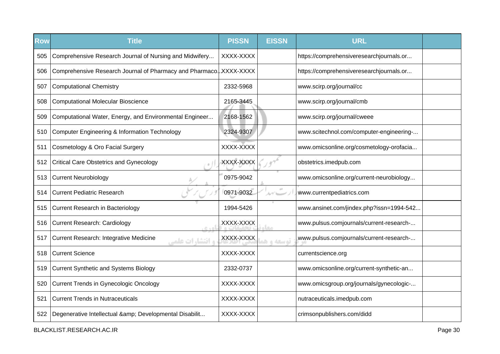| <b>Row</b> | <b>Title</b>                                                             | <b>PISSN</b> | <b>EISSN</b> | <b>URL</b>                               |  |
|------------|--------------------------------------------------------------------------|--------------|--------------|------------------------------------------|--|
| 505        | Comprehensive Research Journal of Nursing and Midwifery                  | XXXX-XXXX    |              | https://comprehensiveresearchjournals.or |  |
| 506        | Comprehensive Research Journal of Pharmacy and Pharmaco. XXXX-XXXX       |              |              | https://comprehensiveresearchjournals.or |  |
| 507        | <b>Computational Chemistry</b>                                           | 2332-5968    |              | www.scirp.org/journal/cc                 |  |
| 508        | <b>Computational Molecular Bioscience</b>                                | 2165-3445    |              | www.scirp.org/journal/cmb                |  |
| 509        | Computational Water, Energy, and Environmental Engineer                  | 2168-1562    |              | www.scirp.org/journal/cweee              |  |
| 510        | <b>Computer Engineering &amp; Information Technology</b>                 | 2324-9307    |              | www.scitechnol.com/computer-engineering- |  |
| 511        | Cosmetology & Oro Facial Surgery                                         | XXXX-XXXX    |              | www.omicsonline.org/cosmetology-orofacia |  |
| 512        | <b>Critical Care Obstetrics and Gynecology</b>                           | XXXX-XXXX    |              | obstetrics.imedpub.com                   |  |
| 513        | <b>Current Neurobiology</b>                                              | 0975-9042    |              | www.omicsonline.org/current-neurobiology |  |
| 514        | <b>Current Pediatric Research</b>                                        | 0971-9032    |              | www.currentpediatrics.com                |  |
| 515        | Current Research in Bacteriology                                         | 1994-5426    |              | www.ansinet.com/jindex.php?issn=1994-542 |  |
| 516        | <b>Current Research: Cardiology</b><br>$C + D$                           | XXXX-XXXX    | مخالم        | www.pulsus.comjournals/current-research- |  |
| 517        | <b>Current Research: Integrative Medicine</b><br><b>و انتشا, ات علمی</b> | XXXX-XXXX    | توسعه واهد   | www.pulsus.comjournals/current-research- |  |
| 518        | <b>Current Science</b>                                                   | XXXX-XXXX    |              | currentscience.org                       |  |
| 519        | <b>Current Synthetic and Systems Biology</b>                             | 2332-0737    |              | www.omicsonline.org/current-synthetic-an |  |
| 520        | <b>Current Trends in Gynecologic Oncology</b>                            | XXXX-XXXX    |              | www.omicsgroup.org/journals/gynecologic- |  |
| 521        | <b>Current Trends in Nutraceuticals</b>                                  | XXXX-XXXX    |              | nutraceuticals.imedpub.com               |  |
| 522        | Degenerative Intellectual & Developmental Disabilit                      | XXXX-XXXX    |              | crimsonpublishers.com/didd               |  |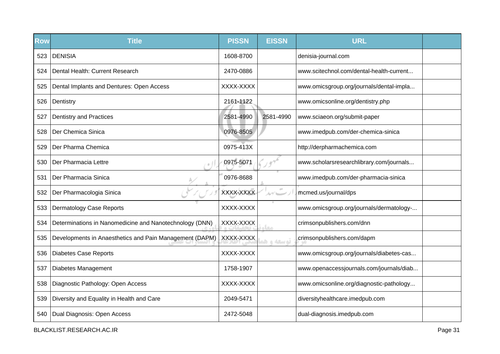| <b>Row</b> | <b>Title</b>                                            | <b>PISSN</b> | <b>EISSN</b>           | <b>URL</b>                               |  |
|------------|---------------------------------------------------------|--------------|------------------------|------------------------------------------|--|
| 523        | <b>DENISIA</b>                                          | 1608-8700    |                        | denisia-journal.com                      |  |
| 524        | Dental Health: Current Research                         | 2470-0886    |                        | www.scitechnol.com/dental-health-current |  |
| 525        | Dental Implants and Dentures: Open Access               | XXXX-XXXX    |                        | www.omicsgroup.org/journals/dental-impla |  |
| 526        | Dentistry                                               | 2161-1122    |                        | www.omicsonline.org/dentistry.php        |  |
| 527        | <b>Dentistry and Practices</b>                          | 2581-4990    | 2581-4990              | www.sciaeon.org/submit-paper             |  |
| 528        | Der Chemica Sinica                                      | 0976-8505    |                        | www.imedpub.com/der-chemica-sinica       |  |
| 529        | Der Pharma Chemica                                      | 0975-413X    |                        | http://derpharmachemica.com              |  |
| 530        | Der Pharmacia Lettre                                    | 0975-5071    |                        | www.scholarsresearchlibrary.com/journals |  |
| 531        | Der Pharmacia Sinica                                    | 0976-8688    |                        | www.imedpub.com/der-pharmacia-sinica     |  |
| 532        | Der Pharmacologia Sinica                                | XXXX-XXXX    | $\sigma^{\pm}$<br>ルブレー | mcmed.us/journal/dps                     |  |
| 533        | <b>Dermatology Case Reports</b>                         | XXXX-XXXX    |                        | www.omicsgroup.org/journals/dermatology- |  |
| 534        | Determinations in Nanomedicine and Nanotechnology (DNN) | XXXX-XXXX    | مخاه                   | crimsonpublishers.com/dnn                |  |
| 535        | Developments in Anaesthetics and Pain Management (DAPM) | XXXX-XXXX    | توسعه و هو             | crimsonpublishers.com/dapm               |  |
| 536        | <b>Diabetes Case Reports</b>                            | XXXX-XXXX    |                        | www.omicsgroup.org/journals/diabetes-cas |  |
| 537        | Diabetes Management                                     | 1758-1907    |                        | www.openaccessjournals.com/journals/diab |  |
| 538        | Diagnostic Pathology: Open Access                       | XXXX-XXXX    |                        | www.omicsonline.org/diagnostic-pathology |  |
| 539        | Diversity and Equality in Health and Care               | 2049-5471    |                        | diversityhealthcare.imedpub.com          |  |
| 540        | Dual Diagnosis: Open Access                             | 2472-5048    |                        | dual-diagnosis.imedpub.com               |  |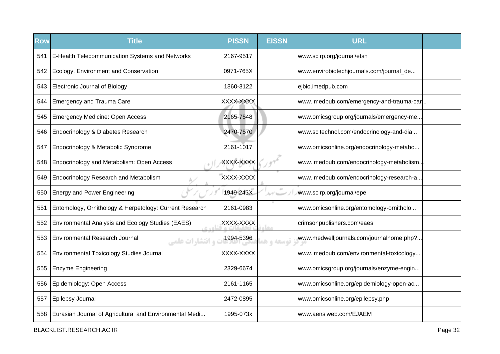| <b>Row</b> | <b>Title</b>                                               | <b>PISSN</b> | <b>EISSN</b> | <b>URL</b>                               |  |
|------------|------------------------------------------------------------|--------------|--------------|------------------------------------------|--|
| 541        | E-Health Telecommunication Systems and Networks            | 2167-9517    |              | www.scirp.org/journal/etsn               |  |
| 542        | Ecology, Environment and Conservation                      | 0971-765X    |              | www.envirobiotechjournals.com/journal_de |  |
| 543        | <b>Electronic Journal of Biology</b>                       | 1860-3122    |              | ejbio.imedpub.com                        |  |
| 544        | <b>Emergency and Trauma Care</b>                           | XXXX-XXXX    |              | www.imedpub.com/emergency-and-trauma-car |  |
| 545        | <b>Emergency Medicine: Open Access</b>                     | 2165-7548    |              | www.omicsgroup.org/journals/emergency-me |  |
| 546        | Endocrinology & Diabetes Research                          | 2470-7570    |              | www.scitechnol.com/endocrinology-and-dia |  |
| 547        | Endocrinology & Metabolic Syndrome                         | 2161-1017    |              | www.omicsonline.org/endocrinology-metabo |  |
| 548        | Endocrinology and Metabolism: Open Access                  | XXXX-XXXX    |              | www.imedpub.com/endocrinology-metabolism |  |
| 549        | Endocrinology Research and Metabolism                      | XXXX-XXXX    |              | www.imedpub.com/endocrinology-research-a |  |
| 550        | <b>Energy and Power Engineering</b>                        | 1949-243X    |              | www.scirp.org/journal/epe                |  |
| 551        | Entomology, Ornithology & Herpetology: Current Research    | 2161-0983    |              | www.omicsonline.org/entomology-ornitholo |  |
| 552        | Environmental Analysis and Ecology Studies (EAES)          | XXXX-XXXX    | معا          | crimsonpublishers.com/eaes               |  |
| 553        | <b>Environmental Research Journal</b><br>، و انتشارات علمی | 1994-5396    | توسعه و ه    | www.medwelljournals.com/journalhome.php? |  |
| 554        | <b>Environmental Toxicology Studies Journal</b>            | XXXX-XXXX    |              | www.imedpub.com/environmental-toxicology |  |
| 555        | <b>Enzyme Engineering</b>                                  | 2329-6674    |              | www.omicsgroup.org/journals/enzyme-engin |  |
| 556        | Epidemiology: Open Access                                  | 2161-1165    |              | www.omicsonline.org/epidemiology-open-ac |  |
| 557        | Epilepsy Journal                                           | 2472-0895    |              | www.omicsonline.org/epilepsy.php         |  |
| 558        | Eurasian Journal of Agricultural and Environmental Medi    | 1995-073x    |              | www.aensiweb.com/EJAEM                   |  |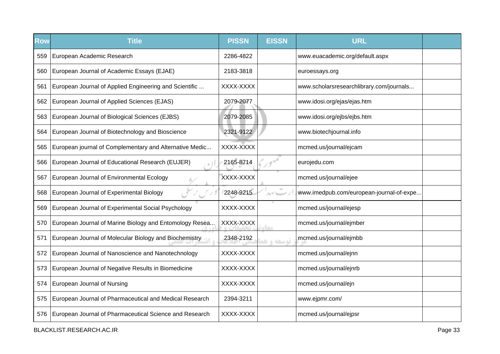| <b>Row</b> | <b>Title</b>                                            | <b>PISSN</b> | <b>EISSN</b> | <b>URL</b>                               |  |
|------------|---------------------------------------------------------|--------------|--------------|------------------------------------------|--|
| 559        | European Academic Research                              | 2286-4822    |              | www.euacademic.org/default.aspx          |  |
| 560        | European Journal of Academic Essays (EJAE)              | 2183-3818    |              | euroessays.org                           |  |
| 561        | European Journal of Applied Engineering and Scientific  | XXXX-XXXX    |              | www.scholarsresearchlibrary.com/journals |  |
| 562        | European Journal of Applied Sciences (EJAS)             | 2079-2077    |              | www.idosi.org/ejas/ejas.htm              |  |
| 563        | European Journal of Biological Sciences (EJBS)          | 2079-2085    |              | www.idosi.org/ejbs/ejbs.htm              |  |
| 564        | European Journal of Biotechnology and Bioscience        | 2321-9122    |              | www.biotechjournal.info                  |  |
| 565        | European journal of Complementary and Alternative Medic | XXXX-XXXX    |              | mcmed.us/journal/ejcam                   |  |
| 566        | European Journal of Educational Research (EUJER)        | 2165-8714    |              | eurojedu.com                             |  |
| 567        | European Journal of Environmental Ecology               | XXXX-XXXX    |              | mcmed.us/journal/ejee                    |  |
| 568        | European Journal of Experimental Biology                | 2248-9215    |              | www.imedpub.com/european-journal-of-expe |  |
| 569        | European Journal of Experimental Social Psychology      | XXXX-XXXX    |              | mcmed.us/journal/ejesp                   |  |
| 570        | European Journal of Marine Biology and Entomology Resea | XXXX-XXXX    | <b>RAY</b>   | mcmed.us/journal/ejmber                  |  |
| 571        | European Journal of Molecular Biology and Biochemistry  | 2348-2192    | توسعه و ه    | mcmed.us/journal/ejmbb                   |  |
| 572        | European Journal of Nanoscience and Nanotechnology      | XXXX-XXXX    |              | mcmed.us/journal/ejnn                    |  |
| 573        | European Journal of Negative Results in Biomedicine     | XXXX-XXXX    |              | mcmed.us/journal/ejnrb                   |  |
| 574        | European Journal of Nursing                             | XXXX-XXXX    |              | mcmed.us/journal/ejn                     |  |
| 575        | European Journal of Pharmaceutical and Medical Research | 2394-3211    |              | www.ejpmr.com/                           |  |
| 576        | European Journal of Pharmaceutical Science and Research | XXXX-XXXX    |              | mcmed.us/journal/ejpsr                   |  |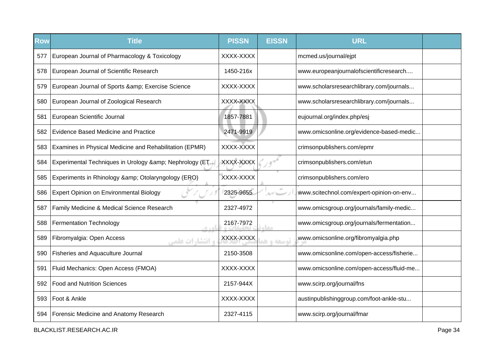| <b>Row</b> | <b>Title</b>                                             | <b>PISSN</b> | <b>EISSN</b> | <b>URL</b>                               |  |
|------------|----------------------------------------------------------|--------------|--------------|------------------------------------------|--|
| 577        | European Journal of Pharmacology & Toxicology            | XXXX-XXXX    |              | mcmed.us/journal/ejpt                    |  |
| 578        | European Journal of Scientific Research                  | 1450-216x    |              | www.europeanjournalofscientificresearch  |  |
| 579        | European Journal of Sports & amp; Exercise Science       | XXXX-XXXX    |              | www.scholarsresearchlibrary.com/journals |  |
| 580        | European Journal of Zoological Research                  | XXXX-XXXX    |              | www.scholarsresearchlibrary.com/journals |  |
| 581        | European Scientific Journal                              | 1857-7881    |              | eujournal.org/index.php/esj              |  |
| 582        | <b>Evidence Based Medicine and Practice</b>              | 2471-9919    |              | www.omicsonline.org/evidence-based-medic |  |
| 583        | Examines in Physical Medicine and Rehabilitation (EPMR)  | XXXX-XXXX    |              | crimsonpublishers.com/epmr               |  |
| 584        | Experimental Techniques in Urology & amp; Nephrology (ET | XXXX-XXXX    |              | crimsonpublishers.com/etun               |  |
| 585        | Experiments in Rhinology & Otolaryngology (ERO)          | XXXX-XXXX    |              | crimsonpublishers.com/ero                |  |
| 586        | Expert Opinion on Environmental Biology                  | 2325-9655    | ルゲレー         | www.scitechnol.com/expert-opinion-on-env |  |
| 587        | Family Medicine & Medical Science Research               | 2327-4972    |              | www.omicsgroup.org/journals/family-medic |  |
| 588        | <b>Fermentation Technology</b><br>6.401                  | 2167-7972    | مخاه         | www.omicsgroup.org/journals/fermentation |  |
| 589        | Fibromyalgia: Open Access<br>و انتشارات علمی             | XXXX-XXXX    | توسعه و هم   | www.omicsonline.org/fibromyalgia.php     |  |
| 590        | Fisheries and Aquaculture Journal                        | 2150-3508    |              | www.omicsonline.com/open-access/fisherie |  |
| 591        | Fluid Mechanics: Open Access (FMOA)                      | XXXX-XXXX    |              | www.omicsonline.com/open-access/fluid-me |  |
| 592        | <b>Food and Nutrition Sciences</b>                       | 2157-944X    |              | www.scirp.org/journal/fns                |  |
| 593        | Foot & Ankle                                             | XXXX-XXXX    |              | austinpublishinggroup.com/foot-ankle-stu |  |
| 594        | Forensic Medicine and Anatomy Research                   | 2327-4115    |              | www.scirp.org/journal/fmar               |  |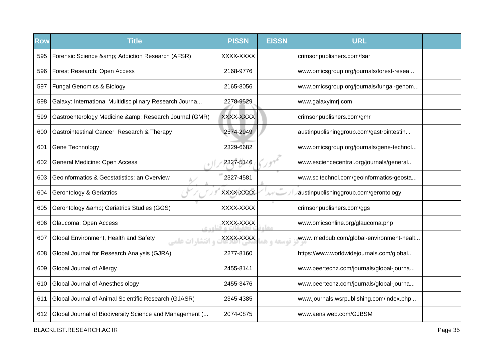| <b>Row</b> | <b>Title</b>                                                     | <b>PISSN</b> | <b>EISSN</b> | <b>URL</b>                               |  |
|------------|------------------------------------------------------------------|--------------|--------------|------------------------------------------|--|
| 595        | Forensic Science & Addiction Research (AFSR)                     | XXXX-XXXX    |              | crimsonpublishers.com/fsar               |  |
| 596        | Forest Research: Open Access                                     | 2168-9776    |              | www.omicsgroup.org/journals/forest-resea |  |
| 597        | <b>Fungal Genomics &amp; Biology</b>                             | 2165-8056    |              | www.omicsgroup.org/journals/fungal-genom |  |
| 598        | Galaxy: International Multidisciplinary Research Journa          | 2278-9529    |              | www.galaxyimrj.com                       |  |
| 599        | Gastroenterology Medicine & Research Journal (GMR)               | XXXX-XXXX    |              | crimsonpublishers.com/gmr                |  |
| 600        | Gastrointestinal Cancer: Research & Therapy                      | 2574-2949    |              | austinpublishinggroup.com/gastrointestin |  |
| 601        | Gene Technology                                                  | 2329-6682    |              | www.omicsgroup.org/journals/gene-technol |  |
| 602        | General Medicine: Open Access                                    | 2327-5146    |              | www.esciencecentral.org/journals/general |  |
| 603        | Geoinformatics & Geostatistics: an Overview                      | 2327-4581    |              | www.scitechnol.com/geoinformatics-geosta |  |
| 604        | <b>Gerontology &amp; Geriatrics</b>                              | XXXX-XXXX    | ルイレー         | austinpublishinggroup.com/gerontology    |  |
| 605        | Gerontology & Geriatrics Studies (GGS)                           | XXXX-XXXX    |              | crimsonpublishers.com/ggs                |  |
| 606        | Glaucoma: Open Access<br>$R \triangleq 0$                        | XXXX-XXXX    | <b>Leurs</b> | www.omicsonline.org/glaucoma.php         |  |
| 607        | Global Environment, Health and Safety<br><b>، انتشا, ات علمی</b> | XXXX-XXXX    | توسعه و هو   | www.imedpub.com/global-environment-healt |  |
| 608        | Global Journal for Research Analysis (GJRA)                      | 2277-8160    |              | https://www.worldwidejournals.com/global |  |
| 609        | Global Journal of Allergy                                        | 2455-8141    |              | www.peertechz.com/journals/global-journa |  |
| 610        | Global Journal of Anesthesiology                                 | 2455-3476    |              | www.peertechz.com/journals/global-journa |  |
| 611        | Global Journal of Animal Scientific Research (GJASR)             | 2345-4385    |              | www.journals.wsrpublishing.com/index.php |  |
| 612        | Global Journal of Biodiversity Science and Management (          | 2074-0875    |              | www.aensiweb.com/GJBSM                   |  |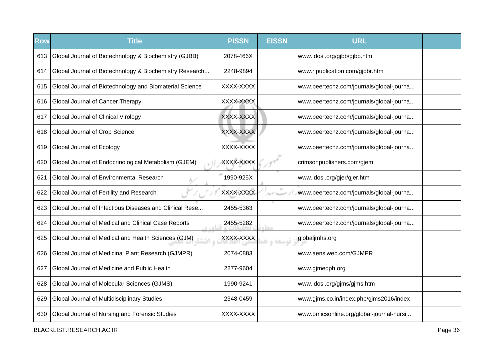| <b>Row</b> | <b>Title</b>                                            | <b>PISSN</b> | <b>EISSN</b> | <b>URL</b>                               |  |
|------------|---------------------------------------------------------|--------------|--------------|------------------------------------------|--|
| 613        | Global Journal of Biotechnology & Biochemistry (GJBB)   | 2078-466X    |              | www.idosi.org/gjbb/gjbb.htm              |  |
| 614        | Global Journal of Biotechnology & Biochemistry Research | 2248-9894    |              | www.ripublication.com/gjbbr.htm          |  |
| 615        | Global Journal of Biotechnology and Biomaterial Science | XXXX-XXXX    |              | www.peertechz.com/journals/global-journa |  |
| 616        | Global Journal of Cancer Therapy                        | XXXX-XXXX    |              | www.peertechz.com/journals/global-journa |  |
| 617        | Global Journal of Clinical Virology                     | XXXX-XXXX    |              | www.peertechz.com/journals/global-journa |  |
| 618        | Global Journal of Crop Science                          | XXXX-XXXX    |              | www.peertechz.com/journals/global-journa |  |
| 619        | Global Journal of Ecology                               | XXXX-XXXX    |              | www.peertechz.com/journals/global-journa |  |
| 620        | Global Journal of Endocrinological Metabolism (GJEM)    | XXXX-XXXX    |              | crimsonpublishers.com/gjem               |  |
| 621        | Global Journal of Environmental Research                | 1990-925X    |              | www.idosi.org/gjer/gjer.htm              |  |
| 622        | Global Journal of Fertility and Research                | XXXX-XXXX    | $\alpha$     | www.peertechz.com/journals/global-journa |  |
| 623        | Global Journal of Infectious Diseases and Clinical Rese | 2455-5363    |              | www.peertechz.com/journals/global-journa |  |
| 624        | Global Journal of Medical and Clinical Case Reports     | 2455-5282    | مخاه         | www.peertechz.com/journals/global-journa |  |
| 625        | Global Journal of Medical and Health Sciences (GJM)     | XXXX-XXXX    | توسعه و هد   | globaljmhs.org                           |  |
| 626        | Global Journal of Medicinal Plant Research (GJMPR)      | 2074-0883    |              | www.aensiweb.com/GJMPR                   |  |
| 627        | Global Journal of Medicine and Public Health            | 2277-9604    |              | www.gjmedph.org                          |  |
| 628        | Global Journal of Molecular Sciences (GJMS)             | 1990-9241    |              | www.idosi.org/gjms/gjms.htm              |  |
| 629        | Global Journal of Multidisciplinary Studies             | 2348-0459    |              | www.gjms.co.in/index.php/gjms2016/index  |  |
| 630        | Global Journal of Nursing and Forensic Studies          | XXXX-XXXX    |              | www.omicsonline.org/global-journal-nursi |  |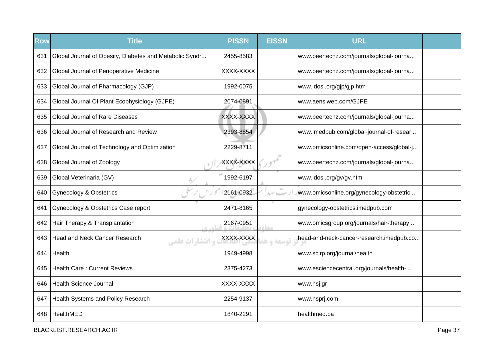| <b>Row</b> | <b>Title</b>                                                   | <b>PISSN</b> | <b>EISSN</b> | <b>URL</b>                               |  |
|------------|----------------------------------------------------------------|--------------|--------------|------------------------------------------|--|
| 631        | Global Journal of Obesity, Diabetes and Metabolic Syndr        | 2455-8583    |              | www.peertechz.com/journals/global-journa |  |
| 632        | Global Journal of Perioperative Medicine                       | XXXX-XXXX    |              | www.peertechz.com/journals/global-journa |  |
| 633        | Global Journal of Pharmacology (GJP)                           | 1992-0075    |              | www.idosi.org/gjp/gjp.htm                |  |
| 634        | Global Journal Of Plant Ecophysiology (GJPE)                   | 2074-0891    |              | www.aensiweb.com/GJPE                    |  |
| 635        | <b>Global Journal of Rare Diseases</b>                         | XXXX-XXXX    |              | www.peertechz.com/journals/global-journa |  |
| 636        | Global Journal of Research and Review                          | 2393-8854    |              | www.imedpub.com/global-journal-of-resear |  |
| 637        | Global Journal of Technology and Optimization                  | 2229-8711    |              | www.omicsonline.com/open-access/global-j |  |
| 638        | Global Journal of Zoology                                      | XXXX-XXXX    |              | www.peertechz.com/journals/global-journa |  |
| 639        | Global Veterinaria (GV)                                        | 1992-6197    |              | www.idosi.org/gv/gv.htm                  |  |
| 640        | <b>Gynecology &amp; Obstetrics</b>                             | 2161-0932    | $\pm 0$      | www.omicsonline.org/gynecology-obstetric |  |
| 641        | Gynecology & Obstetrics Case report                            | 2471-8165    |              | gynecology-obstetrics.imedpub.com        |  |
| 642        | Hair Therapy & Transplantation                                 | 2167-0951    | معاد         | www.omicsgroup.org/journals/hair-therapy |  |
| 643        | <b>Head and Neck Cancer Research</b><br><b>و انتشارات علمی</b> | XXXX-XXXX    | توسعه و هم   | head-and-neck-cancer-research.imedpub.co |  |
| 644        | Health                                                         | 1949-4998    |              | www.scirp.org/journal/health             |  |
| 645        | <b>Health Care: Current Reviews</b>                            | 2375-4273    |              | www.esciencecentral.org/journals/health- |  |
| 646        | <b>Health Science Journal</b>                                  | XXXX-XXXX    |              | www.hsj.gr                               |  |
| 647        | Health Systems and Policy Research                             | 2254-9137    |              | www.hsprj.com                            |  |
| 648        | HealthMED                                                      | 1840-2291    |              | healthmed.ba                             |  |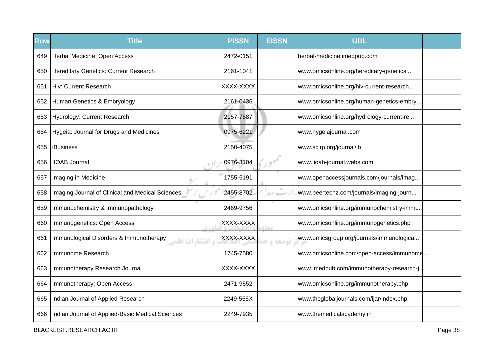| <b>Row</b> | <b>Title</b>                                                       | <b>PISSN</b> | <b>EISSN</b>  | <b>URL</b>                               |  |
|------------|--------------------------------------------------------------------|--------------|---------------|------------------------------------------|--|
| 649        | Herbal Medicine: Open Access                                       | 2472-0151    |               | herbal-medicine.imedpub.com              |  |
| 650        | <b>Hereditary Genetics: Current Research</b>                       | 2161-1041    |               | www.omicsonline.org/hereditary-genetics  |  |
| 651        | Hiv: Current Research                                              | XXXX-XXXX    |               | www.omicsonline.org/hiv-current-research |  |
| 652        | Human Genetics & Embryology                                        | 2161-0436    |               | www.omicsonline.org/human-genetics-embry |  |
| 653        | Hydrology: Current Research                                        | 2157-7587    |               | www.omicsonline.org/hydrology-current-re |  |
| 654        | Hygeia: Journal for Drugs and Medicines                            | 0975-6221    |               | www.hygeiajournal.com                    |  |
| 655        | iBusiness                                                          | 2150-4075    |               | www.scirp.org/journal/ib                 |  |
| 656        | <b>IIOAB Journal</b>                                               | 0976-3104    |               | www.iioab-journal.webs.com               |  |
| 657        | Imaging in Medicine                                                | 1755-5191    |               | www.openaccessjournals.com/journals/imag |  |
| 658        | Imaging Journal of Clinical and Medical Sciences                   | 2455-8702    | $\alpha\beta$ | www.peertechz.com/journals/imaging-journ |  |
| 659        | Immunochemistry & Immunopathology                                  | 2469-9756    |               | www.omicsonline.org/immunochemistry-immu |  |
| 660        | Immunogenetics: Open Access                                        | XXXX-XXXX    | مھا           | www.omicsonline.org/immunogenetics.php   |  |
| 661        | Immunological Disorders & Immunotherapy<br><b>، انتشا, ات علمہ</b> | XXXX-XXXX    | توسعه و هد    | www.omicsgroup.org/journals/immunologica |  |
| 662        | Immunome Research                                                  | 1745-7580    |               | www.omicsonline.com/open-access/immunome |  |
| 663        | Immunotherapy Research Journal                                     | XXXX-XXXX    |               | www.imedpub.com/immunotherapy-research-j |  |
| 664        | Immunotherapy: Open Access                                         | 2471-9552    |               | www.omicsonline.org/immunotherapy.php    |  |
| 665        | Indian Journal of Applied Research                                 | 2249-555X    |               | www.theglobaljournals.com/ijar/index.php |  |
| 666        | Indian Journal of Applied-Basic Medical Sciences                   | 2249-7935    |               | www.themedicalacademy.in                 |  |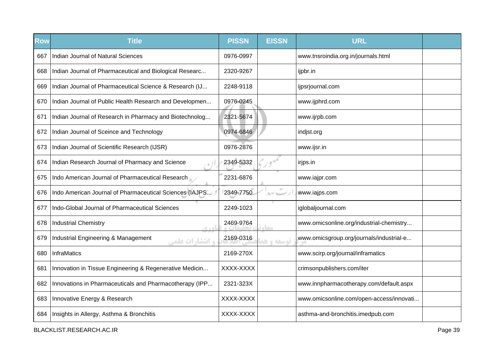| Row | <b>Title</b>                                                  | <b>PISSN</b> | <b>EISSN</b>    | <b>URL</b>                               |  |
|-----|---------------------------------------------------------------|--------------|-----------------|------------------------------------------|--|
| 667 | Indian Journal of Natural Sciences                            | 0976-0997    |                 | www.tnsroindia.org.in/journals.html      |  |
| 668 | Indian Journal of Pharmaceutical and Biological Researc       | 2320-9267    |                 | ijpbr.in                                 |  |
| 669 | Indian Journal of Pharmaceutical Science & Research (IJ       | 2248-9118    |                 | ijpsrjournal.com                         |  |
| 670 | Indian Journal of Public Health Research and Developmen       | 0976-0245    |                 | www.ijphrd.com                           |  |
| 671 | Indian Journal of Research in Pharmacy and Biotechnolog       | 2321-5674    |                 | www.ijrpb.com                            |  |
| 672 | Indian Journal of Sceince and Technology                      | 0974-6846    |                 | indjst.org                               |  |
| 673 | Indian Journal of Scientific Research (IJSR)                  | 0976-2876    |                 | www.ijsr.in                              |  |
| 674 | Indian Research Journal of Pharmacy and Science               | 2349-5332    |                 | irjps.in                                 |  |
| 675 | Indo American Journal of Pharmaceutical Research              | 2231-6876    |                 | www.iajpr.com                            |  |
| 676 | Indo American Journal of Pharmaceutical Sciences (IAJPS       | 2349-7750    | $\pm 0$<br>ルゲニー | www.iajps.com                            |  |
| 677 | Indo-Global Journal of Pharmaceutical Sciences                | 2249-1023    |                 | iglobaljournal.com                       |  |
| 678 | <b>Industrial Chemistry</b>                                   | 2469-9764    | مغاه            | www.omicsonline.org/industrial-chemistry |  |
| 679 | Industrial Engineering & Management<br><b>و انتشا,ات علمے</b> | 2169-0316    | توسعه و هم      | www.omicsgroup.org/journals/industrial-e |  |
| 680 | InfraMatics                                                   | 2169-270X    |                 | www.scirp.org/journal/inframatics        |  |
| 681 | Innovation in Tissue Engineering & Regenerative Medicin       | XXXX-XXXX    |                 | crimsonpublishers.com/iter               |  |
| 682 | Innovations in Pharmaceuticals and Pharmacotherapy (IPP       | 2321-323X    |                 | www.innpharmacotherapy.com/default.aspx  |  |
| 683 | Innovative Energy & Research                                  | XXXX-XXXX    |                 | www.omicsonline.com/open-access/innovati |  |
| 684 | Insights in Allergy, Asthma & Bronchitis                      | XXXX-XXXX    |                 | asthma-and-bronchitis.imedpub.com        |  |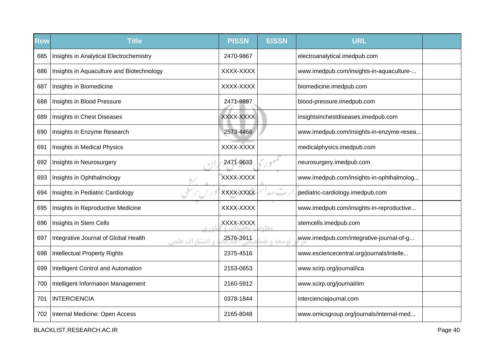| Row | <b>Title</b>                                                    | <b>PISSN</b> | <b>EISSN</b> | <b>URL</b>                               |  |
|-----|-----------------------------------------------------------------|--------------|--------------|------------------------------------------|--|
| 685 | Insights in Analytical Electrochemistry                         | 2470-9867    |              | electroanalytical.imedpub.com            |  |
| 686 | Insights in Aquaculture and Biotechnology                       | XXXX-XXXX    |              | www.imedpub.com/insights-in-aquaculture- |  |
| 687 | Insights in Biomedicine                                         | XXXX-XXXX    |              | biomedicine.imedpub.com                  |  |
| 688 | Insights in Blood Pressure                                      | 2471-9897    |              | blood-pressure.imedpub.com               |  |
| 689 | Insights in Chest Diseases                                      | XXXX-XXXX    |              | insightsinchestdiseases.imedpub.com      |  |
| 690 | Insights in Enzyme Research                                     | 2573-4466    |              | www.imedpub.com/insights-in-enzyme-resea |  |
| 691 | Insights in Medical Physics                                     | XXXX-XXXX    |              | medicalphysics.imedpub.com               |  |
| 692 | Insights in Neurosurgery                                        | 2471-9633    |              | neurosurgery.imedpub.com                 |  |
| 693 | Insights in Ophthalmology                                       | XXXX-XXXX    |              | www.imedpub.com/insights-in-ophthalmolog |  |
| 694 | Insights in Pediatric Cardiology                                | XXXX-XXXX    | ルイー          | pediatric-cardiology.imedpub.com         |  |
| 695 | Insights in Reproductive Medicine                               | XXXX-XXXX    |              | www.imedpub.com/insights-in-reproductive |  |
| 696 | Insights in Stem Cells<br>$C + D$                               | XXXX-XXXX    | مغار         | stemcells.imedpub.com                    |  |
| 697 | Integrative Journal of Global Health<br><b>، انتشا, ات علمی</b> | 2576-3911    | توسعه و ه    | www.imedpub.com/integrative-journal-of-g |  |
| 698 | <b>Intellectual Property Rights</b>                             | 2375-4516    |              | www.esciencecentral.org/journals/intelle |  |
| 699 | Intelligent Control and Automation                              | 2153-0653    |              | www.scirp.org/journal/ica                |  |
| 700 | Intelligent Information Management                              | 2160-5912    |              | www.scirp.org/journal/iim                |  |
| 701 | <b>INTERCIENCIA</b>                                             | 0378-1844    |              | intercienciajournal.com                  |  |
| 702 | Internal Medicine: Open Access                                  | 2165-8048    |              | www.omicsgroup.org/journals/internal-med |  |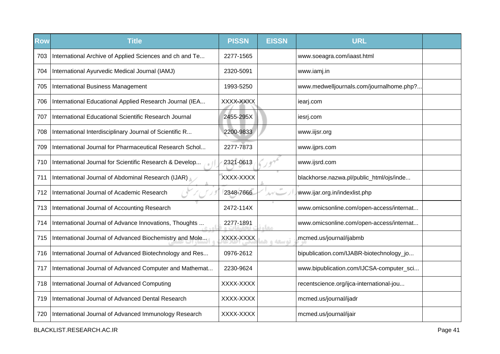| <b>Row</b> | <b>Title</b>                                            | <b>PISSN</b> | <b>EISSN</b> | <b>URL</b>                               |  |
|------------|---------------------------------------------------------|--------------|--------------|------------------------------------------|--|
| 703        | International Archive of Applied Sciences and ch and Te | 2277-1565    |              | www.soeagra.com/iaast.html               |  |
| 704        | International Ayurvedic Medical Journal (IAMJ)          | 2320-5091    |              | www.iamj.in                              |  |
| 705        | <b>International Business Management</b>                | 1993-5250    |              | www.medwelljournals.com/journalhome.php? |  |
| 706        | International Educational Applied Research Journal (IEA | XXXX-XXXX    |              | iearj.com                                |  |
| 707        | International Educational Scientific Research Journal   | 2455-295X    |              | iesrj.com                                |  |
| 708        | International Interdisciplinary Journal of Scientific R | 2200-9833    |              | www.iijsr.org                            |  |
| 709        | International Journal for Pharmaceutical Research Schol | 2277-7873    |              | www.ijprs.com                            |  |
| 710        | International Journal for Scientific Research & Develop | 2321-0613    |              | www.ijsrd.com                            |  |
| 711        | International Journal of Abdominal Research (IJAR)      | XXXX-XXXX    |              | blackhorse.nazwa.pl/public_html/ojs/inde |  |
| 712        | International Journal of Academic Research              | 2348-7666    |              | www.ijar.org.in/indexlist.php            |  |
| 713        | International Journal of Accounting Research            | 2472-114X    |              | www.omicsonline.com/open-access/internat |  |
| 714        | International Journal of Advance Innovations, Thoughts  | 2277-1891    | <b>COLO</b>  | www.omicsonline.com/open-access/internat |  |
| 715        | International Journal of Advanced Biochemistry and Mole | XXXX-XXXX    | توسعه و هذ   | mcmed.us/journal/ijabmb                  |  |
| 716        | International Journal of Advanced Biotechnology and Res | 0976-2612    |              | bipublication.com/IJABR-biotechnology_jo |  |
| 717        | International Journal of Advanced Computer and Mathemat | 2230-9624    |              | www.bipublication.com/IJCSA-computer_sci |  |
| 718        | International Journal of Advanced Computing             | XXXX-XXXX    |              | recentscience.org/ijca-international-jou |  |
| 719        | International Journal of Advanced Dental Research       | XXXX-XXXX    |              | mcmed.us/journal/ijadr                   |  |
| 720        | International Journal of Advanced Immunology Research   | XXXX-XXXX    |              | mcmed.us/journal/ijair                   |  |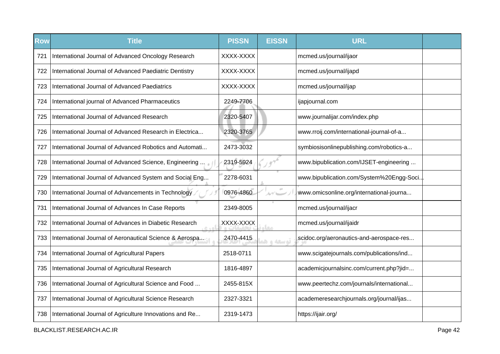| <b>Row</b> | <b>Title</b>                                            | <b>PISSN</b> | <b>EISSN</b> | <b>URL</b>                               |  |
|------------|---------------------------------------------------------|--------------|--------------|------------------------------------------|--|
| 721        | International Journal of Advanced Oncology Research     | XXXX-XXXX    |              | mcmed.us/journal/ijaor                   |  |
| 722        | International Journal of Advanced Paediatric Dentistry  | XXXX-XXXX    |              | mcmed.us/journal/ijapd                   |  |
| 723        | International Journal of Advanced Paediatrics           | XXXX-XXXX    |              | mcmed.us/journal/ijap                    |  |
| 724        | International journal of Advanced Pharmaceutics         | 2249-7706    |              | ijapjournal.com                          |  |
| 725        | International Journal of Advanced Research              | 2320-5407    |              | www.journalijar.com/index.php            |  |
| 726        | International Journal of Advanced Research in Electrica | 2320-3765    |              | www.rroij.com/international-journal-of-a |  |
| 727        | International Journal of Advanced Robotics and Automati | 2473-3032    |              | symbiosisonlinepublishing.com/robotics-a |  |
| 728        | International Journal of Advanced Science, Engineering  | 2319-5924    |              | www.bipublication.com/IJSET-engineering  |  |
| 729        | International Journal of Advanced System and Social Eng | 2278-6031    |              | www.bipublication.com/System%20Engg-Soci |  |
| 730        | International Journal of Advancements in Technology     | 0976-4860    | $\alpha$     | www.omicsonline.org/international-journa |  |
| 731        | International Journal of Advances In Case Reports       | 2349-8005    |              | mcmed.us/journal/ijacr                   |  |
| 732        | International Journal of Advances in Diabetic Research  | XXXX-XXXX    | معام         | mcmed.us/journal/ijaidr                  |  |
| 733        | International Journal of Aeronautical Science & Aerospa | 2470-4415    | توسعه و ه    | scidoc.org/aeronautics-and-aerospace-res |  |
| 734        | International Journal of Agricultural Papers            | 2518-0711    |              | www.scigatejournals.com/publications/ind |  |
| 735        | International Journal of Agricultural Research          | 1816-4897    |              | academicjournalsinc.com/current.php?jid= |  |
| 736        | International Journal of Agricultural Science and Food  | 2455-815X    |              | www.peertechz.com/journals/international |  |
| 737        | International Journal of Agricultural Science Research  | 2327-3321    |              | academeresearchjournals.org/journal/ijas |  |
| 738        | International Journal of Agriculture Innovations and Re | 2319-1473    |              | https://ijair.org/                       |  |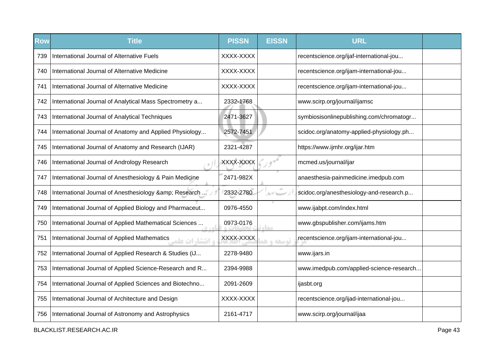| <b>Row</b> | <b>Title</b>                                                    | <b>PISSN</b> | <b>EISSN</b> | <b>URL</b>                               |  |
|------------|-----------------------------------------------------------------|--------------|--------------|------------------------------------------|--|
| 739        | International Journal of Alternative Fuels                      | XXXX-XXXX    |              | recentscience.org/ijaf-international-jou |  |
| 740        | International Journal of Alternative Medicine                   | XXXX-XXXX    |              | recentscience.org/ijam-international-jou |  |
| 741        | International Journal of Alternative Medicine                   | XXXX-XXXX    |              | recentscience.org/ijam-international-jou |  |
| 742        | International Journal of Analytical Mass Spectrometry a         | 2332-1768    |              | www.scirp.org/journal/ijamsc             |  |
| 743        | International Journal of Analytical Techniques                  | 2471-3627    |              | symbiosisonlinepublishing.com/chromatogr |  |
| 744        | International Journal of Anatomy and Applied Physiology         | 2572-7451    |              | scidoc.org/anatomy-applied-physiology.ph |  |
| 745        | International Journal of Anatomy and Research (IJAR)            | 2321-4287    |              | https://www.ijmhr.org/ijar.htm           |  |
| 746        | International Journal of Andrology Research                     | XXXX-XXXX    |              | mcmed.us/journal/ijar                    |  |
| 747        | International Journal of Anesthesiology & Pain Medicine         | 2471-982X    |              | anaesthesia-painmedicine.imedpub.com     |  |
| 748        | International Journal of Anesthesiology & amp; Research         | 2332-2780    | ルゲーー         | scidoc.org/anesthesiology-and-research.p |  |
| 749        | International Journal of Applied Biology and Pharmaceut         | 0976-4550    |              | www.ijabpt.com/index.html                |  |
| 750        | International Journal of Applied Mathematical Sciences          | 0973-0176    | <b>COLO</b>  | www.gbspublisher.com/ijams.htm           |  |
| 751        | International Journal of Applied Mathematics<br>ه انتشا، ات علم | XXXX-XXXX    | توسعه و هد   | recentscience.org/ijam-international-jou |  |
| 752        | International Journal of Applied Research & Studies (iJ         | 2278-9480    |              | www.ijars.in                             |  |
| 753        | International Journal of Applied Science-Research and R         | 2394-9988    |              | www.imedpub.com/applied-science-research |  |
| 754        | International Journal of Applied Sciences and Biotechno         | 2091-2609    |              | ijasbt.org                               |  |
| 755        | International Journal of Architecture and Design                | XXXX-XXXX    |              | recentscience.org/ijad-international-jou |  |
| 756        | International Journal of Astronomy and Astrophysics             | 2161-4717    |              | www.scirp.org/journal/ijaa               |  |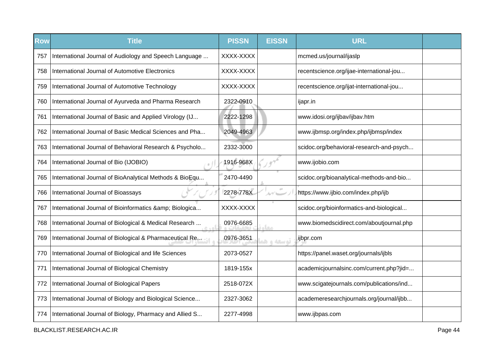| <b>Row</b> | <b>Title</b>                                               | <b>PISSN</b> | <b>EISSN</b>                    | <b>URL</b>                               |  |
|------------|------------------------------------------------------------|--------------|---------------------------------|------------------------------------------|--|
| 757        | International Journal of Audiology and Speech Language     | XXXX-XXXX    |                                 | mcmed.us/journal/ijaslp                  |  |
| 758        | International Journal of Automotive Electronics            | XXXX-XXXX    |                                 | recentscience.org/ijae-international-jou |  |
| 759        | International Journal of Automotive Technology             | XXXX-XXXX    |                                 | recentscience.org/ijat-international-jou |  |
| 760        | International Journal of Ayurveda and Pharma Research      | 2322-0910    |                                 | ijapr.in                                 |  |
| 761        | International Journal of Basic and Applied Virology (IJ    | 2222-1298    |                                 | www.idosi.org/ijbav/ijbav.htm            |  |
| 762        | International Journal of Basic Medical Sciences and Pha    | 2049-4963    |                                 | www.ijbmsp.org/index.php/ijbmsp/index    |  |
| 763        | International Journal of Behavioral Research & Psycholo    | 2332-3000    |                                 | scidoc.org/behavioral-research-and-psych |  |
| 764        | International Journal of Bio (IJOBIO)                      | 1916-968X    |                                 | www.ijobio.com                           |  |
| 765        | International Journal of BioAnalytical Methods & BioEqu    | 2470-4490    |                                 | scidoc.org/bioanalytical-methods-and-bio |  |
| 766        | International Journal of Bioassays                         | 2278-778X    | $\mathcal{N}$ and $\mathcal{N}$ | https://www.ijbio.com/index.php/ijb      |  |
| 767        | International Journal of Bioinformatics & Biologica        | XXXX-XXXX    |                                 | scidoc.org/bioinformatics-and-biological |  |
| 768        | International Journal of Biological & Medical Research     | 0976-6685    | <b>COLO</b>                     | www.biomedscidirect.com/aboutjournal.php |  |
| 769        | International Journal of Biological & Pharmaceutical Reman | 0976-3651    | توسعه و هد                      | ijbpr.com                                |  |
| 770        | International Journal of Biological and life Sciences      | 2073-0527    |                                 | https://panel.waset.org/journals/ijbls   |  |
| 771        | International Journal of Biological Chemistry              | 1819-155x    |                                 | academicjournalsinc.com/current.php?jid= |  |
| 772        | International Journal of Biological Papers                 | 2518-072X    |                                 | www.scigatejournals.com/publications/ind |  |
| 773        | International Journal of Biology and Biological Science    | 2327-3062    |                                 | academeresearchjournals.org/journal/ijbb |  |
| 774        | International Journal of Biology, Pharmacy and Allied S    | 2277-4998    |                                 | www.ijbpas.com                           |  |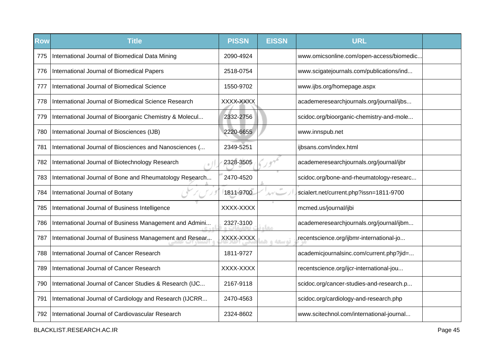| <b>Row</b> | <b>Title</b>                                            | <b>PISSN</b> | <b>EISSN</b>     | <b>URL</b>                               |  |
|------------|---------------------------------------------------------|--------------|------------------|------------------------------------------|--|
| 775        | International Journal of Biomedical Data Mining         | 2090-4924    |                  | www.omicsonline.com/open-access/biomedic |  |
| 776        | International Journal of Biomedical Papers              | 2518-0754    |                  | www.scigatejournals.com/publications/ind |  |
| 777        | International Journal of Biomedical Science             | 1550-9702    |                  | www.ijbs.org/homepage.aspx               |  |
| 778        | International Journal of Biomedical Science Research    | XXXX-XXXX    |                  | academeresearchjournals.org/journal/ijbs |  |
| 779        | International Journal of Bioorganic Chemistry & Molecul | 2332-2756    |                  | scidoc.org/bioorganic-chemistry-and-mole |  |
| 780        | International Journal of Biosciences (IJB)              | 2220-6655    |                  | www.innspub.net                          |  |
| 781        | International Journal of Biosciences and Nanosciences ( | 2349-5251    |                  | ijbsans.com/index.html                   |  |
| 782        | International Journal of Biotechnology Research         | 2328-3505    |                  | academeresearchjournals.org/journal/ijbr |  |
| 783        | International Journal of Bone and Rheumatology Research | 2470-4520    |                  | scidoc.org/bone-and-rheumatology-researc |  |
| 784        | International Journal of Botany                         | 1811-9700    | $\alpha$<br>ムゲニー | scialert.net/current.php?issn=1811-9700  |  |
| 785        | International Journal of Business Intelligence          | XXXX-XXXX    |                  | mcmed.us/journal/ijbi                    |  |
| 786        | International Journal of Business Management and Admini | 2327-3100    | معام             | academeresearchjournals.org/journal/ijbm |  |
| 787        | International Journal of Business Management and Resear | XXXX-XXXX    | توسعه و هد       | recentscience.org/ijbmr-international-jo |  |
| 788        | International Journal of Cancer Research                | 1811-9727    |                  | academicjournalsinc.com/current.php?jid= |  |
| 789        | International Journal of Cancer Research                | XXXX-XXXX    |                  | recentscience.org/ijcr-international-jou |  |
| 790        | International Journal of Cancer Studies & Research (IJC | 2167-9118    |                  | scidoc.org/cancer-studies-and-research.p |  |
| 791        | International Journal of Cardiology and Research (IJCRR | 2470-4563    |                  | scidoc.org/cardiology-and-research.php   |  |
| 792        | International Journal of Cardiovascular Research        | 2324-8602    |                  | www.scitechnol.com/international-journal |  |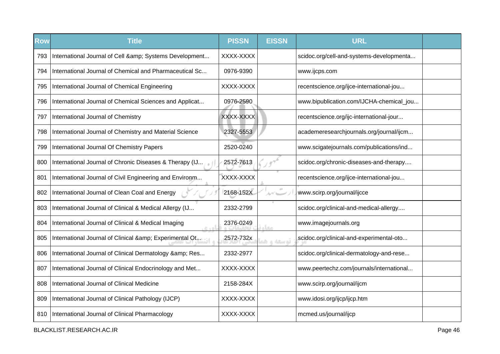| <b>Row</b> | <b>Title</b>                                               | <b>PISSN</b> | <b>EISSN</b> | <b>URL</b>                               |  |
|------------|------------------------------------------------------------|--------------|--------------|------------------------------------------|--|
| 793        | International Journal of Cell & Systems Development        | XXXX-XXXX    |              | scidoc.org/cell-and-systems-developmenta |  |
| 794        | International Journal of Chemical and Pharmaceutical Sc    | 0976-9390    |              | www.ijcps.com                            |  |
| 795        | International Journal of Chemical Engineering              | XXXX-XXXX    |              | recentscience.org/ijce-international-jou |  |
| 796        | International Journal of Chemical Sciences and Applicat    | 0976-2590    |              | www.bipublication.com/IJCHA-chemical_jou |  |
| 797        | International Journal of Chemistry                         | XXXX-XXXX    |              | recentscience.org/ijc-international-jour |  |
| 798        | International Journal of Chemistry and Material Science    | 2327-5553    |              | academeresearchjournals.org/journal/ijcm |  |
| 799        | International Journal Of Chemistry Papers                  | 2520-0240    |              | www.scigatejournals.com/publications/ind |  |
| 800        | International Journal of Chronic Diseases & Therapy (IJ    | 2572-7613    |              | scidoc.org/chronic-diseases-and-therapy  |  |
| 801        | International Journal of Civil Engineering and Environm    | XXXX-XXXX    |              | recentscience.org/ijce-international-jou |  |
| 802        | International Journal of Clean Coal and Energy             | 2168-152X    | ルイレー         | www.scirp.org/journal/ijcce              |  |
| 803        | International Journal of Clinical & Medical Allergy (IJ    | 2332-2799    |              | scidoc.org/clinical-and-medical-allergy  |  |
| 804        | International Journal of Clinical & Medical Imaging        | 2376-0249    | <b>STAR</b>  | www.imagejournals.org                    |  |
| 805        | International Journal of Clinical & Experimental Otensical | 2572-732x    | توسعه و هد   | scidoc.org/clinical-and-experimental-oto |  |
| 806        | International Journal of Clinical Dermatology & amp; Res   | 2332-2977    |              | scidoc.org/clinical-dermatology-and-rese |  |
| 807        | International Journal of Clinical Endocrinology and Met    | XXXX-XXXX    |              | www.peertechz.com/journals/international |  |
| 808        | International Journal of Clinical Medicine                 | 2158-284X    |              | www.scirp.org/journal/ijcm               |  |
| 809        | International Journal of Clinical Pathology (IJCP)         | XXXX-XXXX    |              | www.idosi.org/ijcp/ijcp.htm              |  |
| 810        | International Journal of Clinical Pharmacology             | XXXX-XXXX    |              | mcmed.us/journal/ijcp                    |  |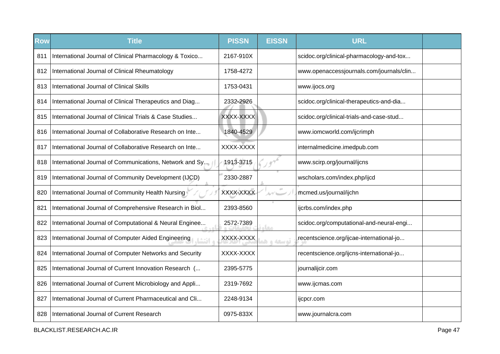| Row | <b>Title</b>                                            | <b>PISSN</b> | <b>EISSN</b> | <b>URL</b>                               |  |
|-----|---------------------------------------------------------|--------------|--------------|------------------------------------------|--|
| 811 | International Journal of Clinical Pharmacology & Toxico | 2167-910X    |              | scidoc.org/clinical-pharmacology-and-tox |  |
| 812 | International Journal of Clinical Rheumatology          | 1758-4272    |              | www.openaccessjournals.com/journals/clin |  |
| 813 | International Journal of Clinical Skills                | 1753-0431    |              | www.ijocs.org                            |  |
| 814 | International Journal of Clinical Therapeutics and Diag | 2332-2926    |              | scidoc.org/clinical-therapeutics-and-dia |  |
| 815 | International Journal of Clinical Trials & Case Studies | XXXX-XXXX    |              | scidoc.org/clinical-trials-and-case-stud |  |
| 816 | International Journal of Collaborative Research on Inte | 1840-4529    |              | www.iomcworld.com/ijcrimph               |  |
| 817 | International Journal of Collaborative Research on Inte | XXXX-XXXX    |              | internalmedicine.imedpub.com             |  |
| 818 | International Journal of Communications, Network and Sy | 1913-3715    |              | www.scirp.org/journal/ijcns              |  |
| 819 | International Journal of Community Development (IJCD)   | 2330-2887    |              | wscholars.com/index.php/ijcd             |  |
| 820 | International Journal of Community Health Nursing       | XXXX-XXXX    | $\alpha$     | mcmed.us/journal/ijchn                   |  |
| 821 | International Journal of Comprehensive Research in Biol | 2393-8560    |              | ijcrbs.com/index.php                     |  |
| 822 | International Journal of Computational & Neural Enginee | 2572-7389    | معام         | scidoc.org/computational-and-neural-engi |  |
| 823 | International Journal of Computer Aided Engineering     | XXXX-XXXX    | توسعه و ه    | recentscience.org/ijcae-international-jo |  |
| 824 | International Journal of Computer Networks and Security | XXXX-XXXX    |              | recentscience.org/ijcns-international-jo |  |
| 825 | International Journal of Current Innovation Research (  | 2395-5775    |              | journalijcir.com                         |  |
| 826 | International Journal of Current Microbiology and Appli | 2319-7692    |              | www.ijcmas.com                           |  |
| 827 | International Journal of Current Pharmaceutical and Cli | 2248-9134    |              | ijcpcr.com                               |  |
| 828 | International Journal of Current Research               | 0975-833X    |              | www.journalcra.com                       |  |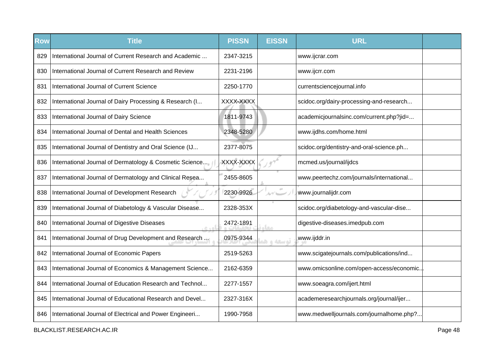| Row | <b>Title</b>                                            | <b>PISSN</b> | <b>EISSN</b> | <b>URL</b>                               |  |
|-----|---------------------------------------------------------|--------------|--------------|------------------------------------------|--|
| 829 | International Journal of Current Research and Academic  | 2347-3215    |              | www.ijcrar.com                           |  |
| 830 | International Journal of Current Research and Review    | 2231-2196    |              | www.ijcrr.com                            |  |
| 831 | International Journal of Current Science                | 2250-1770    |              | currentsciencejournal.info               |  |
| 832 | International Journal of Dairy Processing & Research (I | XXXX-XXXX    |              | scidoc.org/dairy-processing-and-research |  |
| 833 | International Journal of Dairy Science                  | 1811-9743    |              | academicjournalsinc.com/current.php?jid= |  |
| 834 | International Journal of Dental and Health Sciences     | 2348-5280    |              | www.ijdhs.com/home.html                  |  |
| 835 | International Journal of Dentistry and Oral Science (IJ | 2377-8075    |              | scidoc.org/dentistry-and-oral-science.ph |  |
| 836 | International Journal of Dermatology & Cosmetic Science | XXXX-XXXX    |              | mcmed.us/journal/ijdcs                   |  |
| 837 | International Journal of Dermatology and Clinical Resea | 2455-8605    |              | www.peertechz.com/journals/international |  |
| 838 | International Journal of Development Research           | 2230-9926    | ルゲーー         | www.journalijdr.com                      |  |
| 839 | International Journal of Diabetology & Vascular Disease | 2328-353X    |              | scidoc.org/diabetology-and-vascular-dise |  |
| 840 | International Journal of Digestive Diseases<br>اه د ه   | 2472-1891    | مقام         | digestive-diseases.imedpub.com           |  |
| 841 | International Journal of Drug Development and Research  | 0975-9344    | توسعه و هذ   | www.ijddr.in                             |  |
| 842 | International Journal of Economic Papers                | 2519-5263    |              | www.scigatejournals.com/publications/ind |  |
| 843 | International Journal of Economics & Management Science | 2162-6359    |              | www.omicsonline.com/open-access/economic |  |
| 844 | International Journal of Education Research and Technol | 2277-1557    |              | www.soeagra.com/ijert.html               |  |
| 845 | International Journal of Educational Research and Devel | 2327-316X    |              | academeresearchjournals.org/journal/ijer |  |
| 846 | International Journal of Electrical and Power Engineeri | 1990-7958    |              | www.medwelljournals.com/journalhome.php? |  |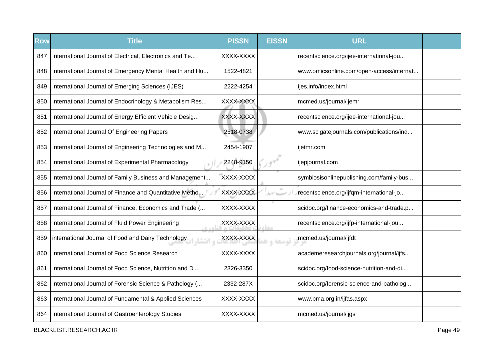| Row | <b>Title</b>                                                   | <b>PISSN</b> | <b>EISSN</b> | <b>URL</b>                               |  |
|-----|----------------------------------------------------------------|--------------|--------------|------------------------------------------|--|
| 847 | International Journal of Electrical, Electronics and Te        | XXXX-XXXX    |              | recentscience.org/ijee-international-jou |  |
| 848 | International Journal of Emergency Mental Health and Hu        | 1522-4821    |              | www.omicsonline.com/open-access/internat |  |
| 849 | International Journal of Emerging Sciences (IJES)              | 2222-4254    |              | ijes.info/index.html                     |  |
| 850 | International Journal of Endocrinology & Metabolism Res        | XXXX-XXXX    |              | mcmed.us/journal/ijemr                   |  |
| 851 | International Journal of Energy Efficient Vehicle Desig        | XXXX-XXXX    |              | recentscience.org/ijee-international-jou |  |
| 852 | International Journal Of Engineering Papers                    | 2518-0738    |              | www.scigatejournals.com/publications/ind |  |
| 853 | International Journal of Engineering Technologies and M        | 2454-1907    |              | ijetmr.com                               |  |
| 854 | International Journal of Experimental Pharmacology             | 2248-9150    |              | ijepjournal.com                          |  |
| 855 | International Journal of Family Business and Management        | XXXX-XXXX    |              | symbiosisonlinepublishing.com/family-bus |  |
| 856 | International Journal of Finance and Quantitative Metho        | XXXX-XXXX    | ルゲレー         | recentscience.org/ijfqm-international-jo |  |
| 857 | International Journal of Finance, Economics and Trade (        | XXXX-XXXX    |              | scidoc.org/finance-economics-and-trade.p |  |
| 858 | International Journal of Fluid Power Engineering<br>امر ہے     | XXXX-XXXX    | l Con        | recentscience.org/ijfp-international-jou |  |
| 859 | international Journal of Food and Dairy Technology<br>ه انتشا، | XXXX-XXXX    | توسعه و هد   | mcmed.us/journal/ijfdt                   |  |
| 860 | International Journal of Food Science Research                 | XXXX-XXXX    |              | academeresearchjournals.org/journal/ijfs |  |
| 861 | International Journal of Food Science, Nutrition and Di        | 2326-3350    |              | scidoc.org/food-science-nutrition-and-di |  |
| 862 | International Journal of Forensic Science & Pathology (        | 2332-287X    |              | scidoc.org/forensic-science-and-patholog |  |
| 863 | International Journal of Fundamental & Applied Sciences        | XXXX-XXXX    |              | www.bma.org.in/ijfas.aspx                |  |
| 864 | International Journal of Gastroenterology Studies              | XXXX-XXXX    |              | mcmed.us/journal/ijgs                    |  |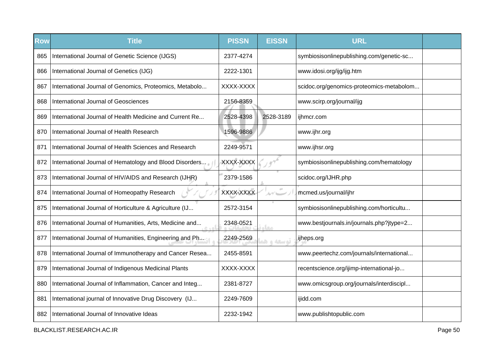| <b>Row</b> | <b>Title</b>                                                | <b>PISSN</b> | <b>EISSN</b> | <b>URL</b>                               |  |
|------------|-------------------------------------------------------------|--------------|--------------|------------------------------------------|--|
| 865        | International Journal of Genetic Science (IJGS)             | 2377-4274    |              | symbiosisonlinepublishing.com/genetic-sc |  |
| 866        | International Journal of Genetics (IJG)                     | 2222-1301    |              | www.idosi.org/ijg/ijg.htm                |  |
| 867        | International Journal of Genomics, Proteomics, Metabolo     | XXXX-XXXX    |              | scidoc.org/genomics-proteomics-metabolom |  |
| 868        | International Journal of Geosciences                        | 2156-8359    |              | www.scirp.org/journal/ijg                |  |
| 869        | International Journal of Health Medicine and Current Re     | 2528-4398    | 2528-3189    | ijhmcr.com                               |  |
| 870        | International Journal of Health Research                    | 1596-9886    |              | www.ijhr.org                             |  |
| 871        | International Journal of Health Sciences and Research       | 2249-9571    |              | www.ijhsr.org                            |  |
| 872        | International Journal of Hematology and Blood Disorders     | XXXX-XXXX    |              | symbiosisonlinepublishing.com/hematology |  |
| 873        | International Journal of HIV/AIDS and Research (IJHR)       | 2379-1586    |              | scidoc.org/IJHR.php                      |  |
| 874        | International Journal of Homeopathy Research                | XXXX-XXXX    |              | mcmed.us/journal/ijhr                    |  |
| 875        | International Journal of Horticulture & Agriculture (IJ     | 2572-3154    |              | symbiosisonlinepublishing.com/horticultu |  |
| 876        | International Journal of Humanities, Arts, Medicine and     | 2348-0521    | معا          | www.bestjournals.in/journals.php?jtype=2 |  |
| 877        | International Journal of Humanities, Engineering and Phange | 2249-2569    | توسعه و هد   | ijheps.org                               |  |
| 878        | International Journal of Immunotherapy and Cancer Resea     | 2455-8591    |              | www.peertechz.com/journals/international |  |
| 879        | International Journal of Indigenous Medicinal Plants        | XXXX-XXXX    |              | recentscience.org/ijimp-international-jo |  |
| 880        | International Journal of Inflammation, Cancer and Integ     | 2381-8727    |              | www.omicsgroup.org/journals/interdiscipl |  |
| 881        | International journal of Innovative Drug Discovery (IJ      | 2249-7609    |              | ijidd.com                                |  |
| 882        | International Journal of Innovative Ideas                   | 2232-1942    |              | www.publishtopublic.com                  |  |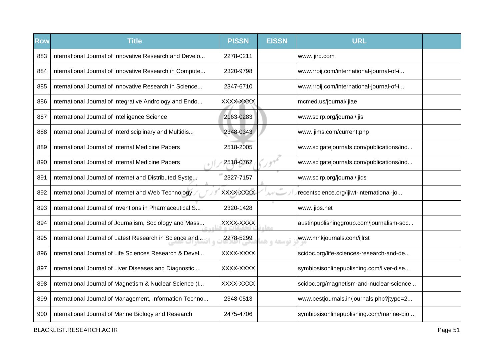| Row | <b>Title</b>                                            | <b>PISSN</b> | <b>EISSN</b> | <b>URL</b>                               |  |
|-----|---------------------------------------------------------|--------------|--------------|------------------------------------------|--|
| 883 | International Journal of Innovative Research and Develo | 2278-0211    |              | www.ijird.com                            |  |
| 884 | International Journal of Innovative Research in Compute | 2320-9798    |              | www.rroij.com/international-journal-of-i |  |
| 885 | International Journal of Innovative Research in Science | 2347-6710    |              | www.rroij.com/international-journal-of-i |  |
| 886 | International Journal of Integrative Andrology and Endo | XXXX-XXXX    |              | mcmed.us/journal/ijiae                   |  |
| 887 | International Journal of Intelligence Science           | 2163-0283    |              | www.scirp.org/journal/ijis               |  |
| 888 | International Journal of Interdisciplinary and Multidis | 2348-0343    |              | www.ijims.com/current.php                |  |
| 889 | International Journal of Internal Medicine Papers       | 2518-2005    |              | www.scigatejournals.com/publications/ind |  |
| 890 | International Journal of Internal Medicine Papers       | 2518-0762    |              | www.scigatejournals.com/publications/ind |  |
| 891 | International Journal of Internet and Distributed Syste | 2327-7157    |              | www.scirp.org/journal/ijids              |  |
| 892 | International Journal of Internet and Web Technology    | XXXX-XXXX    |              | recentscience.org/ijiwt-international-jo |  |
| 893 | International Journal of Inventions in Pharmaceutical S | 2320-1428    |              | www.ijips.net                            |  |
| 894 | International Journal of Journalism, Sociology and Mass | XXXX-XXXX    | <b>OLD</b>   | austinpublishinggroup.com/journalism-soc |  |
| 895 | International Journal of Latest Research in Science and | 2278-5299    | توسعه و ه    | www.mnkjournals.com/ijlrst               |  |
| 896 | International Journal of Life Sciences Research & Devel | XXXX-XXXX    |              | scidoc.org/life-sciences-research-and-de |  |
| 897 | International Journal of Liver Diseases and Diagnostic  | XXXX-XXXX    |              | symbiosisonlinepublishing.com/liver-dise |  |
| 898 | International Journal of Magnetism & Nuclear Science (I | XXXX-XXXX    |              | scidoc.org/magnetism-and-nuclear-science |  |
| 899 | International Journal of Management, Information Techno | 2348-0513    |              | www.bestjournals.in/journals.php?jtype=2 |  |
| 900 | International Journal of Marine Biology and Research    | 2475-4706    |              | symbiosisonlinepublishing.com/marine-bio |  |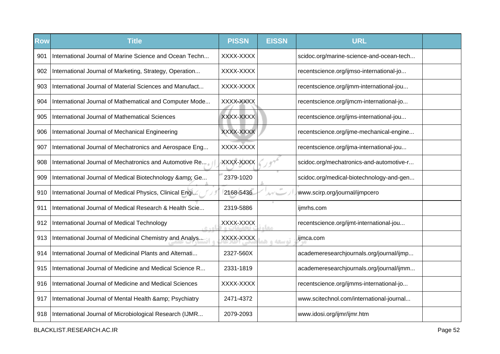| <b>Row</b> | <b>Title</b>                                             | <b>PISSN</b> | <b>EISSN</b> | <b>URL</b>                               |  |
|------------|----------------------------------------------------------|--------------|--------------|------------------------------------------|--|
| 901        | International Journal of Marine Science and Ocean Techn  | XXXX-XXXX    |              | scidoc.org/marine-science-and-ocean-tech |  |
| 902        | International Journal of Marketing, Strategy, Operation  | XXXX-XXXX    |              | recentscience.org/ijmso-international-jo |  |
| 903        | International Journal of Material Sciences and Manufact  | XXXX-XXXX    |              | recentscience.org/ijmm-international-jou |  |
| 904        | International Journal of Mathematical and Computer Mode  | XXXX-XXXX    |              | recentscience.org/ijmcm-international-jo |  |
| 905        | International Journal of Mathematical Sciences           | XXXX-XXXX    |              | recentscience.org/ijms-international-jou |  |
| 906        | International Journal of Mechanical Engineering          | XXXX-XXXX    |              | recentscience.org/ijme-mechanical-engine |  |
| 907        | International Journal of Mechatronics and Aerospace Eng  | XXXX-XXXX    |              | recentscience.org/ijma-international-jou |  |
| 908        | International Journal of Mechatronics and Automotive Re  | XXXX-XXXX    |              | scidoc.org/mechatronics-and-automotive-r |  |
| 909        | International Journal of Medical Biotechnology & amp; Ge | 2379-1020    |              | scidoc.org/medical-biotechnology-and-gen |  |
| 910        | International Journal of Medical Physics, Clinical Engi  | 2168-5436    | ルゲニー         | www.scirp.org/journal/ijmpcero           |  |
| 911        | International Journal of Medical Research & Health Scie  | 2319-5886    |              | ijmrhs.com                               |  |
| 912        | International Journal of Medical Technology<br>6.401     | XXXX-XXXX    | مغار         | recentscience.org/ijmt-international-jou |  |
| 913        | International Journal of Medicinal Chemistry and Analys  | XXXX-XXXX    | توسعه واهد   | ijmca.com                                |  |
| 914        | International Journal of Medicinal Plants and Alternati  | 2327-560X    |              | academeresearchjournals.org/journal/ijmp |  |
| 915        | International Journal of Medicine and Medical Science R  | 2331-1819    |              | academeresearchjournals.org/journal/ijmm |  |
| 916        | International Journal of Medicine and Medical Sciences   | XXXX-XXXX    |              | recentscience.org/ijmms-international-jo |  |
| 917        | International Journal of Mental Health & Psychiatry      | 2471-4372    |              | www.scitechnol.com/international-journal |  |
| 918        | International Journal of Microbiological Research (IJMR  | 2079-2093    |              | www.idosi.org/ijmr/ijmr.htm              |  |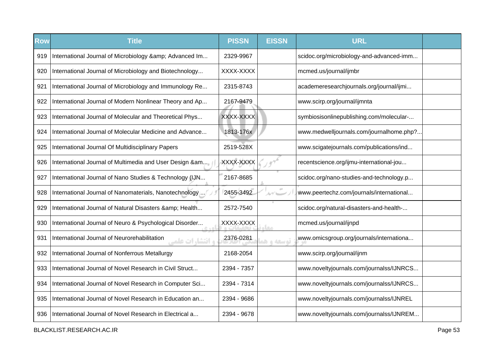| <b>Row</b> | <b>Title</b>                                                           | <b>PISSN</b> | <b>EISSN</b>                                 | <b>URL</b>                               |  |
|------------|------------------------------------------------------------------------|--------------|----------------------------------------------|------------------------------------------|--|
| 919        | International Journal of Microbiology & Advanced Im                    | 2329-9967    |                                              | scidoc.org/microbiology-and-advanced-imm |  |
| 920        | International Journal of Microbiology and Biotechnology                | XXXX-XXXX    |                                              | mcmed.us/journal/ijmbr                   |  |
| 921        | International Journal of Microbiology and Immunology Re                | 2315-8743    |                                              | academeresearchjournals.org/journal/ijmi |  |
| 922        | International Journal of Modern Nonlinear Theory and Ap                | 2167-9479    |                                              | www.scirp.org/journal/ijmnta             |  |
| 923        | International Journal of Molecular and Theoretical Phys                | XXXX-XXXX    |                                              | symbiosisonlinepublishing.com/molecular- |  |
| 924        | International Journal of Molecular Medicine and Advance                | 1813-176x    |                                              | www.medwelljournals.com/journalhome.php? |  |
| 925        | International Journal Of Multidisciplinary Papers                      | 2519-528X    |                                              | www.scigatejournals.com/publications/ind |  |
| 926        | International Journal of Multimedia and User Design &am                | XXXX-XXXX    |                                              | recentscience.org/ijmu-international-jou |  |
| 927        | International Journal of Nano Studies & Technology (IJN                | 2167-8685    |                                              | scidoc.org/nano-studies-and-technology.p |  |
| 928        | International Journal of Nanomaterials, Nanotechnology                 | 2455-3492    | $\pm 0$<br>$\Delta \gamma'$ because $\gamma$ | www.peertechz.com/journals/international |  |
| 929        | International Journal of Natural Disasters & amp; Health               | 2572-7540    |                                              | scidoc.org/natural-disasters-and-health- |  |
| 930        | International Journal of Neuro & Psychological Disorder                | XXXX-XXXX    | معا                                          | mcmed.us/journal/ijnpd                   |  |
| 931        | International Journal of Neurorehabilitation<br><b>، انتشارات علمی</b> | 2376-0281    | توسعه واهر                                   | www.omicsgroup.org/journals/internationa |  |
| 932        | International Journal of Nonferrous Metallurgy                         | 2168-2054    |                                              | www.scirp.org/journal/ijnm               |  |
| 933        | International Journal of Novel Research in Civil Struct                | 2394 - 7357  |                                              | www.noveltyjournals.com/journalss/IJNRCS |  |
| 934        | International Journal of Novel Research in Computer Sci                | 2394 - 7314  |                                              | www.noveltyjournals.com/journalss/IJNRCS |  |
| 935        | International Journal of Novel Research in Education an                | 2394 - 9686  |                                              | www.noveltyjournals.com/journalss/IJNREL |  |
| 936        | International Journal of Novel Research in Electrical a                | 2394 - 9678  |                                              | www.noveltyjournals.com/journalss/IJNREM |  |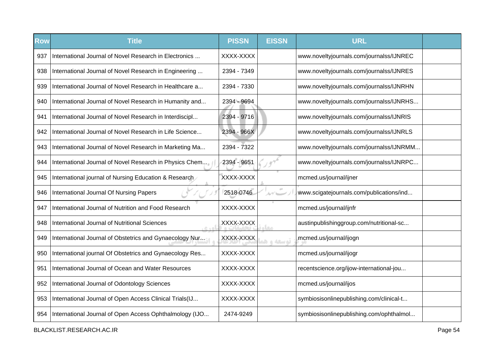| Row | <b>Title</b>                                            | <b>PISSN</b> | <b>EISSN</b> | <b>URL</b>                               |  |
|-----|---------------------------------------------------------|--------------|--------------|------------------------------------------|--|
| 937 | International Journal of Novel Research in Electronics  | XXXX-XXXX    |              | www.noveltyjournals.com/journalss/IJNREC |  |
| 938 | International Journal of Novel Research in Engineering  | 2394 - 7349  |              | www.noveltyjournals.com/journalss/IJNRES |  |
| 939 | International Journal of Novel Research in Healthcare a | 2394 - 7330  |              | www.noveltyjournals.com/journalss/IJNRHN |  |
| 940 | International Journal of Novel Research in Humanity and | 2394 - 9694  |              | www.noveltyjournals.com/journalss/IJNRHS |  |
| 941 | International Journal of Novel Research in Interdiscipl | 2394 - 9716  |              | www.noveltyjournals.com/journalss/IJNRIS |  |
| 942 | International Journal of Novel Research in Life Science | 2394 - 966X  |              | www.noveltyjournals.com/journalss/IJNRLS |  |
| 943 | International Journal of Novel Research in Marketing Ma | 2394 - 7322  |              | www.noveltyjournals.com/journalss/IJNRMM |  |
| 944 | International Journal of Novel Research in Physics Chem | 2394 - 9651  |              | www.noveltyjournals.com/journalss/IJNRPC |  |
| 945 | International journal of Nursing Education & Research   | XXXX-XXXX    |              | mcmed.us/journal/ijner                   |  |
| 946 | International Journal Of Nursing Papers                 | 2518-0746    | $\alpha$     | www.scigatejournals.com/publications/ind |  |
| 947 | International Journal of Nutrition and Food Research    | XXXX-XXXX    |              | mcmed.us/journal/ijnfr                   |  |
| 948 | International Journal of Nutritional Sciences<br>اهده   | XXXX-XXXX    | مخاه         | austinpublishinggroup.com/nutritional-sc |  |
| 949 | International Journal of Obstetrics and Gynaecology Nur | XXXX-XXXX    | توسعه و هذ   | mcmed.us/journal/ijogn                   |  |
| 950 | International journal Of Obstetrics and Gynaecology Res | XXXX-XXXX    |              | mcmed.us/journal/ijogr                   |  |
| 951 | International Journal of Ocean and Water Resources      | XXXX-XXXX    |              | recentscience.org/ijow-international-jou |  |
| 952 | International Journal of Odontology Sciences            | XXXX-XXXX    |              | mcmed.us/journal/ijos                    |  |
| 953 | International Journal of Open Access Clinical Trials(IJ | XXXX-XXXX    |              | symbiosisonlinepublishing.com/clinical-t |  |
| 954 | International Journal of Open Access Ophthalmology (IJO | 2474-9249    |              | symbiosisonlinepublishing.com/ophthalmol |  |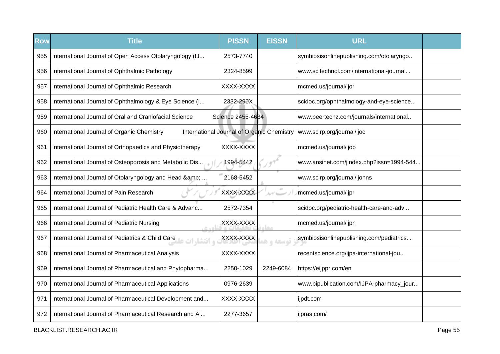| <b>Row</b> | <b>Title</b>                                                              | <b>PISSN</b>                               | <b>EISSN</b>                     | <b>URL</b>                               |  |
|------------|---------------------------------------------------------------------------|--------------------------------------------|----------------------------------|------------------------------------------|--|
| 955        | International Journal of Open Access Otolaryngology (IJ                   | 2573-7740                                  |                                  | symbiosisonlinepublishing.com/otolaryngo |  |
| 956        | International Journal of Ophthalmic Pathology                             | 2324-8599                                  |                                  | www.scitechnol.com/international-journal |  |
| 957        | International Journal of Ophthalmic Research                              | XXXX-XXXX                                  |                                  | mcmed.us/journal/ijor                    |  |
| 958        | International Journal of Ophthalmology & Eye Science (I                   | 2332-290X                                  |                                  | scidoc.org/ophthalmology-and-eye-science |  |
| 959        | International Journal of Oral and Craniofacial Science                    | Sqience 2455-4634                          |                                  | www.peertechz.com/journals/international |  |
| 960        | International Journal of Organic Chemistry                                | International Journal of Organic Chemistry |                                  | www.scirp.org/journal/ijoc               |  |
| 961        | International Journal of Orthopaedics and Physiotherapy                   | XXXX-XXXX                                  |                                  | mcmed.us/journal/ijop                    |  |
| 962        | International Journal of Osteoporosis and Metabolic Dis                   | 1994-5442                                  |                                  | www.ansinet.com/jindex.php?issn=1994-544 |  |
| 963        | International Journal of Otolaryngology and Head &                        | 2168-5452                                  |                                  | www.scirp.org/journal/ijohns             |  |
| 964        | International Journal of Pain Research                                    | XXXX-XXXX                                  | $\Delta\gamma'$ because $\gamma$ | mcmed.us/journal/ijpr                    |  |
| 965        | International Journal of Pediatric Health Care & Advanc                   | 2572-7354                                  |                                  | scidoc.org/pediatric-health-care-and-adv |  |
| 966        | International Journal of Pediatric Nursing<br>اه د ه                      | XXXX-XXXX                                  | <b>STAR</b>                      | mcmed.us/journal/ijpn                    |  |
| 967        | International Journal of Pediatrics & Child Care<br><b>، انتشا, ات عل</b> | XXXX-XXXX                                  | توسعه و ه                        | symbiosisonlinepublishing.com/pediatrics |  |
| 968        | International Journal of Pharmaceutical Analysis                          | XXXX-XXXX                                  |                                  | recentscience.org/ijpa-international-jou |  |
| 969        | International Journal of Pharmaceutical and Phytopharma                   | 2250-1029                                  | 2249-6084                        | https://eijppr.com/en                    |  |
| 970        | International Journal of Pharmaceutical Applications                      | 0976-2639                                  |                                  | www.bipublication.com/IJPA-pharmacy_jour |  |
| 971        | International Journal of Pharmaceutical Development and                   | XXXX-XXXX                                  |                                  | ijpdt.com                                |  |
| 972        | International Journal of Pharmaceutical Research and Al                   | 2277-3657                                  |                                  | ijpras.com/                              |  |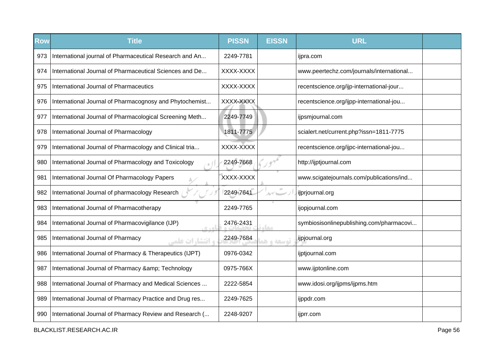| Row | <b>Title</b>                                                | <b>PISSN</b> | <b>EISSN</b> | <b>URL</b>                               |  |
|-----|-------------------------------------------------------------|--------------|--------------|------------------------------------------|--|
| 973 | International journal of Pharmaceutical Research and An     | 2249-7781    |              | ijpra.com                                |  |
| 974 | International Journal of Pharmaceutical Sciences and De     | XXXX-XXXX    |              | www.peertechz.com/journals/international |  |
| 975 | International Journal of Pharmaceutics                      | XXXX-XXXX    |              | recentscience.org/ijp-international-jour |  |
| 976 | International Journal of Pharmacognosy and Phytochemist     | XXXX-XXXX    |              | recentscience.org/ijpp-international-jou |  |
| 977 | International Journal of Pharmacological Screening Meth     | 2249-7749    |              | ijpsmjournal.com                         |  |
| 978 | International Journal of Pharmacology                       | 1811-7775    |              | scialert.net/current.php?issn=1811-7775  |  |
| 979 | International Journal of Pharmacology and Clinical tria     | XXXX-XXXX    |              | recentscience.org/ijpc-international-jou |  |
| 980 | International Journal of Pharmacology and Toxicology        | 2249-7668    |              | http://ijptjournal.com                   |  |
| 981 | International Journal Of Pharmacology Papers                | XXXX-XXXX    |              | www.scigatejournals.com/publications/ind |  |
| 982 | International Journal of pharmacology Research              | 2249-7641    |              | ijprjournal.org                          |  |
| 983 | International Journal of Pharmacotherapy                    | 2249-7765    |              | ijopjournal.com                          |  |
| 984 | International Journal of Pharmacovigilance (IJP)<br>اهده    | 2476-2431    | مخام         | symbiosisonlinepublishing.com/pharmacovi |  |
| 985 | International Journal of Pharmacy<br><b>، انتشارات علمی</b> | 2249-7684    | تمسعه و هم   | ijpjournal.org                           |  |
| 986 | International Journal of Pharmacy & Therapeutics (IJPT)     | 0976-0342    |              | ijptjournal.com                          |  |
| 987 | International Journal of Pharmacy & Technology              | 0975-766X    |              | www.ijptonline.com                       |  |
| 988 | International Journal of Pharmacy and Medical Sciences      | 2222-5854    |              | www.idosi.org/ijpms/ijpms.htm            |  |
| 989 | International Journal of Pharmacy Practice and Drug res     | 2249-7625    |              | ijppdr.com                               |  |
| 990 | International Journal of Pharmacy Review and Research (     | 2248-9207    |              | ijprr.com                                |  |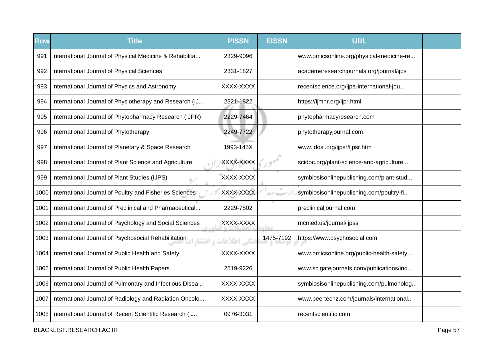| <b>Row</b> | <b>Title</b>                                                 | <b>PISSN</b> | <b>EISSN</b> | <b>URL</b>                               |  |
|------------|--------------------------------------------------------------|--------------|--------------|------------------------------------------|--|
| 991        | International Journal of Physical Medicine & Rehabilita      | 2329-9096    |              | www.omicsonline.org/physical-medicine-re |  |
| 992        | International Journal of Physical Sciences                   | 2331-1827    |              | academeresearchjournals.org/journal/ijps |  |
| 993        | International Journal of Physics and Astronomy               | XXXX-XXXX    |              | recentscience.org/ijpa-international-jou |  |
| 994        | International Journal of Physiotherapy and Research (IJ      | 2321-1822    |              | https://ijmhr.org/ijpr.html              |  |
| 995        | International Journal of Phytopharmacy Research (IJPR)       | 2229-7464    |              | phytopharmacyresearch.com                |  |
| 996        | International Journal of Phytotherapy                        | 2249-7722    |              | phytotherapyjournal.com                  |  |
| 997        | International Journal of Planetary & Space Research          | 1993-145X    |              | www.idosi.org/ijpsr/ijpsr.htm            |  |
| 998        | International Journal of Plant Science and Agriculture       | XXXX-XXXX    |              | scidoc.org/plant-science-and-agriculture |  |
| 999        | International Journal of Plant Studies (IJPS)                | XXXX-XXXX    |              | symbiosisonlinepublishing.com/plant-stud |  |
|            | 1000 International Journal of Poultry and Fisheries Sciences | XXXX-XXXX    | $\pm 0$      | symbiosisonlinepublishing.com/poultry-fi |  |
| 1001       | International Journal of Preclinical and Pharmaceutical      | 2229-7502    |              | preclinicaljournal.com                   |  |
|            | 1002 International Journal of Psychology and Social Sciences | XXXX-XXXX    | <b>Leurs</b> | mcmed.us/journal/ijpss                   |  |
|            | 1003   International Journal of Psychosocial Rehabilitation  | نکی اطلاعاد  | 1475-7192    | https://www.psychosocial.com             |  |
|            | 1004   International Journal of Public Health and Safety     | XXXX-XXXX    |              | www.omicsonline.org/public-health-safety |  |
|            | 1005   International Journal of Public Health Papers         | 2519-9226    |              | www.scigatejournals.com/publications/ind |  |
|            | 1006 International Journal of Pulmonary and Infectious Disea | XXXX-XXXX    |              | symbiosisonlinepublishing.com/pulmonolog |  |
|            | 1007 International Journal of Radiology and Radiation Oncolo | XXXX-XXXX    |              | www.peertechz.com/journals/international |  |
|            | 1008 International Journal of Recent Scientific Research (IJ | 0976-3031    |              | recentscientific.com                     |  |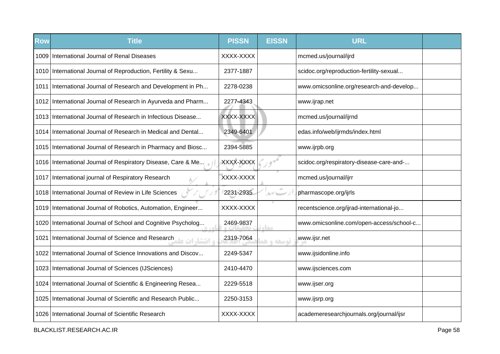| <b>Row</b> | <b>Title</b>                                                    | <b>PISSN</b> | <b>EISSN</b>  | <b>URL</b>                               |  |
|------------|-----------------------------------------------------------------|--------------|---------------|------------------------------------------|--|
| 1009       | International Journal of Renal Diseases                         | XXXX-XXXX    |               | mcmed.us/journal/ijrd                    |  |
|            | 1010 International Journal of Reproduction, Fertility & Sexu    | 2377-1887    |               | scidoc.org/reproduction-fertility-sexual |  |
|            | 1011 International Journal of Research and Development in Ph    | 2278-0238    |               | www.omicsonline.org/research-and-develop |  |
|            | 1012 International Journal of Research in Ayurveda and Pharm    | 2277-4343    |               | www.ijrap.net                            |  |
|            | 1013 International Journal of Research in Infectious Disease    | XXXX-XXXX    |               | mcmed.us/journal/ijrnd                   |  |
|            | 1014 International Journal of Research in Medical and Dental    | 2349-6401    |               | edas.info/web/ijrmds/index.html          |  |
|            | 1015 International Journal of Research in Pharmacy and Biosc    | 2394-5885    |               | www.ijrpb.org                            |  |
|            | 1016 International Journal of Respiratory Disease, Care & Me    | XXXX-XXXX    |               | scidoc.org/respiratory-disease-care-and- |  |
| 1017       | International journal of Respiratory Research                   | XXXX-XXXX    |               | mcmed.us/journal/ijrr                    |  |
|            | 1018   International Journal of Review in Life Sciences         | 2231-2935    | ルブレー          | pharmascope.org/ijrls                    |  |
|            | 1019 International Journal of Robotics, Automation, Engineer    | XXXX-XXXX    |               | recentscience.org/ijrad-international-jo |  |
| 1020       | International Journal of School and Cognitive Psycholog         | 2469-9837    | <b>Liftun</b> | www.omicsonline.com/open-access/school-c |  |
| 1021       | International Journal of Science and Research<br>ه انتشا، ات عا | 2319-7064    | توسعه و هد    | www.ijsr.net                             |  |
|            | 1022 International Journal of Science Innovations and Discov    | 2249-5347    |               | www.ijsidonline.info                     |  |
|            | 1023   International Journal of Sciences (IJSciences)           | 2410-4470    |               | www.ijsciences.com                       |  |
|            | 1024 International Journal of Scientific & Engineering Resea    | 2229-5518    |               | www.ijser.org                            |  |
| 1025       | International Journal of Scientific and Research Public         | 2250-3153    |               | www.ijsrp.org                            |  |
|            | 1026 International Journal of Scientific Research               | XXXX-XXXX    |               | academeresearchjournals.org/journal/ijsr |  |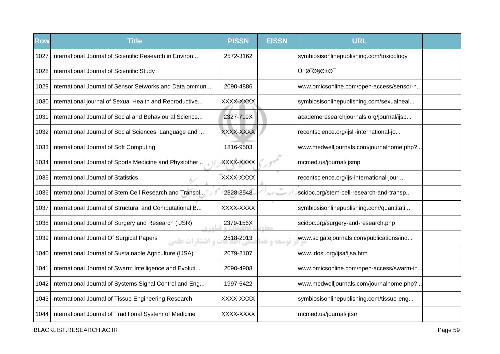| <b>Row</b> | <b>Title</b>                                                       | <b>PISSN</b> | <b>EISSN</b> | <b>URL</b>                               |  |
|------------|--------------------------------------------------------------------|--------------|--------------|------------------------------------------|--|
| 1027       | International Journal of Scientific Research in Environ            | 2572-3162    |              | symbiosisonlinepublishing.com/toxicology |  |
|            | 1028   International Journal of Scientific Study                   |              |              | Ù†Ø~ارØ <sup>_</sup>                     |  |
|            | 1029 International Journal of Sensor Setworks and Data ommun       | 2090-4886    |              | www.omicsonline.com/open-access/sensor-n |  |
|            | 1030 International journal of Sexual Health and Reproductive       | XXXX-XXXX    |              | symbiosisonlinepublishing.com/sexualheal |  |
| 1031       | International Journal of Social and Behavioural Science            | 2327-719X    |              | academeresearchjournals.org/journal/ijsb |  |
|            | 1032 International Journal of Social Sciences, Language and        | XXXX-XXXX    |              | recentscience.org/ijsll-international-jo |  |
|            | 1033 International Journal of Soft Computing                       | 1816-9503    |              | www.medwelljournals.com/journalhome.php? |  |
|            | 1034 International Journal of Sports Medicine and Physiother       | XXXX-XXXX    |              | mcmed.us/journal/ijsmp                   |  |
|            | 1035 International Journal of Statistics                           | XXXX-XXXX    |              | recentscience.org/ijs-international-jour |  |
|            | 1036 International Journal of Stem Cell Research and Transpl       | 2328-3548    |              | scidoc.org/stem-cell-research-and-transp |  |
| 1037       | International Journal of Structural and Computational B            | XXXX-XXXX    |              | symbiosisonlinepublishing.com/quantitati |  |
|            | 1038 International Journal of Surgery and Research (IJSR)<br>0.401 | 2379-156X    | معا          | scidoc.org/surgery-and-research.php      |  |
|            | 1039 International Journal Of Surgical Papers<br>ه انتشارات علمی   | 2518-2013    | توسعه و ه    | www.scigatejournals.com/publications/ind |  |
|            | 1040 International Journal of Sustainable Agriculture (IJSA)       | 2079-2107    |              | www.idosi.org/ijsa/ijsa.htm              |  |
| 1041 I     | International Journal of Swarm Intelligence and Evoluti            | 2090-4908    |              | www.omicsonline.com/open-access/swarm-in |  |
|            | 1042 International Journal of Systems Signal Control and Eng       | 1997-5422    |              | www.medwelljournals.com/journalhome.php? |  |
|            | 1043 International Journal of Tissue Engineering Research          | XXXX-XXXX    |              | symbiosisonlinepublishing.com/tissue-eng |  |
|            | 1044   International Journal of Traditional System of Medicine     | XXXX-XXXX    |              | mcmed.us/journal/ijtsm                   |  |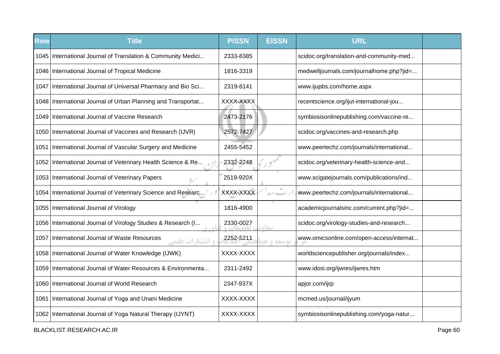| <b>Row</b> | <b>Title</b>                                                             | <b>PISSN</b> | <b>EISSN</b> | <b>URL</b>                               |  |
|------------|--------------------------------------------------------------------------|--------------|--------------|------------------------------------------|--|
|            | 1045 International Journal of Translation & Community Medici             | 2333-8385    |              | scidoc.org/translation-and-community-med |  |
|            | 1046   International Journal of Tropical Medicine                        | 1816-3319    |              | medwelljournals.com/journalhome.php?jid= |  |
|            | 1047 International Journal of Universal Pharmacy and Bio Sci             | 2319-8141    |              | www.ijupbs.com/home.aspx                 |  |
|            | 1048 International Journal of Urban Planning and Transportat             | XXXX-XXXX    |              | recentscience.org/ijut-international-jou |  |
|            | 1049 International Journal of Vaccine Research                           | 2473-2176    |              | symbiosisonlinepublishing.com/vaccine-re |  |
|            | 1050 International Journal of Vaccines and Research (IJVR)               | 2572-7427    |              | scidoc.org/vaccines-and-research.php     |  |
| 1051       | International Journal of Vascular Surgery and Medicine                   | 2455-5452    |              | www.peertechz.com/journals/international |  |
|            | 1052 International Journal of Veterinary Health Science & Re             | 2332-2748    |              | scidoc.org/veterinary-health-science-and |  |
|            | 1053   International Journal of Veterinary Papers                        | 2519-920X    |              | www.scigatejournals.com/publications/ind |  |
|            | 1054 International Journal of Veterinary Science and Researc             | XXXX-XXXX    | ルブレー         | www.peertechz.com/journals/international |  |
|            | 1055   International Journal of Virology                                 | 1816-4900    |              | academicjournalsinc.com/current.php?jid= |  |
|            | 1056 International Journal of Virology Studies & Research (I             | 2330-0027    |              | scidoc.org/virology-studies-and-research |  |
|            | 1057 International Journal of Waste Resources<br><b>و انتشا, ات علمی</b> | 2252-5211    | توسعه و ه    | www.omicsonline.com/open-access/internat |  |
|            | 1058   International Journal of Water Knowledge (IJWK)                   | XXXX-XXXX    |              | worldsciencepublisher.org/journals/index |  |
|            | 1059 International Journal of Water Resources & Environmenta             | 2311-2492    |              | www.idosi.org/ijwres/ijwres.htm          |  |
|            | 1060 International Journal of World Research                             | 2347-937X    |              | apjor.com/ijrp                           |  |
|            | 1061 International Journal of Yoga and Unani Medicine                    | XXXX-XXXX    |              | mcmed.us/journal/ijyum                   |  |
|            | 1062 International Journal of Yoga Natural Therapy (IJYNT)               | XXXX-XXXX    |              | symbiosisonlinepublishing.com/yoga-natur |  |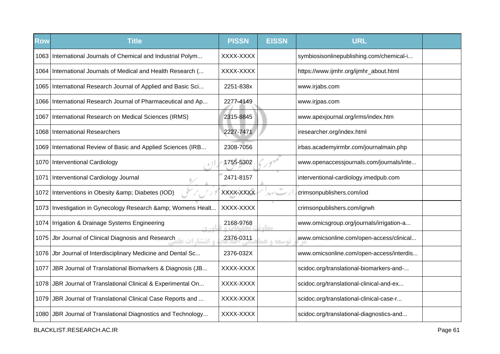| Row  | <b>Title</b>                                                     | <b>PISSN</b> | <b>EISSN</b> | <b>URL</b>                               |  |
|------|------------------------------------------------------------------|--------------|--------------|------------------------------------------|--|
|      | 1063 International Journals of Chemical and Industrial Polym     | XXXX-XXXX    |              | symbiosisonlinepublishing.com/chemical-i |  |
|      | 1064 International Journals of Medical and Health Research (     | XXXX-XXXX    |              | https://www.ijmhr.org/ijmhr_about.html   |  |
|      | 1065 International Research Journal of Applied and Basic Sci     | 2251-838x    |              | www.irjabs.com                           |  |
|      | 1066 International Research Journal of Pharmaceutical and Ap     | 2277-4149    |              | www.irjpas.com                           |  |
|      | 1067   International Research on Medical Sciences (IRMS)         | 2315-8845    |              | www.apexjournal.org/irms/index.htm       |  |
|      | 1068 International Researchers                                   | 2227-7471    |              | iresearcher.org/index.html               |  |
|      | 1069 International Review of Basic and Applied Sciences (IRB     | 2308-7056    |              | irbas.academyirmbr.com/journalmain.php   |  |
|      | 1070   Interventional Cardiology                                 | 1755-5302    |              | www.openaccessjournals.com/journals/inte |  |
| 1071 | Interventional Cardiology Journal                                | 2471-8157    |              | interventional-cardiology.imedpub.com    |  |
|      | 1072 Interventions in Obesity & amp; Diabetes (IOD)              | XXXX-XXXX    | $\alpha$     | crimsonpublishers.com/iod                |  |
|      | 1073 Investigation in Gynecology Research & amp; Womens Healt    | XXXX-XXXX    |              | crimsonpublishers.com/igrwh              |  |
|      | 1074   Irrigation & Drainage Systems Engineering<br>اه ده.       | 2168-9768    | مخاه         | www.omicsgroup.org/journals/irrigation-a |  |
| 1075 | و اقتشار ات علمات Jbr Journal of Clinical Diagnosis and Research | 2376-0311    | توسعه و هد   | www.omicsonline.com/open-access/clinical |  |
|      | 1076 Jbr Journal of Interdisciplinary Medicine and Dental Sc     | 2376-032X    |              | www.omicsonline.com/open-access/interdis |  |
| 1077 | JBR Journal of Translational Biomarkers & Diagnosis (JB          | XXXX-XXXX    |              | scidoc.org/translational-biomarkers-and- |  |
|      | 1078 JBR Journal of Translational Clinical & Experimental On     | XXXX-XXXX    |              | scidoc.org/translational-clinical-and-ex |  |
|      | 1079 JBR Journal of Translational Clinical Case Reports and      | XXXX-XXXX    |              | scidoc.org/translational-clinical-case-r |  |
|      | 1080 JBR Journal of Translational Diagnostics and Technology     | XXXX-XXXX    |              | scidoc.org/translational-diagnostics-and |  |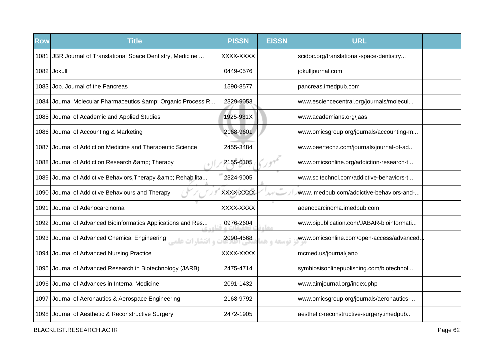| <b>Row</b> | <b>Title</b>                                                           | <b>PISSN</b> | <b>EISSN</b> | <b>URL</b>                               |  |
|------------|------------------------------------------------------------------------|--------------|--------------|------------------------------------------|--|
| 1081       | JBR Journal of Translational Space Dentistry, Medicine                 | XXXX-XXXX    |              | scidoc.org/translational-space-dentistry |  |
|            | $1082$ Jokull                                                          | 0449-0576    |              | jokulljournal.com                        |  |
|            | 1083 Jop. Journal of the Pancreas                                      | 1590-8577    |              | pancreas.imedpub.com                     |  |
|            | 1084 Journal Molecular Pharmaceutics & amp; Organic Process R          | 2329-9053    |              | www.esciencecentral.org/journals/molecul |  |
|            | 1085 Journal of Academic and Applied Studies                           | 1925-931X    |              | www.academians.org/jaas                  |  |
|            | 1086 Journal of Accounting & Marketing                                 | 2168-9601    |              | www.omicsgroup.org/journals/accounting-m |  |
| 1087       | Journal of Addiction Medicine and Therapeutic Science                  | 2455-3484    |              | www.peertechz.com/journals/journal-of-ad |  |
|            | 1088 Journal of Addiction Research & Therapy                           | 2155-6105    |              | www.omicsonline.org/addiction-research-t |  |
|            | 1089 Journal of Addictive Behaviors, Therapy & amp; Rehabilita         | 2324-9005    |              | www.scitechnol.com/addictive-behaviors-t |  |
|            | 1090 Journal of Addictive Behaviours and Therapy                       | XXXX-XXXX    |              | www.imedpub.com/addictive-behaviors-and- |  |
| 1091       | Journal of Adenocarcinoma                                              | XXXX-XXXX    |              | adenocarcinoma.imedpub.com               |  |
| 1092       | Journal of Advanced Bioinformatics Applications and Res                | 0976-2604    | معام         | www.bipublication.com/JABAR-bioinformati |  |
|            | 1093 Journal of Advanced Chemical Engineering<br><b>و انتشارات علم</b> | 2090-4568    | توسعه و هد   | www.omicsonline.com/open-access/advanced |  |
|            | 1094 Journal of Advanced Nursing Practice                              | XXXX-XXXX    |              | mcmed.us/journal/janp                    |  |
|            | 1095 Journal of Advanced Research in Biotechnology (JARB)              | 2475-4714    |              | symbiosisonlinepublishing.com/biotechnol |  |
|            | 1096 Journal of Advances in Internal Medicine                          | 2091-1432    |              | www.aimjournal.org/index.php             |  |
| 1097       | Journal of Aeronautics & Aerospace Engineering                         | 2168-9792    |              | www.omicsgroup.org/journals/aeronautics- |  |
|            | 1098 Journal of Aesthetic & Reconstructive Surgery                     | 2472-1905    |              | aesthetic-reconstructive-surgery.imedpub |  |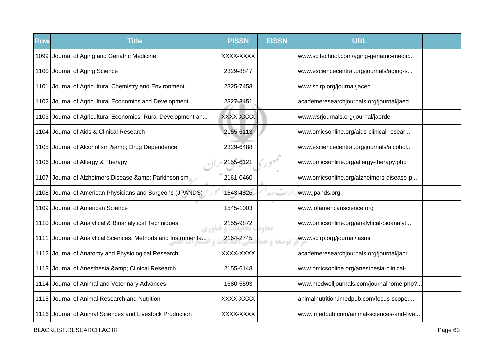| <b>Row</b> | <b>Title</b>                                                 | <b>PISSN</b> | <b>EISSN</b>  | <b>URL</b>                               |  |
|------------|--------------------------------------------------------------|--------------|---------------|------------------------------------------|--|
|            | 1099 Journal of Aging and Geriatric Medicine                 | XXXX-XXXX    |               | www.scitechnol.com/aging-geriatric-medic |  |
|            | 1100 Journal of Aging Science                                | 2329-8847    |               | www.esciencecentral.org/journals/aging-s |  |
|            | 1101 Journal of Agricultural Chemistry and Environment       | 2325-7458    |               | www.scirp.org/journal/jacen              |  |
|            | 1102 Journal of Agricultural Economics and Development       | 2327-3151    |               | academeresearchjournals.org/journal/jaed |  |
|            | 1103 Journal of Agricultural Economics, Rural Development an | XXXX-XXXX    |               | www.wsrjournals.org/journal/jaerde       |  |
|            | 1104 Journal of Aids & Clinical Research                     | 2155-6113    |               | www.omicsonline.org/aids-clinical-resear |  |
|            | 1105 Journal of Alcoholism & amp; Drug Dependence            | 2329-6488    |               | www.esciencecentral.org/journals/alcohol |  |
|            | 1106 Journal of Allergy & Therapy                            | 2155-6121    |               | www.omicsonline.org/allergy-therapy.php  |  |
| 1107       | Journal of Alzheimers Disease & Parkinsonism                 | 2161-0460    |               | www.omicsonline.org/alzheimers-disease-p |  |
|            | 1108 Journal of American Physicians and Surgeons (JPANDS)    | 1543-4826    | $\mathcal{N}$ | www.jpands.org                           |  |
| 1109       | Journal of American Science                                  | 1545-1003    |               | www.jofamericanscience.org               |  |
|            | 1110 Journal of Analytical & Bioanalytical Techniques        | 2155-9872    |               | www.omicsonline.org/analytical-bioanalyt |  |
| 1111       | Journal of Analytical Sciences, Methods and Instrumenta      | 2164-2745    | توسعه و ه     | www.scirp.org/journal/jasmi              |  |
|            | 1112 Journal of Anatomy and Physiological Research           | XXXX-XXXX    |               | academeresearchjournals.org/journal/japr |  |
|            | 1113 Journal of Anesthesia & amp; Clinical Research          | 2155-6148    |               | www.omicsonline.org/anesthesia-clinical- |  |
|            | 1114 Journal of Animal and Veterinary Advances               | 1680-5593    |               | www.medwelljournals.com/journalhome.php? |  |
|            | 1115 Journal of Animal Research and Nutrition                | XXXX-XXXX    |               | animalnutrition.imedpub.com/focus-scope  |  |
|            | 1116 Journal of Animal Sciences and Livestock Production     | XXXX-XXXX    |               | www.imedpub.com/animal-sciences-and-live |  |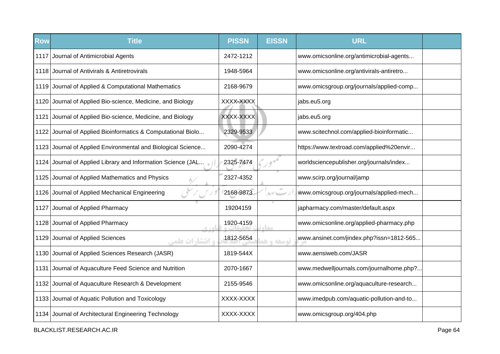| Row  | <b>Title</b>                                                 | <b>PISSN</b> | <b>EISSN</b> | <b>URL</b>                               |  |
|------|--------------------------------------------------------------|--------------|--------------|------------------------------------------|--|
| 1117 | Journal of Antimicrobial Agents                              | 2472-1212    |              | www.omicsonline.org/antimicrobial-agents |  |
| 1118 | Journal of Antivirals & Antiretrovirals                      | 1948-5964    |              | www.omicsonline.org/antivirals-antiretro |  |
|      | 1119 Journal of Applied & Computational Mathematics          | 2168-9679    |              | www.omicsgroup.org/journals/applied-comp |  |
|      | 1120 Journal of Applied Bio-science, Medicine, and Biology   | XXXX-XXXX    |              | jabs.eu5.org                             |  |
| 1121 | Journal of Applied Bio-science, Medicine, and Biology        | XXXX-XXXX    |              | jabs.eu5.org                             |  |
| 1122 | Journal of Applied Bioinformatics & Computational Biolo      | 2329-9533    |              | www.scitechnol.com/applied-bioinformatic |  |
|      | 1123 Journal of Applied Environmental and Biological Science | 2090-4274    |              | https://www.textroad.com/applied%20envir |  |
| 1124 | Journal of Applied Library and Information Science (JAL      | 2325-7474    |              | worldsciencepublisher.org/journals/index |  |
| 1125 | Journal of Applied Mathematics and Physics                   | 2327-4352    |              | www.scirp.org/journal/jamp               |  |
| 1126 | Journal of Applied Mechanical Engineering                    | 2168-9873    | ムイー          | www.omicsgroup.org/journals/applied-mech |  |
| 1127 | Journal of Applied Pharmacy                                  | 19204159     |              | japharmacy.com/master/default.aspx       |  |
| 1128 | Journal of Applied Pharmacy<br>$C + D$                       | 1920-4159    | <b>CLO</b>   | www.omicsonline.org/applied-pharmacy.php |  |
| 1129 | Journal of Applied Sciences<br><b>و انتشارات علمی</b>        | 1812-5654    | توسعه و ه    | www.ansinet.com/jindex.php?issn=1812-565 |  |
|      | 1130 Journal of Applied Sciences Research (JASR)             | 1819-544X    |              | www.aensiweb.com/JASR                    |  |
| 1131 | Journal of Aquaculture Feed Science and Nutrition            | 2070-1667    |              | www.medwelljournals.com/journalhome.php? |  |
| 1132 | Journal of Aquaculture Research & Development                | 2155-9546    |              | www.omicsonline.org/aquaculture-research |  |
|      | 1133 Journal of Aquatic Pollution and Toxicology             | XXXX-XXXX    |              | www.imedpub.com/aquatic-pollution-and-to |  |
|      | 1134 Journal of Architectural Engineering Technology         | XXXX-XXXX    |              | www.omicsgroup.org/404.php               |  |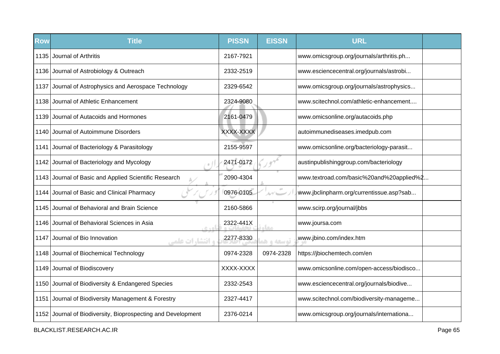| <b>Row</b> | <b>Title</b>                                                 | <b>PISSN</b> | <b>EISSN</b> | <b>URL</b>                               |  |
|------------|--------------------------------------------------------------|--------------|--------------|------------------------------------------|--|
| 1135       | Journal of Arthritis                                         | 2167-7921    |              | www.omicsgroup.org/journals/arthritis.ph |  |
|            | 1136 Journal of Astrobiology & Outreach                      | 2332-2519    |              | www.esciencecentral.org/journals/astrobi |  |
|            | 1137 Journal of Astrophysics and Aerospace Technology        | 2329-6542    |              | www.omicsgroup.org/journals/astrophysics |  |
|            | 1138 Journal of Athletic Enhancement                         | 2324-9080    |              | www.scitechnol.com/athletic-enhancement  |  |
| 1139       | Journal of Autacoids and Hormones                            | 2161-0479    |              | www.omicsonline.org/autacoids.php        |  |
| 1140       | Journal of Autoimmune Disorders                              | XXXX-XXXX    |              | autoimmunediseases.imedpub.com           |  |
| 1141       | Journal of Bacteriology & Parasitology                       | 2155-9597    |              | www.omicsonline.org/bacteriology-parasit |  |
|            | 1142 Journal of Bacteriology and Mycology                    | 2471-0172    |              | austinpublishinggroup.com/bacteriology   |  |
| 1143       | Journal of Basic and Applied Scientific Research             | 2090-4304    |              | www.textroad.com/basic%20and%20applied%2 |  |
|            | 1144 Journal of Basic and Clinical Pharmacy                  | 0976-0105    |              | www.jbclinpharm.org/currentissue.asp?sab |  |
| 1145       | Journal of Behavioral and Brain Science                      | 2160-5866    |              | www.scirp.org/journal/jbbs               |  |
| 1146       | Journal of Behavioral Sciences in Asia<br>0.401              | 2322-441X    | معا          | www.joursa.com                           |  |
| 1147       | Journal of Bio Innovation<br><b>و انتشارات علمی</b>          | 2277-8330    | توسعه و ه    | www.jbino.com/index.htm                  |  |
|            | 1148 Journal of Biochemical Technology                       | 0974-2328    | 0974-2328    | https://jbiochemtech.com/en              |  |
|            | 1149 Journal of Biodiscovery                                 | XXXX-XXXX    |              | www.omicsonline.com/open-access/biodisco |  |
|            | 1150 Journal of Biodiversity & Endangered Species            | 2332-2543    |              | www.esciencecentral.org/journals/biodive |  |
|            | 1151 Journal of Biodiversity Management & Forestry           | 2327-4417    |              | www.scitechnol.com/biodiversity-manageme |  |
|            | 1152 Journal of Biodiversity, Bioprospecting and Development | 2376-0214    |              | www.omicsgroup.org/journals/internationa |  |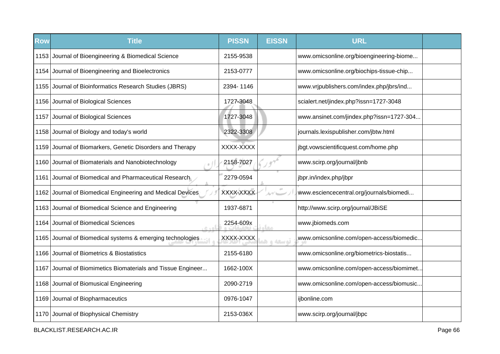| <b>Row</b> | <b>Title</b>                                            | <b>PISSN</b> | <b>EISSN</b> | <b>URL</b>                               |  |
|------------|---------------------------------------------------------|--------------|--------------|------------------------------------------|--|
|            | 1153 Journal of Bioengineering & Biomedical Science     | 2155-9538    |              | www.omicsonline.org/bioengineering-biome |  |
|            | 1154 Journal of Bioengineering and Bioelectronics       | 2153-0777    |              | www.omicsonline.org/biochips-tissue-chip |  |
|            | 1155 Journal of Bioinformatics Research Studies (JBRS)  | 2394-1146    |              | www.vrjpublishers.com/index.php/jbrs/ind |  |
|            | 1156 Journal of Biological Sciences                     | 1727-3048    |              | scialert.net/jindex.php?issn=1727-3048   |  |
|            | 1157 Journal of Biological Sciences                     | 1727-3048    |              | www.ansinet.com/jindex.php?issn=1727-304 |  |
| 1158       | Journal of Biology and today's world                    | 2322-3308    |              | journals.lexispublisher.com/jbtw.html    |  |
| 1159       | Journal of Biomarkers, Genetic Disorders and Therapy    | XXXX-XXXX    |              | jbgt.vowscientificquest.com/home.php     |  |
|            | 1160 Journal of Biomaterials and Nanobiotechnology      | 2158-7027    |              | www.scirp.org/journal/jbnb               |  |
| 1161       | Journal of Biomedical and Pharmaceutical Research       | 2279-0594    |              | jbpr.in/index.php/jbpr                   |  |
| 1162       | Journal of Biomedical Engineering and Medical Devices   | XXXX-XXXX    | ルゲーー         | www.esciencecentral.org/journals/biomedi |  |
| 1163       | Journal of Biomedical Science and Engineering           | 1937-6871    |              | http://www.scirp.org/journal/JBiSE       |  |
| 1164       | Journal of Biomedical Sciences<br>$R \triangleq 0$      | 2254-609x    | <b>LELO</b>  | www.jbiomeds.com                         |  |
| 1165       | Journal of Biomedical systems & emerging technologies   | XXXX-XXXX    | توسعه واهد   | www.omicsonline.com/open-access/biomedic |  |
|            | 1166 Journal of Biometrics & Biostatistics              | 2155-6180    |              | www.omicsonline.org/biometrics-biostatis |  |
| 1167       | Journal of Biomimetics Biomaterials and Tissue Engineer | 1662-100X    |              | www.omicsonline.com/open-access/biomimet |  |
|            | 1168 Journal of Biomusical Engineering                  | 2090-2719    |              | www.omicsonline.com/open-access/biomusic |  |
|            | 1169 Journal of Biopharmaceutics                        | 0976-1047    |              | ijbonline.com                            |  |
|            | 1170 Journal of Biophysical Chemistry                   | 2153-036X    |              | www.scirp.org/journal/jbpc               |  |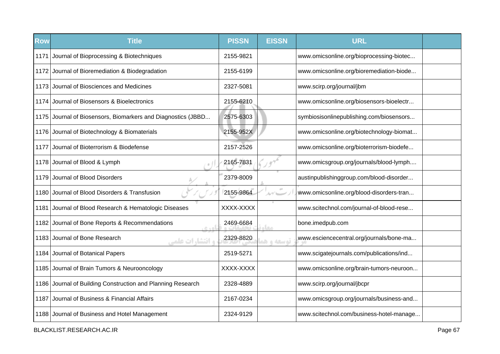| <b>Row</b> | <b>Title</b>                                                 | <b>PISSN</b> | <b>EISSN</b>  | <b>URL</b>                               |  |
|------------|--------------------------------------------------------------|--------------|---------------|------------------------------------------|--|
| 1171       | Journal of Bioprocessing & Biotechniques                     | 2155-9821    |               | www.omicsonline.org/bioprocessing-biotec |  |
|            | 1172 Journal of Bioremediation & Biodegradation              | 2155-6199    |               | www.omicsonline.org/bioremediation-biode |  |
| 1173       | Journal of Biosciences and Medicines                         | 2327-5081    |               | www.scirp.org/journal/jbm                |  |
|            | 1174 Journal of Biosensors & Bioelectronics                  | 2155-6210    |               | www.omicsonline.org/biosensors-bioelectr |  |
|            | 1175 Journal of Biosensors, Biomarkers and Diagnostics (JBBD | 2575-6303    |               | symbiosisonlinepublishing.com/biosensors |  |
|            | 1176 Journal of Biotechnology & Biomaterials                 | 2155-952X    |               | www.omicsonline.org/biotechnology-biomat |  |
| 1177       | Journal of Bioterrorism & Biodefense                         | 2157-2526    |               | www.omicsonline.org/bioterrorism-biodefe |  |
|            | 1178 Journal of Blood & Lymph                                | 2165-7831    |               | www.omicsgroup.org/journals/blood-lymph  |  |
|            | 1179 Journal of Blood Disorders                              | 2379-8009    |               | austinpublishinggroup.com/blood-disorder |  |
|            | 1180 Journal of Blood Disorders & Transfusion                | 2155-9864    | $\alpha\beta$ | www.omicsonline.org/blood-disorders-tran |  |
| 1181       | Journal of Blood Research & Hematologic Diseases             | XXXX-XXXX    |               | www.scitechnol.com/journal-of-blood-rese |  |
| 1182       | Journal of Bone Reports & Recommendations<br>0.401           | 2469-6684    | مغام          | bone.imedpub.com                         |  |
| 1183       | Journal of Bone Research<br><b>و انتشارات علمی</b>           | 2329-8820    | توسعه و هو    | www.esciencecentral.org/journals/bone-ma |  |
|            | 1184 Journal of Botanical Papers                             | 2519-5271    |               | www.scigatejournals.com/publications/ind |  |
|            | 1185 Journal of Brain Tumors & Neurooncology                 | XXXX-XXXX    |               | www.omicsonline.org/brain-tumors-neuroon |  |
|            | 1186 Journal of Building Construction and Planning Research  | 2328-4889    |               | www.scirp.org/journal/jbcpr              |  |
| 1187       | Journal of Business & Financial Affairs                      | 2167-0234    |               | www.omicsgroup.org/journals/business-and |  |
|            | 1188 Journal of Business and Hotel Management                | 2324-9129    |               | www.scitechnol.com/business-hotel-manage |  |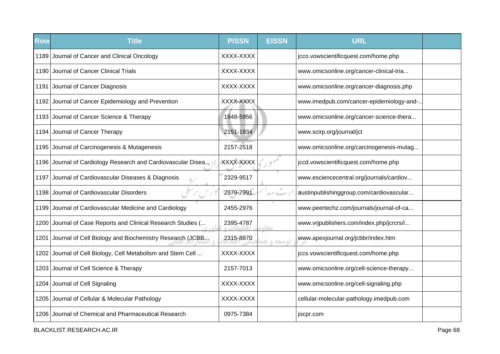| <b>Row</b> | <b>Title</b>                                                 | <b>PISSN</b> | <b>EISSN</b> | <b>URL</b>                               |  |
|------------|--------------------------------------------------------------|--------------|--------------|------------------------------------------|--|
|            | 1189 Journal of Cancer and Clinical Oncology                 | XXXX-XXXX    |              | jcco.vowscientificquest.com/home.php     |  |
|            | 1190 Journal of Cancer Clinical Trials                       | XXXX-XXXX    |              | www.omicsonline.org/cancer-clinical-tria |  |
|            | 1191 Journal of Cancer Diagnosis                             | XXXX-XXXX    |              | www.omicsonline.org/cancer-diagnosis.php |  |
|            | 1192 Journal of Cancer Epidemiology and Prevention           | XXXX-XXXX    |              | www.imedpub.com/cancer-epidemiology-and- |  |
|            | 1193 Journal of Cancer Science & Therapy                     | 1948-5956    |              | www.omicsonline.org/cancer-science-thera |  |
|            | 1194 Journal of Cancer Therapy                               | 2151-1934    |              | www.scirp.org/journal/jct                |  |
| 1195       | Journal of Carcinogenesis & Mutagenesis                      | 2157-2518    |              | www.omicsonline.org/carcinogenesis-mutag |  |
|            | 1196 Journal of Cardiology Research and Cardiovascular Disea | XXXX-XXXX    |              | jccd.vowscientificquest.com/home.php     |  |
| 1197       | Journal of Cardiovascular Diseases & Diagnosis               | 2329-9517    |              | www.esciencecentral.org/journals/cardiov |  |
| 1198       | Journal of Cardiovascular Disorders                          | 2379-7991    |              | austinpublishinggroup.com/cardiovascular |  |
|            | 1199 Journal of Cardiovascular Medicine and Cardiology       | 2455-2976    |              | www.peertechz.com/journals/journal-of-ca |  |
| 1200       | Journal of Case Reports and Clinical Research Studies (      | 2395-4787    | معا          | www.vrjpublishers.com/index.php/jcrcrs/i |  |
| 1201       | Journal of Cell Biology and Biochemistry Research (JCBB      | 2315-8870    | توسعه و ه    | www.apexjournal.org/jcbbr/index.htm      |  |
|            | 1202 Journal of Cell Biology, Cell Metabolism and Stem Cell  | XXXX-XXXX    |              | jccs.vowscientificquest.com/home.php     |  |
|            | 1203 Journal of Cell Science & Therapy                       | 2157-7013    |              | www.omicsonline.org/cell-science-therapy |  |
|            | 1204 Journal of Cell Signaling                               | XXXX-XXXX    |              | www.omicsonline.org/cell-signaling.php   |  |
|            | 1205 Journal of Cellular & Molecular Pathology               | XXXX-XXXX    |              | cellular-molecular-pathology.imedpub.com |  |
|            | 1206 Journal of Chemical and Pharmaceutical Research         | 0975-7384    |              | jocpr.com                                |  |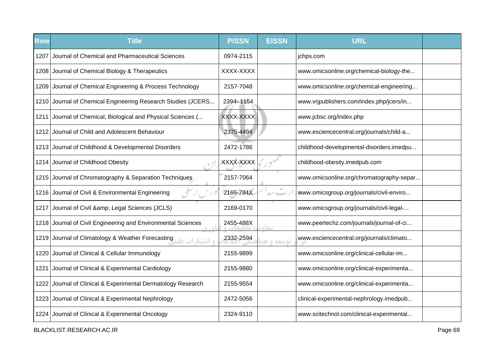| <b>Row</b> | <b>Title</b>                                                           | <b>PISSN</b> | <b>EISSN</b> | <b>URL</b>                               |  |
|------------|------------------------------------------------------------------------|--------------|--------------|------------------------------------------|--|
| 1207       | Journal of Chemical and Pharmaceutical Sciences                        | 0974-2115    |              | jchps.com                                |  |
|            | 1208 Journal of Chemical Biology & Therapeutics                        | XXXX-XXXX    |              | www.omicsonline.org/chemical-biology-the |  |
|            | 1209 Journal of Chemical Engineering & Process Technology              | 2157-7048    |              | www.omicsonline.org/chemical-engineering |  |
|            | 1210 Journal of Chemical Engineering Research Studies (JCERS           | 2394-1154    |              | www.vrjpublishers.com/index.php/jcers/in |  |
|            | 1211 Journal of Chemical, Biological and Physical Sciences (           | XXXX-XXXX    |              | www.jcbsc.org/index.php                  |  |
|            | 1212 Journal of Child and Adolescent Behaviour                         | 2375-4494    |              | www.esciencecentral.org/journals/child-a |  |
|            | 1213 Journal of Childhood & Developmental Disorders                    | 2472-1786    |              | childhood-developmental-disorders.imedpu |  |
|            | 1214 Journal of Childhood Obesity                                      | XXXX-XXXX    |              | childhood-obesity.imedpub.com            |  |
|            | 1215 Journal of Chromatography & Separation Techniques                 | 2157-7064    |              | www.omicsonline.org/chromatography-separ |  |
|            | 1216 Journal of Civil & Environmental Engineering                      | 2165-784X    |              | www.omicsgroup.org/journals/civil-enviro |  |
| 1217       | Journal of Civil & amp; Legal Sciences (JCLS)                          | 2169-0170    |              | www.omicsgroup.org/journals/civil-legal- |  |
|            | 1218 Journal of Civil Engineering and Environmental Sciences           | 2455-488X    | معاء         | www.peertechz.com/journals/journal-of-ci |  |
|            | و افتشار ات علم Journal of Climatology & Weather Forecasting التشار ات | 2332-2594    | توسعه و هد   | www.esciencecentral.org/journals/climato |  |
| 1220       | Journal of Clinical & Cellular Immunology                              | 2155-9899    |              | www.omicsonline.org/clinical-cellular-im |  |
| 1221       | Journal of Clinical & Experimental Cardiology                          | 2155-9880    |              | www.omicsonline.org/clinical-experimenta |  |
|            | 1222 Journal of Clinical & Experimental Dermatology Research           | 2155-9554    |              | www.omicsonline.org/clinical-experimenta |  |
|            | 1223 Journal of Clinical & Experimental Nephrology                     | 2472-5056    |              | clinical-experimental-nephrology.imedpub |  |
|            | 1224 Journal of Clinical & Experimental Oncology                       | 2324-9110    |              | www.scitechnol.com/clinical-experimental |  |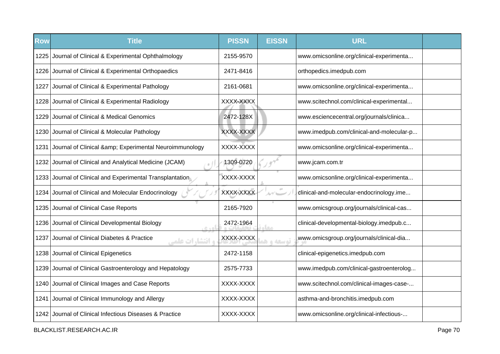| <b>Row</b> | <b>Title</b>                                                      | <b>PISSN</b> | <b>EISSN</b>            | <b>URL</b>                               |  |
|------------|-------------------------------------------------------------------|--------------|-------------------------|------------------------------------------|--|
|            | 1225 Journal of Clinical & Experimental Ophthalmology             | 2155-9570    |                         | www.omicsonline.org/clinical-experimenta |  |
|            | 1226 Journal of Clinical & Experimental Orthopaedics              | 2471-8416    |                         | orthopedics.imedpub.com                  |  |
| 1227       | Journal of Clinical & Experimental Pathology                      | 2161-0681    |                         | www.omicsonline.org/clinical-experimenta |  |
|            | 1228 Journal of Clinical & Experimental Radiology                 | XXXX-XXXX    |                         | www.scitechnol.com/clinical-experimental |  |
| 1229       | Journal of Clinical & Medical Genomics                            | 2472-128X    |                         | www.esciencecentral.org/journals/clinica |  |
| 1230       | Journal of Clinical & Molecular Pathology                         | XXXX-XXXX    |                         | www.imedpub.com/clinical-and-molecular-p |  |
| 1231       | Journal of Clinical & Experimental Neuroimmunology                | XXXX-XXXX    |                         | www.omicsonline.org/clinical-experimenta |  |
|            | 1232 Journal of Clinical and Analytical Medicine (JCAM)           | 1309-0720    |                         | www.jcam.com.tr                          |  |
| 1233       | Journal of Clinical and Experimental Transplantation              | XXXX-XXXX    |                         | www.omicsonline.org/clinical-experimenta |  |
| 1234       | Journal of Clinical and Molecular Endocrinology                   | XXXX-XXXX    | 10 <sup>2</sup><br>ルイーー | clinical-and-molecular-endocrinology.ime |  |
| 1235       | Journal of Clinical Case Reports                                  | 2165-7920    |                         | www.omicsgroup.org/journals/clinical-cas |  |
| 1236       | Journal of Clinical Developmental Biology<br>0.105                | 2472-1964    | مخاه                    | clinical-developmental-biology.imedpub.c |  |
| 1237       | Journal of Clinical Diabetes & Practice<br><b>و انتشا,ات علمے</b> | XXXX-XXXX    | توسعه و هو              | www.omicsgroup.org/journals/clinical-dia |  |
|            | 1238 Journal of Clinical Epigenetics                              | 2472-1158    |                         | clinical-epigenetics.imedpub.com         |  |
|            | 1239 Journal of Clinical Gastroenterology and Hepatology          | 2575-7733    |                         | www.imedpub.com/clinical-gastroenterolog |  |
|            | 1240 Journal of Clinical Images and Case Reports                  | XXXX-XXXX    |                         | www.scitechnol.com/clinical-images-case- |  |
|            | 1241 Journal of Clinical Immunology and Allergy                   | XXXX-XXXX    |                         | asthma-and-bronchitis.imedpub.com        |  |
| 1242       | Journal of Clinical Infectious Diseases & Practice                | XXXX-XXXX    |                         | www.omicsonline.org/clinical-infectious- |  |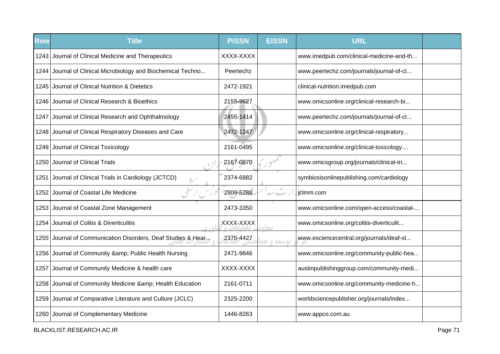| <b>Row</b> | <b>Title</b>                                                 | <b>PISSN</b> | <b>EISSN</b> | <b>URL</b>                               |  |
|------------|--------------------------------------------------------------|--------------|--------------|------------------------------------------|--|
|            | 1243 Journal of Clinical Medicine and Therapeutics           | XXXX-XXXX    |              | www.imedpub.com/clinical-medicine-and-th |  |
|            | 1244 Journal of Clinical Microbiology and Biochemical Techno | Peertechz    |              | www.peertechz.com/journals/journal-of-cl |  |
| 1245       | Journal of Clinical Nutrition & Dietetics                    | 2472-1921    |              | clinical-nutrition.imedpub.com           |  |
|            | 1246 Journal of Clinical Research & Bioethics                | 2155-9627    |              | www.omicsonline.org/clinical-research-bi |  |
|            | 1247 Journal of Clinical Research and Ophthalmology          | 2455-1414    |              | www.peertechz.com/journals/journal-of-cl |  |
|            | 1248 Journal of Clinical Respiratory Diseases and Care       | 2472-1247    |              | www.omicsonline.org/clinical-respiratory |  |
| 1249       | Journal of Clinical Toxicology                               | 2161-0495    |              | www.omicsonline.org/clinical-toxicology  |  |
|            | 1250 Journal of Clinical Trials                              | 2167-0870    |              | www.omicsgroup.org/journals/clinical-tri |  |
| 1251       | Journal of Clinical Trials in Cardiology (JCTCD)             | 2374-6882    |              | symbiosisonlinepublishing.com/cardiology |  |
| 1252       | Journal of Coastal Life Medicine                             | 2309-5288    | $\pm 0$      | jclmm.com                                |  |
| 1253       | Journal of Coastal Zone Management                           | 2473-3350    |              | www.omicsonline.com/open-access/coastal- |  |
| 1254       | Journal of Colitis & Diverticulitis                          | XXXX-XXXX    | مغار         | www.omicsonline.org/colitis-diverticulit |  |
| 1255       | Journal of Communication Disorders, Deaf Studies & Hear      | 2375-4427    | توسعه و ه    | www.esciencecentral.org/journals/deaf-st |  |
|            | 1256 Journal of Community & amp; Public Health Nursing       | 2471-9846    |              | www.omicsonline.org/community-public-hea |  |
| 1257       | Journal of Community Medicine & health care                  | XXXX-XXXX    |              | austinpublishinggroup.com/community-medi |  |
| 1258       | Journal of Community Medicine & Health Education             | 2161-0711    |              | www.omicsonline.org/community-medicine-h |  |
|            | 1259 Journal of Comparative Literature and Culture (JCLC)    | 2325-2200    |              | worldsciencepublisher.org/journals/index |  |
|            | 1260 Journal of Complementary Medicine                       | 1446-8263    |              | www.appco.com.au                         |  |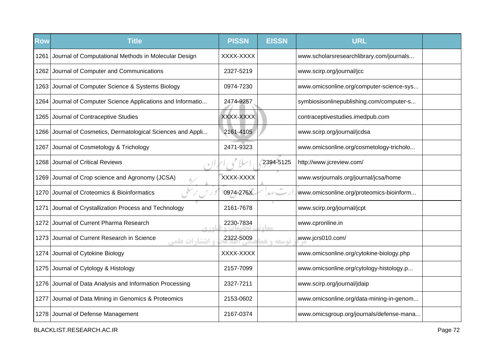| <b>Row</b> | <b>Title</b>                                                      | <b>PISSN</b> | <b>EISSN</b> | <b>URL</b>                               |  |
|------------|-------------------------------------------------------------------|--------------|--------------|------------------------------------------|--|
| 1261       | Journal of Computational Methods in Molecular Design              | XXXX-XXXX    |              | www.scholarsresearchlibrary.com/journals |  |
| 1262       | Journal of Computer and Communications                            | 2327-5219    |              | www.scirp.org/journal/jcc                |  |
|            | 1263 Journal of Computer Science & Systems Biology                | 0974-7230    |              | www.omicsonline.org/computer-science-sys |  |
|            | 1264 Journal of Computer Science Applications and Informatio      | 2474-9257    |              | symbiosisonlinepublishing.com/computer-s |  |
|            | 1265 Journal of Contraceptive Studies                             | XXXX-XXXX    |              | contraceptivestudies.imedpub.com         |  |
| 1266       | Journal of Cosmetics, Dermatological Sciences and Appli           | 2161-4105    |              | www.scirp.org/journal/jcdsa              |  |
| 1267       | Journal of Cosmetology & Trichology                               | 2471-9323    |              | www.omicsonline.org/cosmetology-tricholo |  |
| 1268       | Journal of Critical Reviews                                       |              | 2394-5125    | http://www.jcreview.com/                 |  |
| 1269       | Journal of Crop science and Agronomy (JCSA)                       | XXXX-XXXX    |              | www.wsrjournals.org/journal/jcsa/home    |  |
| 1270       | Journal of Croteomics & Bioinformatics                            | 0974-276X    | ルイー          | www.omicsonline.org/proteomics-bioinform |  |
| 1271       | Journal of Crystallization Process and Technology                 | 2161-7678    |              | www.scirp.org/journal/jcpt               |  |
| 1272       | Journal of Current Pharma Research<br>$C + D$                     | 2230-7834    | <b>LELO</b>  | www.cpronline.in                         |  |
| 12731      | Journal of Current Research in Science<br><b>و انتشا, ات علمی</b> | 2322-5009    | توسعه و ه    | www.jcrs010.com/                         |  |
|            | 1274 Journal of Cytokine Biology                                  | XXXX-XXXX    |              | www.omicsonline.org/cytokine-biology.php |  |
|            | 1275 Journal of Cytology & Histology                              | 2157-7099    |              | www.omicsonline.org/cytology-histology.p |  |
|            | 1276 Journal of Data Analysis and Information Processing          | 2327-7211    |              | www.scirp.org/journal/jdaip              |  |
|            | 1277 Journal of Data Mining in Genomics & Proteomics              | 2153-0602    |              | www.omicsonline.org/data-mining-in-genom |  |
|            | 1278 Journal of Defense Management                                | 2167-0374    |              | www.omicsgroup.org/journals/defense-mana |  |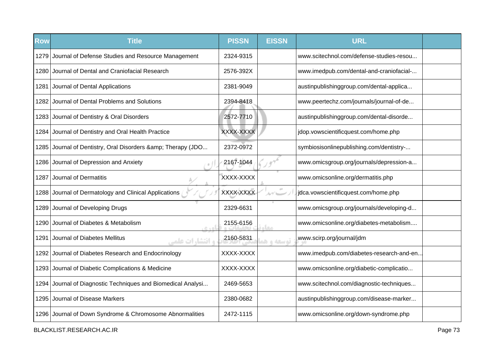| <b>Row</b> | <b>Title</b>                                                  | <b>PISSN</b> | <b>EISSN</b> | <b>URL</b>                               |  |
|------------|---------------------------------------------------------------|--------------|--------------|------------------------------------------|--|
|            | 1279 Journal of Defense Studies and Resource Management       | 2324-9315    |              | www.scitechnol.com/defense-studies-resou |  |
| 1280       | Journal of Dental and Craniofacial Research                   | 2576-392X    |              | www.imedpub.com/dental-and-craniofacial- |  |
| 1281       | Journal of Dental Applications                                | 2381-9049    |              | austinpublishinggroup.com/dental-applica |  |
|            | 1282 Journal of Dental Problems and Solutions                 | 2394-8418    |              | www.peertechz.com/journals/journal-of-de |  |
|            | 1283 Journal of Dentistry & Oral Disorders                    | 2572-7710    |              | austinpublishinggroup.com/dental-disorde |  |
| 1284       | Journal of Dentistry and Oral Health Practice                 | XXXX-XXXX    |              | jdop.vowscientificquest.com/home.php     |  |
|            | 1285 Journal of Dentistry, Oral Disorders & amp; Therapy (JDO | 2372-0972    |              | symbiosisonlinepublishing.com/dentistry- |  |
|            | 1286 Journal of Depression and Anxiety                        | 2167-1044    |              | www.omicsgroup.org/journals/depression-a |  |
| 1287       | <b>Journal of Dermatitis</b>                                  | XXXX-XXXX    |              | www.omicsonline.org/dermatitis.php       |  |
| 1288       | Journal of Dermatology and Clinical Applications              | XXXX-XXXX    | ルゲーー         | jdca.vowscientificquest.com/home.php     |  |
|            | 1289 Journal of Developing Drugs                              | 2329-6631    |              | www.omicsgroup.org/journals/developing-d |  |
| 1290       | Journal of Diabetes & Metabolism<br>$C + D$                   | 2155-6156    | <b>STAR</b>  | www.omicsonline.org/diabetes-metabolism  |  |
| 1291       | Journal of Diabetes Mellitus<br><b>، انتشا, ات علمی</b>       | 2160-5831    | توسعه و ه    | www.scirp.org/journal/jdm                |  |
|            | 1292 Journal of Diabetes Research and Endocrinology           | XXXX-XXXX    |              | www.imedpub.com/diabetes-research-and-en |  |
|            | 1293 Journal of Diabetic Complications & Medicine             | XXXX-XXXX    |              | www.omicsonline.org/diabetic-complicatio |  |
| 1294       | Journal of Diagnostic Techniques and Biomedical Analysi       | 2469-5653    |              | www.scitechnol.com/diagnostic-techniques |  |
|            | 1295 Journal of Disease Markers                               | 2380-0682    |              | austinpublishinggroup.com/disease-marker |  |
|            | 1296 Journal of Down Syndrome & Chromosome Abnormalities      | 2472-1115    |              | www.omicsonline.org/down-syndrome.php    |  |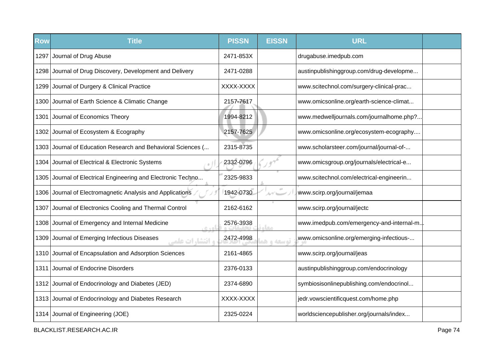| <b>Row</b> | <b>Title</b>                                                     | <b>PISSN</b> | <b>EISSN</b> | <b>URL</b>                               |  |
|------------|------------------------------------------------------------------|--------------|--------------|------------------------------------------|--|
| 1297       | Journal of Drug Abuse                                            | 2471-853X    |              | drugabuse.imedpub.com                    |  |
|            | 1298 Journal of Drug Discovery, Development and Delivery         | 2471-0288    |              | austinpublishinggroup.com/drug-developme |  |
|            | 1299 Journal of Durgery & Clinical Practice                      | XXXX-XXXX    |              | www.scitechnol.com/surgery-clinical-prac |  |
|            | 1300 Journal of Earth Science & Climatic Change                  | 2157-7617    |              | www.omicsonline.org/earth-science-climat |  |
|            | 1301 Journal of Economics Theory                                 | 1994-8212    |              | www.medwelljournals.com/journalhome.php? |  |
|            | 1302 Journal of Ecosystem & Ecography                            | 2157-7625    |              | www.omicsonline.org/ecosystem-ecography  |  |
|            | 1303 Journal of Education Research and Behavioral Sciences (     | 2315-8735    |              | www.scholarsteer.com/journal/journal-of- |  |
|            | 1304 Journal of Electrical & Electronic Systems                  | 2332-0796    |              | www.omicsgroup.org/journals/electrical-e |  |
| 1305       | Journal of Electrical Engineering and Electronic Techno          | 2325-9833    |              | www.scitechnol.com/electrical-engineerin |  |
| 1306       | Journal of Electromagnetic Analysis and Applications             | 1942-0730    | $\pm 0$      | www.scirp.org/journal/jemaa              |  |
| 1307       | Journal of Electronics Cooling and Thermal Control               | 2162-6162    |              | www.scirp.org/journal/jectc              |  |
| 1308       | Journal of Emergency and Internal Medicine                       | 2576-3938    | <b>STAR</b>  | www.imedpub.com/emergency-and-internal-m |  |
| 1309       | Journal of Emerging Infectious Diseases<br><b>، انتشارات علم</b> | 2472-4998    | توسعه و هد   | www.omicsonline.org/emerging-infectious- |  |
|            | 1310 Journal of Encapsulation and Adsorption Sciences            | 2161-4865    |              | www.scirp.org/journal/jeas               |  |
|            | 1311 Journal of Endocrine Disorders                              | 2376-0133    |              | austinpublishinggroup.com/endocrinology  |  |
|            | 1312 Journal of Endocrinology and Diabetes (JED)                 | 2374-6890    |              | symbiosisonlinepublishing.com/endocrinol |  |
|            | 1313 Journal of Endocrinology and Diabetes Research              | XXXX-XXXX    |              | jedr.vowscientificquest.com/home.php     |  |
|            | 1314 Journal of Engineering (JOE)                                | 2325-0224    |              | worldsciencepublisher.org/journals/index |  |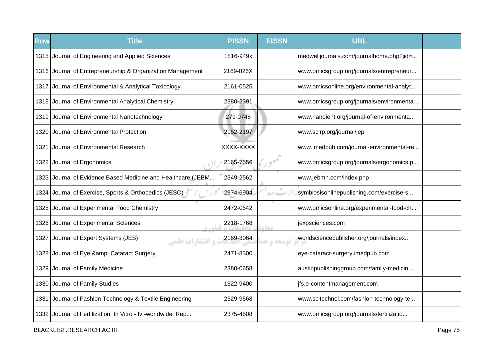| <b>Row</b> | <b>Title</b>                                                 | <b>PISSN</b> | <b>EISSN</b>               | <b>URL</b>                               |  |
|------------|--------------------------------------------------------------|--------------|----------------------------|------------------------------------------|--|
|            | 1315 Journal of Engineering and Applied Sciences             | 1816-949x    |                            | medwelljournals.com/journalhome.php?jid= |  |
|            | 1316 Journal of Entrepreneurship & Organization Management   | 2169-026X    |                            | www.omicsgroup.org/journals/entrepreneur |  |
|            | 1317 Journal of Environmental & Analytical Toxicology        | 2161-0525    |                            | www.omicsonline.org/environmental-analyt |  |
|            | 1318 Journal of Environmental Analytical Chemistry           | 2380-2391    |                            | www.omicsgroup.org/journals/environmenta |  |
|            | 1319 Journal of Environmental Nanotechnology                 | 279-0748     |                            | www.nanoient.org/journal-of-environmenta |  |
| 1320       | Journal of Environmental Protection                          | 2152-2197    |                            | www.scirp.org/journal/jep                |  |
| 1321       | Journal of Environmental Research                            | XXXX-XXXX    |                            | www.imedpub.com/journal-environmental-re |  |
|            | 1322 Journal of Ergonomics                                   | 2165-7556    |                            | www.omicsgroup.org/journals/ergonomics.p |  |
|            | 1323 Journal of Evidence Based Medicine and Healthcare (JEBM | 2349-2562    |                            | www.jebmh.com/index.php                  |  |
| 1324       | Journal of Exercise, Sports & Orthopedics (JESO)             | 2374-6904    | $\alpha\dot\sigma$<br>ルゲニー | symbiosisonlinepublishing.com/exercise-s |  |
| 1325       | Journal of Experimental Food Chemistry                       | 2472-0542    |                            | www.omicsonline.org/experimental-food-ch |  |
| 1326       | Journal of Experimental Sciences<br>ic vol                   | 2218-1768    | مخام                       | jexpsciences.com                         |  |
| 1327       | Journal of Expert Systems (JES)<br><b>و انتشارات علمی</b>    | 2169-3064    | توسعه و هد                 | worldsciencepublisher.org/journals/index |  |
| 1328       | Journal of Eye & Cataract Surgery                            | 2471-8300    |                            | eye-cataract-surgery.imedpub.com         |  |
|            | 1329 Journal of Family Medicine                              | 2380-0658    |                            | austinpublishinggroup.com/family-medicin |  |
|            | 1330 Journal of Family Studies                               | 1322-9400    |                            | jfs.e-contentmanagement.com              |  |
|            | 1331 Journal of Fashion Technology & Textile Engineering     | 2329-9568    |                            | www.scitechnol.com/fashion-technology-te |  |
|            | 1332 Journal of Fertilization: In Vitro - Ivf-worldwide, Rep | 2375-4508    |                            | www.omicsgroup.org/journals/fertilizatio |  |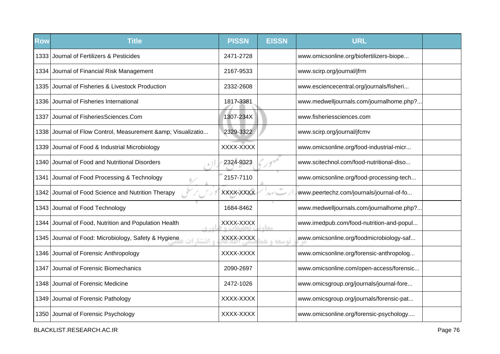| <b>Row</b> | <b>Title</b>                                                        | <b>PISSN</b> | <b>EISSN</b>   | <b>URL</b>                               |  |
|------------|---------------------------------------------------------------------|--------------|----------------|------------------------------------------|--|
|            | 1333 Journal of Fertilizers & Pesticides                            | 2471-2728    |                | www.omicsonline.org/biofertilizers-biope |  |
|            | 1334 Journal of Financial Risk Management                           | 2167-9533    |                | www.scirp.org/journal/jfrm               |  |
| 1335       | Journal of Fisheries & Livestock Production                         | 2332-2608    |                | www.esciencecentral.org/journals/fisheri |  |
|            | 1336 Journal of Fisheries International                             | 1817-3381    |                | www.medwelljournals.com/journalhome.php? |  |
| 1337       | Journal of FisheriesSciences.Com                                    | 1307-234X    |                | www.fisheriessciences.com                |  |
| 1338       | Journal of Flow Control, Measurement & Visualizatio                 | 2329-3322    |                | www.scirp.org/journal/jfcmv              |  |
| 1339       | Journal of Food & Industrial Microbiology                           | XXXX-XXXX    |                | www.omicsonline.org/food-industrial-micr |  |
|            | 1340 Journal of Food and Nutritional Disorders                      | 2324-9323    |                | www.scitechnol.com/food-nutritional-diso |  |
| 1341       | Journal of Food Processing & Technology                             | 2157-7110    |                | www.omicsonline.org/food-processing-tech |  |
| 1342       | Journal of Food Science and Nutrition Therapy                       | XXXX-XXXX    | $\sigma^{\pm}$ | www.peertechz.com/journals/journal-of-fo |  |
|            | 1343 Journal of Food Technology                                     | 1684-8462    |                | www.medwelljournals.com/journalhome.php? |  |
| 1344 I     | Journal of Food, Nutrition and Population Health<br>6.401           | XXXX-XXXX    | معاد           | www.imedpub.com/food-nutrition-and-popul |  |
|            | 1345 Journal of Food: Microbiology, Safety & Hygiene<br>ه انتشا، ات | XXXX-XXXX    | توسعه و ه      | www.omicsonline.org/foodmicrobiology-saf |  |
|            | 1346 Journal of Forensic Anthropology                               | XXXX-XXXX    |                | www.omicsonline.org/forensic-anthropolog |  |
| 1347       | Journal of Forensic Biomechanics                                    | 2090-2697    |                | www.omicsonline.com/open-access/forensic |  |
|            | 1348 Journal of Forensic Medicine                                   | 2472-1026    |                | www.omicsgroup.org/journals/journal-fore |  |
|            | 1349 Journal of Forensic Pathology                                  | XXXX-XXXX    |                | www.omicsgroup.org/journals/forensic-pat |  |
|            | 1350 Journal of Forensic Psychology                                 | XXXX-XXXX    |                | www.omicsonline.org/forensic-psychology  |  |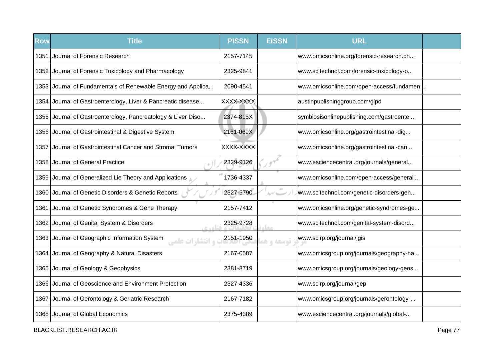| <b>Row</b> | <b>Title</b>                                                        | <b>PISSN</b> | <b>EISSN</b> | <b>URL</b>                                |  |
|------------|---------------------------------------------------------------------|--------------|--------------|-------------------------------------------|--|
| 1351       | Journal of Forensic Research                                        | 2157-7145    |              | www.omicsonline.org/forensic-research.ph  |  |
|            | 1352 Journal of Forensic Toxicology and Pharmacology                | 2325-9841    |              | www.scitechnol.com/forensic-toxicology-p  |  |
|            | 1353 Journal of Fundamentals of Renewable Energy and Applica        | 2090-4541    |              | www.omicsonline.com/open-access/fundamen. |  |
|            | 1354 Journal of Gastroenterology, Liver & Pancreatic disease        | XXXX-XXXX    |              | austinpublishinggroup.com/glpd            |  |
|            | 1355 Journal of Gastroenterology, Pancreatology & Liver Diso        | 2374-815X    |              | symbiosisonlinepublishing.com/gastroente  |  |
|            | 1356 Journal of Gastrointestinal & Digestive System                 | 2161-069X    |              | www.omicsonline.org/gastrointestinal-dig  |  |
| 1357       | Journal of Gastrointestinal Cancer and Stromal Tumors               | XXXX-XXXX    |              | www.omicsonline.org/gastrointestinal-can  |  |
| 1358       | Journal of General Practice                                         | 2329-9126    |              | www.esciencecentral.org/journals/general  |  |
|            | 1359 Journal of Generalized Lie Theory and Applications             | 1736-4337    |              | www.omicsonline.com/open-access/generali  |  |
| 1360       | Journal of Genetic Disorders & Genetic Reports                      | 2327-5790    | $\pm 0$      | www.scitechnol.com/genetic-disorders-gen  |  |
| 1361       | Journal of Genetic Syndromes & Gene Therapy                         | 2157-7412    |              | www.omicsonline.org/genetic-syndromes-ge  |  |
| 1362       | Journal of Genital System & Disorders                               | 2325-9728    | 0.0          | www.scitechnol.com/genital-system-disord  |  |
| 1363       | Journal of Geographic Information System<br><b>، انتشا, ات علمی</b> | 2151-1950    | توسعه و هد   | www.scirp.org/journal/jgis                |  |
|            | 1364 Journal of Geography & Natural Disasters                       | 2167-0587    |              | www.omicsgroup.org/journals/geography-na  |  |
|            | 1365 Journal of Geology & Geophysics                                | 2381-8719    |              | www.omicsgroup.org/journals/geology-geos  |  |
|            | 1366 Journal of Geoscience and Environment Protection               | 2327-4336    |              | www.scirp.org/journal/gep                 |  |
| 1367       | Journal of Gerontology & Geriatric Research                         | 2167-7182    |              | www.omicsgroup.org/journals/gerontology-  |  |
|            | 1368 Journal of Global Economics                                    | 2375-4389    |              | www.esciencecentral.org/journals/global-  |  |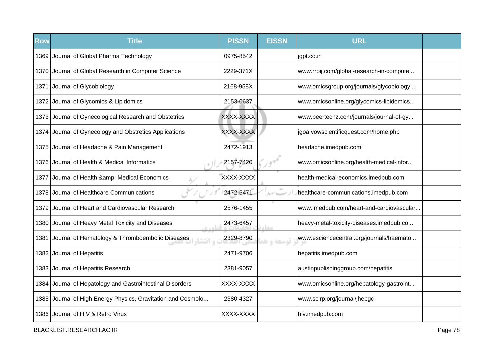| <b>Row</b> | <b>Title</b>                                                 | <b>PISSN</b> | <b>EISSN</b>                                        | <b>URL</b>                               |  |
|------------|--------------------------------------------------------------|--------------|-----------------------------------------------------|------------------------------------------|--|
|            | 1369 Journal of Global Pharma Technology                     | 0975-8542    |                                                     | jgpt.co.in                               |  |
|            | 1370 Journal of Global Research in Computer Science          | 2229-371X    |                                                     | www.rroij.com/global-research-in-compute |  |
| 1371       | Journal of Glycobiology                                      | 2168-958X    |                                                     | www.omicsgroup.org/journals/glycobiology |  |
|            | 1372 Journal of Glycomics & Lipidomics                       | 2153-0637    |                                                     | www.omicsonline.org/glycomics-lipidomics |  |
|            | 1373 Journal of Gynecological Research and Obstetrics        | XXXX-XXXX    |                                                     | www.peertechz.com/journals/journal-of-gy |  |
| 1374 I     | Journal of Gynecology and Obstretics Applications            | XXXX-XXXX    |                                                     | jgoa.vowscientificquest.com/home.php     |  |
|            | 1375 Journal of Headache & Pain Management                   | 2472-1913    |                                                     | headache.imedpub.com                     |  |
|            | 1376 Journal of Health & Medical Informatics                 | 2157-7420    |                                                     | www.omicsonline.org/health-medical-infor |  |
| 1377       | Journal of Health & Medical Economics                        | XXXX-XXXX    |                                                     | health-medical-economics.imedpub.com     |  |
| 1378       | Journal of Healthcare Communications                         | 2472-5471    | 10 <sup>2</sup><br>$\Delta\gamma'$ because $\gamma$ | healthcare-communications.imedpub.com    |  |
| 1379       | Journal of Heart and Cardiovascular Research                 | 2576-1455    |                                                     | www.imedpub.com/heart-and-cardiovascular |  |
| 1380       | Journal of Heavy Metal Toxicity and Diseases<br>0.401        | 2473-6457    | معاد                                                | heavy-metal-toxicity-diseases.imedpub.co |  |
| 1381       | Journal of Hematology & Thromboembolic Diseases<br>ه انتشا،  | 2329-8790    | توسعه و هد                                          | www.esciencecentral.org/journals/haemato |  |
|            | 1382 Journal of Hepatitis                                    | 2471-9706    |                                                     | hepatitis.imedpub.com                    |  |
|            | 1383 Journal of Hepatitis Research                           | 2381-9057    |                                                     | austinpublishinggroup.com/hepatitis      |  |
| 1384       | Journal of Hepatology and Gastrointestinal Disorders         | XXXX-XXXX    |                                                     | www.omicsonline.org/hepatology-gastroint |  |
|            | 1385 Journal of High Energy Physics, Gravitation and Cosmolo | 2380-4327    |                                                     | www.scirp.org/journal/jhepgc             |  |
|            | 1386 Journal of HIV & Retro Virus                            | XXXX-XXXX    |                                                     | hiv.imedpub.com                          |  |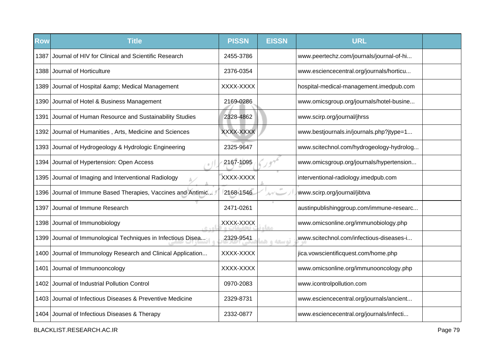| Row  | <b>Title</b>                                            | <b>PISSN</b> | <b>EISSN</b> | <b>URL</b>                               |  |
|------|---------------------------------------------------------|--------------|--------------|------------------------------------------|--|
| 1387 | Journal of HIV for Clinical and Scientific Research     | 2455-3786    |              | www.peertechz.com/journals/journal-of-hi |  |
| 1388 | Journal of Horticulture                                 | 2376-0354    |              | www.esciencecentral.org/journals/horticu |  |
|      | 1389 Journal of Hospital & Medical Management           | XXXX-XXXX    |              | hospital-medical-management.imedpub.com  |  |
|      | 1390 Journal of Hotel & Business Management             | 2169-0286    |              | www.omicsgroup.org/journals/hotel-busine |  |
| 1391 | Journal of Human Resource and Sustainability Studies    | 2328-4862    |              | www.scirp.org/journal/jhrss              |  |
|      | 1392 Journal of Humanities, Arts, Medicine and Sciences | XXXX-XXXX    |              | www.bestjournals.in/journals.php?jtype=1 |  |
| 1393 | Journal of Hydrogeology & Hydrologic Engineering        | 2325-9647    |              | www.scitechnol.com/hydrogeology-hydrolog |  |
| 1394 | Journal of Hypertension: Open Access                    | 2167-1095    |              | www.omicsgroup.org/journals/hypertension |  |
| 1395 | Journal of Imaging and Interventional Radiology         | XXXX-XXXX    |              | interventional-radiology.imedpub.com     |  |
| 1396 | Journal of Immune Based Therapies, Vaccines and Antimic | 2168-1546    |              | www.scirp.org/journal/jibtva             |  |
| 1397 | Journal of Immune Research                              | 2471-0261    |              | austinpublishinggroup.com/immune-researc |  |
| 1398 | Journal of Immunobiology<br>$R + \Delta$                | XXXX-XXXX    | مخام         | www.omicsonline.org/immunobiology.php    |  |
| 1399 | Journal of Immunological Techniques in Infectious Disea | 2329-9541    | توسعه و ه    | www.scitechnol.com/infectious-diseases-i |  |
| 1400 | Journal of Immunology Research and Clinical Application | XXXX-XXXX    |              | jica.vowscientificquest.com/home.php     |  |
| 1401 | Journal of Immunooncology                               | XXXX-XXXX    |              | www.omicsonline.org/immunooncology.php   |  |
| 1402 | Journal of Industrial Pollution Control                 | 0970-2083    |              | www.icontrolpollution.com                |  |
| 1403 | Journal of Infectious Diseases & Preventive Medicine    | 2329-8731    |              | www.esciencecentral.org/journals/ancient |  |
|      | 1404 Journal of Infectious Diseases & Therapy           | 2332-0877    |              | www.esciencecentral.org/journals/infecti |  |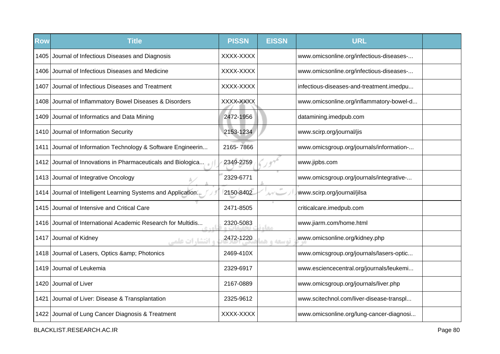| <b>Row</b> | <b>Title</b>                                                 | <b>PISSN</b> | <b>EISSN</b>                    | <b>URL</b>                               |  |
|------------|--------------------------------------------------------------|--------------|---------------------------------|------------------------------------------|--|
|            | 1405 Journal of Infectious Diseases and Diagnosis            | XXXX-XXXX    |                                 | www.omicsonline.org/infectious-diseases- |  |
| 1406       | Journal of Infectious Diseases and Medicine                  | XXXX-XXXX    |                                 | www.omicsonline.org/infectious-diseases- |  |
| 1407       | Journal of Infectious Diseases and Treatment                 | XXXX-XXXX    |                                 | infectious-diseases-and-treatment.imedpu |  |
|            | 1408 Journal of Inflammatory Bowel Diseases & Disorders      | XXXX-XXXX    |                                 | www.omicsonline.org/inflammatory-bowel-d |  |
|            | 1409 Journal of Informatics and Data Mining                  | 2472-1956    |                                 | datamining.imedpub.com                   |  |
|            | 1410 Journal of Information Security                         | 2153-1234    |                                 | www.scirp.org/journal/jis                |  |
| 1411       | Journal of Information Technology & Software Engineerin      | 2165-7866    |                                 | www.omicsgroup.org/journals/information- |  |
|            | 1412 Journal of Innovations in Pharmaceuticals and Biologica | 2349-2759    |                                 | www.jipbs.com                            |  |
|            | 1413 Journal of Integrative Oncology                         | 2329-6771    |                                 | www.omicsgroup.org/journals/integrative- |  |
|            | 1414 Journal of Intelligent Learning Systems and Application | 2150-8402    | $\sigma^{\pm}$<br>$\mathcal{N}$ | www.scirp.org/journal/jilsa              |  |
| 1415       | Journal of Intensive and Critical Care                       | 2471-8505    |                                 | criticalcare.imedpub.com                 |  |
| 1416       | Journal of International Academic Research for Multidis      | 2320-5083    | مخاء                            | www.jiarm.com/home.html                  |  |
|            | 1417 Journal of Kidney<br><b>و انتشارات علمی</b>             | 2472-1220    | توسعه و هد                      | www.omicsonline.org/kidney.php           |  |
|            | 1418 Journal of Lasers, Optics & amp; Photonics              | 2469-410X    |                                 | www.omicsgroup.org/journals/lasers-optic |  |
|            | 1419 Journal of Leukemia                                     | 2329-6917    |                                 | www.esciencecentral.org/journals/leukemi |  |
|            | 1420 Journal of Liver                                        | 2167-0889    |                                 | www.omicsgroup.org/journals/liver.php    |  |
|            | 1421 Journal of Liver: Disease & Transplantation             | 2325-9612    |                                 | www.scitechnol.com/liver-disease-transpl |  |
|            | 1422 Journal of Lung Cancer Diagnosis & Treatment            | XXXX-XXXX    |                                 | www.omicsonline.org/lung-cancer-diagnosi |  |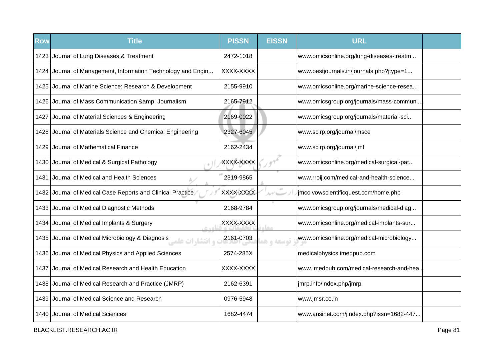| <b>Row</b> | <b>Title</b>                                                   | <b>PISSN</b> | <b>EISSN</b> | <b>URL</b>                               |  |
|------------|----------------------------------------------------------------|--------------|--------------|------------------------------------------|--|
|            | 1423 Journal of Lung Diseases & Treatment                      | 2472-1018    |              | www.omicsonline.org/lung-diseases-treatm |  |
|            | 1424 Journal of Management, Information Technology and Engin   | XXXX-XXXX    |              | www.bestjournals.in/journals.php?jtype=1 |  |
| 1425       | Journal of Marine Science: Research & Development              | 2155-9910    |              | www.omicsonline.org/marine-science-resea |  |
|            | 1426 Journal of Mass Communication & amp; Journalism           | 2165-7912    |              | www.omicsgroup.org/journals/mass-communi |  |
|            | 1427 Journal of Material Sciences & Engineering                | 2169-0022    |              | www.omicsgroup.org/journals/material-sci |  |
| 1428       | Journal of Materials Science and Chemical Engineering          | 2327-6045    |              | www.scirp.org/journal/msce               |  |
| 1429       | Journal of Mathematical Finance                                | 2162-2434    |              | www.scirp.org/journal/jmf                |  |
|            | 1430 Journal of Medical & Surgical Pathology                   | XXXX-XXXX    |              | www.omicsonline.org/medical-surgical-pat |  |
| 1431       | Journal of Medical and Health Sciences                         | 2319-9865    |              | www.rroij.com/medical-and-health-science |  |
| 1432       | Journal of Medical Case Reports and Clinical Practice          | XXXX-XXXX    |              | jmcc.vowscientificquest.com/home.php     |  |
| 1433       | Journal of Medical Diagnostic Methods                          | 2168-9784    |              | www.omicsgroup.org/journals/medical-diag |  |
|            | 1434 Journal of Medical Implants & Surgery<br>اهده             | XXXX-XXXX    | مخام         | www.omicsonline.org/medical-implants-sur |  |
| 1435       | Journal of Medical Microbiology & Diagnosis<br>ه انتشا، ات علم | 2161-0703    | توسعه و هو   | www.omicsonline.org/medical-microbiology |  |
| 1436       | Journal of Medical Physics and Applied Sciences                | 2574-285X    |              | medicalphysics.imedpub.com               |  |
| 1437       | Journal of Medical Research and Health Education               | XXXX-XXXX    |              | www.imedpub.com/medical-research-and-hea |  |
|            | 1438 Journal of Medical Research and Practice (JMRP)           | 2162-6391    |              | jmrp.info/index.php/jmrp                 |  |
|            | 1439 Journal of Medical Science and Research                   | 0976-5948    |              | www.jmsr.co.in                           |  |
|            | 1440 Journal of Medical Sciences                               | 1682-4474    |              | www.ansinet.com/jindex.php?issn=1682-447 |  |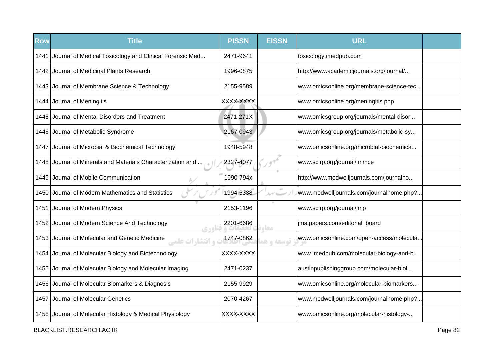| <b>Row</b> | <b>Title</b>                                                               | <b>PISSN</b> | <b>EISSN</b> | <b>URL</b>                               |  |
|------------|----------------------------------------------------------------------------|--------------|--------------|------------------------------------------|--|
| 1441       | Journal of Medical Toxicology and Clinical Forensic Med                    | 2471-9641    |              | toxicology.imedpub.com                   |  |
| 1442       | Journal of Medicinal Plants Research                                       | 1996-0875    |              | http://www.academicjournals.org/journal/ |  |
|            | 1443 Journal of Membrane Science & Technology                              | 2155-9589    |              | www.omicsonline.org/membrane-science-tec |  |
|            | 1444 Journal of Meningitis                                                 | XXXX-XXXX    |              | www.omicsonline.org/meningitis.php       |  |
| 1445       | Journal of Mental Disorders and Treatment                                  | 2471-271X    |              | www.omicsgroup.org/journals/mental-disor |  |
|            | 1446 Journal of Metabolic Syndrome                                         | 2167-0943    |              | www.omicsgroup.org/journals/metabolic-sy |  |
| 1447       | Journal of Microbial & Biochemical Technology                              | 1948-5948    |              | www.omicsonline.org/microbial-biochemica |  |
| 1448       | Journal of Minerals and Materials Characterization and                     | 2327-4077    |              | www.scirp.org/journal/jmmce              |  |
| 1449       | Journal of Mobile Communication                                            | 1990-794x    |              | http://www.medwelljournals.com/journalho |  |
| 1450       | Journal of Modern Mathematics and Statistics                               | 1994-5388    |              | www.medwelljournals.com/journalhome.php? |  |
| 1451       | Journal of Modern Physics                                                  | 2153-1196    |              | www.scirp.org/journal/jmp                |  |
| 1452       | Journal of Modern Science And Technology<br>0.401                          | 2201-6686    | مغاد         | jmstpapers.com/editorial_board           |  |
|            | 1453 Journal of Molecular and Genetic Medicine<br><b>، انتشا, ات علم</b> ے | 1747-0862    | توسعه و ه    | www.omicsonline.com/open-access/molecula |  |
|            | 1454 Journal of Molecular Biology and Biotechnology                        | XXXX-XXXX    |              | www.imedpub.com/molecular-biology-and-bi |  |
|            | 1455 Journal of Molecular Biology and Molecular Imaging                    | 2471-0237    |              | austinpublishinggroup.com/molecular-biol |  |
|            | 1456 Journal of Molecular Biomarkers & Diagnosis                           | 2155-9929    |              | www.omicsonline.org/molecular-biomarkers |  |
| 1457       | Journal of Molecular Genetics                                              | 2070-4267    |              | www.medwelljournals.com/journalhome.php? |  |
|            | 1458 Journal of Molecular Histology & Medical Physiology                   | XXXX-XXXX    |              | www.omicsonline.org/molecular-histology- |  |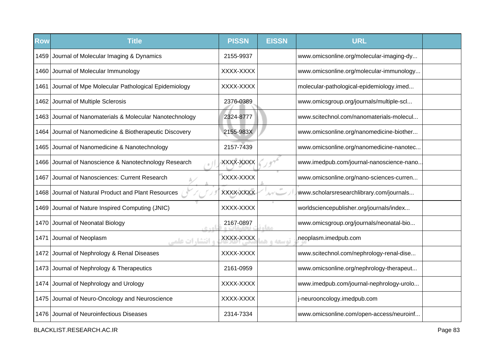| <b>Row</b> | <b>Title</b>                                             | <b>PISSN</b> | <b>EISSN</b> | <b>URL</b>                               |  |
|------------|----------------------------------------------------------|--------------|--------------|------------------------------------------|--|
|            | 1459 Journal of Molecular Imaging & Dynamics             | 2155-9937    |              | www.omicsonline.org/molecular-imaging-dy |  |
|            | 1460 Journal of Molecular Immunology                     | XXXX-XXXX    |              | www.omicsonline.org/molecular-immunology |  |
| 1461       | Journal of Mpe Molecular Pathological Epidemiology       | XXXX-XXXX    |              | molecular-pathological-epidemiology.imed |  |
|            | 1462 Journal of Multiple Sclerosis                       | 2376-0389    |              | www.omicsgroup.org/journals/multiple-scl |  |
|            | 1463 Journal of Nanomaterials & Molecular Nanotechnology | 2324-8777    |              | www.scitechnol.com/nanomaterials-molecul |  |
| 1464       | Journal of Nanomedicine & Biotherapeutic Discovery       | 2155-983X    |              | www.omicsonline.org/nanomedicine-biother |  |
| 1465       | Journal of Nanomedicine & Nanotechnology                 | 2157-7439    |              | www.omicsonline.org/nanomedicine-nanotec |  |
| 1466       | Journal of Nanoscience & Nanotechnology Research         | XXXX-XXXX    |              | www.imedpub.com/journal-nanoscience-nano |  |
| 1467       | Journal of Nanosciences: Current Research                | XXXX-XXXX    |              | www.omicsonline.org/nano-sciences-curren |  |
| 1468       | Journal of Natural Product and Plant Resources           | XXXX-XXXX    |              | www.scholarsresearchlibrary.com/journals |  |
| 1469       | Journal of Nature Inspired Computing (JNIC)              | XXXX-XXXX    |              | worldsciencepublisher.org/journals/index |  |
| 1470       | Journal of Neonatal Biology<br>6.40                      | 2167-0897    | <b>COLO</b>  | www.omicsgroup.org/journals/neonatal-bio |  |
| 1471       | Journal of Neoplasm<br>و انتشارات علمی                   | XXXX-XXXX    | توسعه و ه    | neoplasm.imedpub.com                     |  |
|            | 1472 Journal of Nephrology & Renal Diseases              | XXXX-XXXX    |              | www.scitechnol.com/nephrology-renal-dise |  |
|            | 1473 Journal of Nephrology & Therapeutics                | 2161-0959    |              | www.omicsonline.org/nephrology-therapeut |  |
|            | 1474 Journal of Nephrology and Urology                   | XXXX-XXXX    |              | www.imedpub.com/journal-nephrology-urolo |  |
|            | 1475 Journal of Neuro-Oncology and Neuroscience          | XXXX-XXXX    |              | j-neurooncology.imedpub.com              |  |
| 1476       | Journal of Neuroinfectious Diseases                      | 2314-7334    |              | www.omicsonline.com/open-access/neuroinf |  |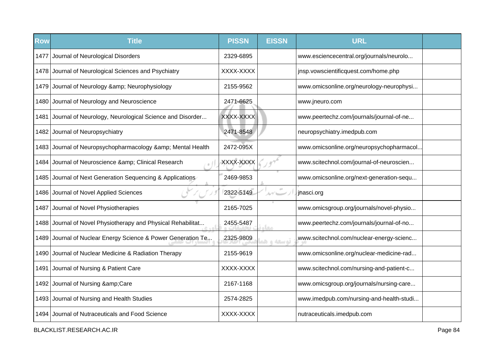| <b>Row</b> | <b>Title</b>                                                 | <b>PISSN</b> | <b>EISSN</b>  | <b>URL</b>                               |  |
|------------|--------------------------------------------------------------|--------------|---------------|------------------------------------------|--|
| 1477       | Journal of Neurological Disorders                            | 2329-6895    |               | www.esciencecentral.org/journals/neurolo |  |
|            | 1478 Journal of Neurological Sciences and Psychiatry         | XXXX-XXXX    |               | jnsp.vowscientificquest.com/home.php     |  |
|            | 1479 Journal of Neurology & amp; Neurophysiology             | 2155-9562    |               | www.omicsonline.org/neurology-neurophysi |  |
|            | 1480 Journal of Neurology and Neuroscience                   | 2471-6625    |               | www.jneuro.com                           |  |
| 1481       | Journal of Neurology, Neurological Science and Disorder      | XXXX-XXXX    |               | www.peertechz.com/journals/journal-of-ne |  |
| 1482       | Journal of Neuropsychiatry                                   | 2471-8548    |               | neuropsychiatry.imedpub.com              |  |
|            | 1483 Journal of Neuropsychopharmacology & amp; Mental Health | 2472-095X    |               | www.omicsonline.org/neuropsychopharmacol |  |
|            | 1484 Journal of Neuroscience & Clinical Research             | XXXX-XXXX    |               | www.scitechnol.com/journal-of-neuroscien |  |
| 1485       | Journal of Next Generation Sequencing & Applications         | 2469-9853    |               | www.omicsonline.org/next-generation-sequ |  |
|            | 1486 Journal of Novel Applied Sciences                       | 2322-5149    | $\mathcal{N}$ | jnasci.org                               |  |
| 1487       | Journal of Novel Physiotherapies                             | 2165-7025    |               | www.omicsgroup.org/journals/novel-physio |  |
| 1488       | Journal of Novel Physiotherapy and Physical Rehabilitat      | 2455-5487    | <b>STAR</b>   | www.peertechz.com/journals/journal-of-no |  |
| 1489       | Journal of Nuclear Energy Science & Power Generation Te      | 2325-9809    | توسعه واهد    | www.scitechnol.com/nuclear-energy-scienc |  |
|            | 1490 Journal of Nuclear Medicine & Radiation Therapy         | 2155-9619    |               | www.omicsonline.org/nuclear-medicine-rad |  |
| 1491       | Journal of Nursing & Patient Care                            | XXXX-XXXX    |               | www.scitechnol.com/nursing-and-patient-c |  |
|            | 1492 Journal of Nursing & amp; Care                          | 2167-1168    |               | www.omicsgroup.org/journals/nursing-care |  |
|            | 1493 Journal of Nursing and Health Studies                   | 2574-2825    |               | www.imedpub.com/nursing-and-health-studi |  |
|            | 1494 Journal of Nutraceuticals and Food Science              | XXXX-XXXX    |               | nutraceuticals.imedpub.com               |  |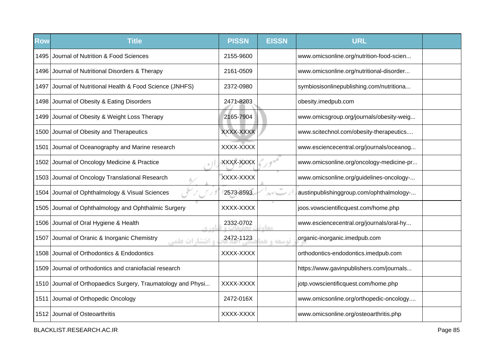| <b>Row</b> | <b>Title</b>                                                 | <b>PISSN</b> | <b>EISSN</b>         | <b>URL</b>                               |  |
|------------|--------------------------------------------------------------|--------------|----------------------|------------------------------------------|--|
| 1495       | Journal of Nutrition & Food Sciences                         | 2155-9600    |                      | www.omicsonline.org/nutrition-food-scien |  |
|            | 1496 Journal of Nutritional Disorders & Therapy              | 2161-0509    |                      | www.omicsonline.org/nutritional-disorder |  |
| 1497       | Journal of Nutritional Health & Food Science (JNHFS)         | 2372-0980    |                      | symbiosisonlinepublishing.com/nutritiona |  |
|            | 1498 Journal of Obesity & Eating Disorders                   | 2471-8203    |                      | obesity.imedpub.com                      |  |
|            | 1499 Journal of Obesity & Weight Loss Therapy                | 2165-7904    |                      | www.omicsgroup.org/journals/obesity-weig |  |
|            | 1500 Journal of Obesity and Therapeutics                     | XXXX-XXXX    |                      | www.scitechnol.com/obesity-therapeutics  |  |
| 1501       | Journal of Oceanography and Marine research                  | XXXX-XXXX    |                      | www.esciencecentral.org/journals/oceanog |  |
|            | 1502 Journal of Oncology Medicine & Practice                 | XXXX-XXXX    |                      | www.omicsonline.org/oncology-medicine-pr |  |
|            | 1503 Journal of Oncology Translational Research              | XXXX-XXXX    |                      | www.omicsonline.org/guidelines-oncology- |  |
|            | 1504 Journal of Ophthalmology & Visual Sciences              | 2573-8593    | $\alpha\dot{\sigma}$ | austinpublishinggroup.com/ophthalmology- |  |
| 1505       | Journal of Ophthalmology and Ophthalmic Surgery              | XXXX-XXXX    |                      | joos.vowscientificquest.com/home.php     |  |
| 1506       | Journal of Oral Hygiene & Health<br>0.401                    | 2332-0702    | معا                  | www.esciencecentral.org/journals/oral-hy |  |
| 1507       | Journal of Oranic & Inorganic Chemistry<br>و انتشارات علمے   | 2472-1123    | توسعه و ه            | organic-inorganic.imedpub.com            |  |
|            | 1508 Journal of Orthodontics & Endodontics                   | XXXX-XXXX    |                      | orthodontics-endodontics.imedpub.com     |  |
|            | 1509 Journal of orthodontics and craniofacial research       |              |                      | https://www.gavinpublishers.com/journals |  |
|            | 1510 Journal of Orthopaedics Surgery, Traumatology and Physi | XXXX-XXXX    |                      | jotp.vowscientificquest.com/home.php     |  |
|            | 1511 Journal of Orthopedic Oncology                          | 2472-016X    |                      | www.omicsonline.org/orthopedic-oncology  |  |
|            | 1512 Journal of Osteoarthritis                               | XXXX-XXXX    |                      | www.omicsonline.org/osteoarthritis.php   |  |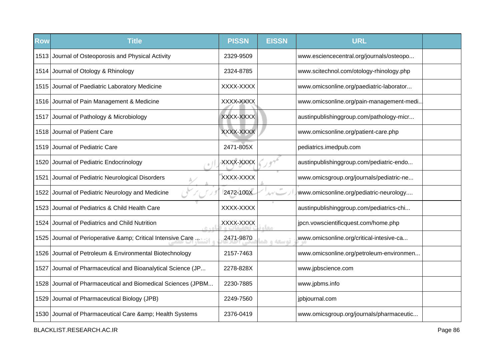| <b>Row</b> | <b>Title</b>                                                 | <b>PISSN</b> | <b>EISSN</b> | <b>URL</b>                                |  |
|------------|--------------------------------------------------------------|--------------|--------------|-------------------------------------------|--|
|            | 1513 Journal of Osteoporosis and Physical Activity           | 2329-9509    |              | www.esciencecentral.org/journals/osteopo  |  |
|            | 1514 Journal of Otology & Rhinology                          | 2324-8785    |              | www.scitechnol.com/otology-rhinology.php  |  |
|            | 1515 Journal of Paediatric Laboratory Medicine               | XXXX-XXXX    |              | www.omicsonline.org/paediatric-laborator  |  |
|            | 1516 Journal of Pain Management & Medicine                   | XXXX-XXXX    |              | www.omicsonline.org/pain-management-medi. |  |
|            | 1517 Journal of Pathology & Microbiology                     | XXXX-XXXX    |              | austinpublishinggroup.com/pathology-micr  |  |
|            | 1518 Journal of Patient Care                                 | XXXX-XXXX    |              | www.omicsonline.org/patient-care.php      |  |
|            | 1519 Journal of Pediatric Care                               | 2471-805X    |              | pediatrics.imedpub.com                    |  |
|            | 1520 Journal of Pediatric Endocrinology                      | XXXX-XXXX    |              | austinpublishinggroup.com/pediatric-endo  |  |
| 1521       | Journal of Pediatric Neurological Disorders                  | XXXX-XXXX    |              | www.omicsgroup.org/journals/pediatric-ne  |  |
| 1522       | Journal of Pediatric Neurology and Medicine                  | 2472-100X    | $\pm 0$      | www.omicsonline.org/pediatric-neurology   |  |
| 1523       | Journal of Pediatrics & Child Health Care                    | XXXX-XXXX    |              | austinpublishinggroup.com/pediatrics-chi  |  |
|            | 1524 Journal of Pediatrics and Child Nutrition               | XXXX-XXXX    |              | jpcn.vowscientificquest.com/home.php      |  |
| 1525       | Journal of Perioperative & Critical Intensive Care           | 2471-9870    | توسعه و ه    | www.omicsonline.org/critical-intesive-ca  |  |
|            | 1526 Journal of Petroleum & Environmental Biotechnology      | 2157-7463    |              | www.omicsonline.org/petroleum-environmen  |  |
| 1527       | Journal of Pharmaceutical and Bioanalytical Science (JP      | 2278-828X    |              | www.jpbscience.com                        |  |
|            | 1528 Journal of Pharmaceutical and Biomedical Sciences (JPBM | 2230-7885    |              | www.jpbms.info                            |  |
| 1529       | Journal of Pharmaceutical Biology (JPB)                      | 2249-7560    |              | jpbjournal.com                            |  |
|            | 1530 Journal of Pharmaceutical Care & amp; Health Systems    | 2376-0419    |              | www.omicsgroup.org/journals/pharmaceutic  |  |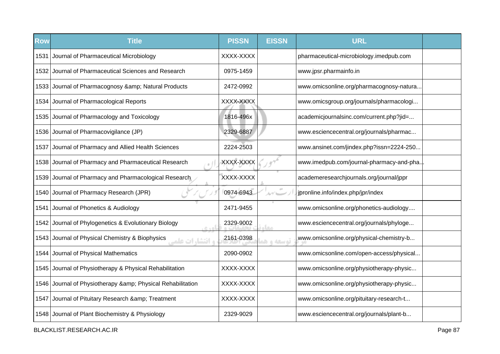| <b>Row</b> | <b>Title</b>                                                               | <b>PISSN</b> | <b>EISSN</b> | <b>URL</b>                               |  |
|------------|----------------------------------------------------------------------------|--------------|--------------|------------------------------------------|--|
| 1531       | Journal of Pharmaceutical Microbiology                                     | XXXX-XXXX    |              | pharmaceutical-microbiology.imedpub.com  |  |
|            | 1532 Journal of Pharmaceutical Sciences and Research                       | 0975-1459    |              | www.jpsr.pharmainfo.in                   |  |
|            | 1533 Journal of Pharmacognosy & Natural Products                           | 2472-0992    |              | www.omicsonline.org/pharmacognosy-natura |  |
|            | 1534 Journal of Pharmacological Reports                                    | XXXX-XXXX    |              | www.omicsgroup.org/journals/pharmacologi |  |
|            | 1535 Journal of Pharmacology and Toxicology                                | 1816-496x    |              | academicjournalsinc.com/current.php?jid= |  |
|            | 1536 Journal of Pharmacovigilance (JP)                                     | 2329-6887    |              | www.esciencecentral.org/journals/pharmac |  |
| 1537       | Journal of Pharmacy and Allied Health Sciences                             | 2224-2503    |              | www.ansinet.com/jindex.php?issn=2224-250 |  |
|            | 1538 Journal of Pharmacy and Pharmaceutical Research                       | XXXX-XXXX    |              | www.imedpub.com/journal-pharmacy-and-pha |  |
|            | 1539 Journal of Pharmacy and Pharmacological Research                      | XXXX-XXXX    |              | academeresearchjournals.org/journal/jppr |  |
| 1540       | Journal of Pharmacy Research (JPR)                                         | 0974-6943    | $\pm 0$      | jpronline.info/index.php/jpr/index       |  |
| 1541       | Journal of Phonetics & Audiology                                           | 2471-9455    |              | www.omicsonline.org/phonetics-audiology  |  |
| 1542       | Journal of Phylogenetics & Evolutionary Biology                            | 2329-9002    | <b>COLO</b>  | www.esciencecentral.org/journals/phyloge |  |
|            | 1543 Journal of Physical Chemistry & Biophysics<br><b>، انتشا, ات علمہ</b> | 2161-0398    | توسعه و هد   | www.omicsonline.org/physical-chemistry-b |  |
|            | 1544 Journal of Physical Mathematics                                       | 2090-0902    |              | www.omicsonline.com/open-access/physical |  |
|            | 1545 Journal of Physiotherapy & Physical Rehabilitation                    | XXXX-XXXX    |              | www.omicsonline.org/physiotherapy-physic |  |
|            | 1546 Journal of Physiotherapy & amp; Physical Rehabilitation               | XXXX-XXXX    |              | www.omicsonline.org/physiotherapy-physic |  |
| 1547       | Journal of Pituitary Research & Treatment                                  | XXXX-XXXX    |              | www.omicsonline.org/pituitary-research-t |  |
|            | 1548 Journal of Plant Biochemistry & Physiology                            | 2329-9029    |              | www.esciencecentral.org/journals/plant-b |  |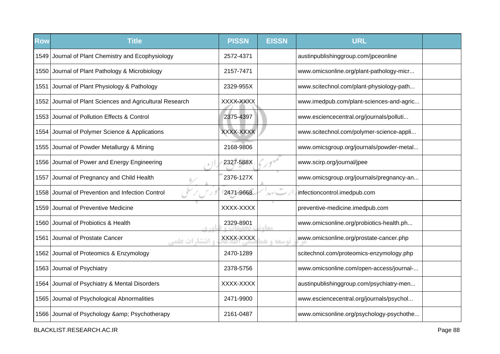| Row    | <b>Title</b>                                             | <b>PISSN</b> | <b>EISSN</b>  | <b>URL</b>                               |  |
|--------|----------------------------------------------------------|--------------|---------------|------------------------------------------|--|
|        | 1549 Journal of Plant Chemistry and Ecophysiology        | 2572-4371    |               | austinpublishinggroup.com/jpceonline     |  |
|        | 1550 Journal of Plant Pathology & Microbiology           | 2157-7471    |               | www.omicsonline.org/plant-pathology-micr |  |
| 1551   | Journal of Plant Physiology & Pathology                  | 2329-955X    |               | www.scitechnol.com/plant-physiology-path |  |
|        | 1552 Journal of Plant Sciences and Agricultural Research | XXXX-XXXX    |               | www.imedpub.com/plant-sciences-and-agric |  |
| 1553 l | Journal of Pollution Effects & Control                   | 2375-4397    |               | www.esciencecentral.org/journals/polluti |  |
|        | 1554 Journal of Polymer Science & Applications           | XXXX-XXXX    |               | www.scitechnol.com/polymer-science-appli |  |
|        | 1555 Journal of Powder Metallurgy & Mining               | 2168-9806    |               | www.omicsgroup.org/journals/powder-metal |  |
|        | 1556 Journal of Power and Energy Engineering             | 2327-588X    |               | www.scirp.org/journal/jpee               |  |
| 1557   | Journal of Pregnancy and Child Health                    | 2376-127X    |               | www.omicsgroup.org/journals/pregnancy-an |  |
| 1558   | Journal of Prevention and Infection Control              | 2471-9668    | $\mathcal{N}$ | infectioncontrol.imedpub.com             |  |
| 1559   | Journal of Preventive Medicine                           | XXXX-XXXX    |               | preventive-medicine.imedpub.com          |  |
| 1560   | Journal of Probiotics & Health<br>$R \triangleq 0$       | 2329-8901    | معا           | www.omicsonline.org/probiotics-health.ph |  |
| 1561   | Journal of Prostate Cancer<br><b>، انتشا, ات علمی</b>    | XXXX-XXXX    | توسعه و هم    | www.omicsonline.org/prostate-cancer.php  |  |
|        | 1562 Journal of Proteomics & Enzymology                  | 2470-1289    |               | scitechnol.com/proteomics-enzymology.php |  |
|        | 1563 Journal of Psychiatry                               | 2378-5756    |               | www.omicsonline.com/open-access/journal- |  |
|        | 1564 Journal of Psychiatry & Mental Disorders            | XXXX-XXXX    |               | austinpublishinggroup.com/psychiatry-men |  |
|        | 1565 Journal of Psychological Abnormalities              | 2471-9900    |               | www.esciencecentral.org/journals/psychol |  |
|        | 1566 Journal of Psychology & amp; Psychotherapy          | 2161-0487    |               | www.omicsonline.org/psychology-psychothe |  |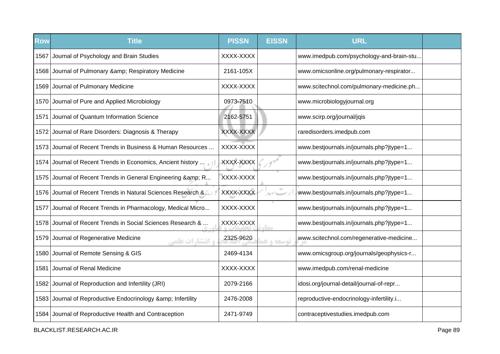| <b>Row</b> | <b>Title</b>                                                    | <b>PISSN</b> | <b>EISSN</b> | <b>URL</b>                               |  |
|------------|-----------------------------------------------------------------|--------------|--------------|------------------------------------------|--|
| 1567       | Journal of Psychology and Brain Studies                         | XXXX-XXXX    |              | www.imedpub.com/psychology-and-brain-stu |  |
|            | 1568 Journal of Pulmonary & Respiratory Medicine                | 2161-105X    |              | www.omicsonline.org/pulmonary-respirator |  |
|            | 1569 Journal of Pulmonary Medicine                              | XXXX-XXXX    |              | www.scitechnol.com/pulmonary-medicine.ph |  |
|            | 1570 Journal of Pure and Applied Microbiology                   | 0973-7510    |              | www.microbiologyjournal.org              |  |
| 1571       | Journal of Quantum Information Science                          | 2162-5751    |              | www.scirp.org/journal/jqis               |  |
| 1572       | Journal of Rare Disorders: Diagnosis & Therapy                  | XXXX-XXXX    |              | raredisorders.imedpub.com                |  |
|            | 1573 Journal of Recent Trends in Business & Human Resources     | XXXX-XXXX    |              | www.bestjournals.in/journals.php?jtype=1 |  |
| 1574       | Journal of Recent Trends in Economics, Ancient history          | XXXX-XXXX    |              | www.bestjournals.in/journals.php?jtype=1 |  |
| 1575       | Journal of Recent Trends in General Engineering & R             | XXXX-XXXX    |              | www.bestjournals.in/journals.php?jtype=1 |  |
| 1576       | Journal of Recent Trends in Natural Sciences Research &         | XXXX-XXXX    | ルブレー         | www.bestjournals.in/journals.php?jtype=1 |  |
| 1577       | Journal of Recent Trends in Pharmacology, Medical Micro         | XXXX-XXXX    |              | www.bestjournals.in/journals.php?jtype=1 |  |
| 1578       | Journal of Recent Trends in Social Sciences Research &          | XXXX-XXXX    | مخاه         | www.bestjournals.in/journals.php?jtype=1 |  |
|            | 1579 Journal of Regenerative Medicine<br><b>، انتشارات علمی</b> | 2325-9620    | توسعه و ه    | www.scitechnol.com/regenerative-medicine |  |
|            | 1580 Journal of Remote Sensing & GIS                            | 2469-4134    |              | www.omicsgroup.org/journals/geophysics-r |  |
| 1581       | Journal of Renal Medicine                                       | XXXX-XXXX    |              | www.imedpub.com/renal-medicine           |  |
|            | 1582 Journal of Reproduction and Infertility (JRI)              | 2079-2166    |              | idosi.org/journal-detail/journal-of-repr |  |
|            | 1583 Journal of Reproductive Endocrinology & amp; Infertility   | 2476-2008    |              | reproductive-endocrinology-infertility.i |  |
|            | 1584 Journal of Reproductive Health and Contraception           | 2471-9749    |              | contraceptivestudies.imedpub.com         |  |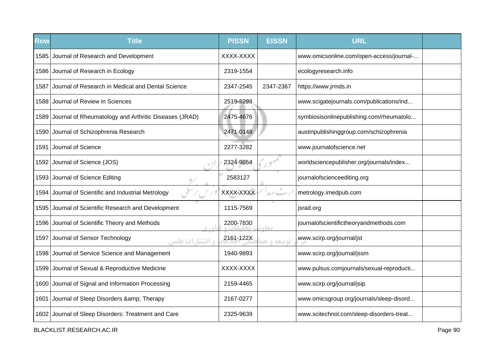| <b>Row</b> | <b>Title</b>                                               | <b>PISSN</b> | <b>EISSN</b>  | <b>URL</b>                               |  |
|------------|------------------------------------------------------------|--------------|---------------|------------------------------------------|--|
|            | 1585 Journal of Research and Development                   | XXXX-XXXX    |               | www.omicsonline.com/open-access/journal- |  |
|            | 1586 Journal of Research in Ecology                        | 2319-1554    |               | ecologyresearch.info                     |  |
| 1587       | Journal of Research in Medical and Dental Science          | 2347-2545    | 2347-2367     | https://www.jrmds.in                     |  |
|            | 1588 Journal of Review in Sciences                         | 2519-5298    |               | www.scigatejournals.com/publications/ind |  |
|            | 1589 Journal of Rheumatology and Arthritic Diseases (JRAD) | 2475-4676    |               | symbiosisonlinepublishing.com/rheumatolo |  |
|            | 1590 Journal of Schizophrenia Research                     | 2471-0148    |               | austinpublishinggroup.com/schizophrenia  |  |
| 1591       | Journal of Science                                         | 2277-3282    |               | www.journalofscience.net                 |  |
|            | 1592 Journal of Science (JOS)                              | 2324-9854    |               | worldsciencepublisher.org/journals/index |  |
|            | 1593 Journal of Science Editing                            | 2583127      |               | journalofscienceediting.org              |  |
| 1594       | Journal of Scientific and Industrial Metrology             | XXXX-XXXX    | $\alpha\beta$ | metrology.imedpub.com                    |  |
|            | 1595 Journal of Scientific Research and Development        | 1115-7569    |               | jsrad.org                                |  |
| 1596       | Journal of Scientific Theory and Methods<br>0.40           | 2200-7830    | صفا           | journalofscientifictheoryandmethods.com  |  |
| 1597       | Journal of Sensor Technology<br><b>، انتشارات علمی</b>     | 2161-122X    | توسعه و هد    | www.scirp.org/journal/jst                |  |
|            | 1598 Journal of Service Science and Management             | 1940-9893    |               | www.scirp.org/journal/jssm               |  |
|            | 1599 Journal of Sexual & Reproductive Medicine             | XXXX-XXXX    |               | www.pulsus.comjournals/sexual-reproducti |  |
|            | 1600 Journal of Signal and Information Processing          | 2159-4465    |               | www.scirp.org/journal/jsip               |  |
| 1601       | Journal of Sleep Disorders & Therapy                       | 2167-0277    |               | www.omicsgroup.org/journals/sleep-disord |  |
|            | 1602 Journal of Sleep Disorders: Treatment and Care        | 2325-9639    |               | www.scitechnol.com/sleep-disorders-treat |  |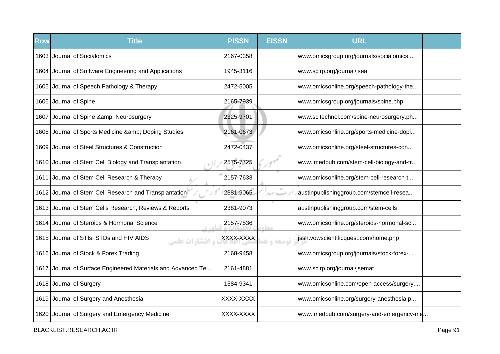| <b>Row</b> | <b>Title</b>                                                       | <b>PISSN</b> | <b>EISSN</b> | <b>URL</b>                               |  |
|------------|--------------------------------------------------------------------|--------------|--------------|------------------------------------------|--|
|            | 1603 Journal of Socialomics                                        | 2167-0358    |              | www.omicsgroup.org/journals/socialomics  |  |
|            | 1604 Journal of Software Engineering and Applications              | 1945-3116    |              | www.scirp.org/journal/jsea               |  |
|            | 1605 Journal of Speech Pathology & Therapy                         | 2472-5005    |              | www.omicsonline.org/speech-pathology-the |  |
|            | 1606 Journal of Spine                                              | 2165-7939    |              | www.omicsgroup.org/journals/spine.php    |  |
|            | 1607 Journal of Spine & amp; Neurosurgery                          | 2325-9701    |              | www.scitechnol.com/spine-neurosurgery.ph |  |
|            | 1608 Journal of Sports Medicine & Doping Studies                   | 2161-0673    |              | www.omicsonline.org/sports-medicine-dopi |  |
| 1609       | Journal of Steel Structures & Construction                         | 2472-0437    |              | www.omicsonline.org/steel-structures-con |  |
|            | 1610 Journal of Stem Cell Biology and Transplantation              | 2575-7725    |              | www.imedpub.com/stem-cell-biology-and-tr |  |
| 1611       | Journal of Stem Cell Research & Therapy                            | 2157-7633    |              | www.omicsonline.org/stem-cell-research-t |  |
|            | 1612 Journal of Stem Cell Research and Transplantation             | 2381-9065    | ルゲレー         | austinpublishinggroup.com/stemcell-resea |  |
|            | 1613 Journal of Stem Cells Research, Reviews & Reports             | 2381-9073    |              | austinpublishinggroup.com/stem-cells     |  |
|            | 1614 Journal of Steroids & Hormonal Science<br><b>CAST</b>         | 2157-7536    | مخاه         | www.omicsonline.org/steroids-hormonal-sc |  |
|            | 1615 Journal of STIs, STDs and HIV AIDS<br><b>و انتشا, ات علمی</b> | XXXX-XXXX    | توسعه و هم   | jssh.vowscientificquest.com/home.php     |  |
|            | 1616 Journal of Stock & Forex Trading                              | 2168-9458    |              | www.omicsgroup.org/journals/stock-forex- |  |
| 1617       | Journal of Surface Engineered Materials and Advanced Te            | 2161-4881    |              | www.scirp.org/journal/jsemat             |  |
|            | 1618 Journal of Surgery                                            | 1584-9341    |              | www.omicsonline.com/open-access/surgery  |  |
|            | 1619 Journal of Surgery and Anesthesia                             | XXXX-XXXX    |              | www.omicsonline.org/surgery-anesthesia.p |  |
|            | 1620 Journal of Surgery and Emergency Medicine                     | XXXX-XXXX    |              | www.imedpub.com/surgery-and-emergency-me |  |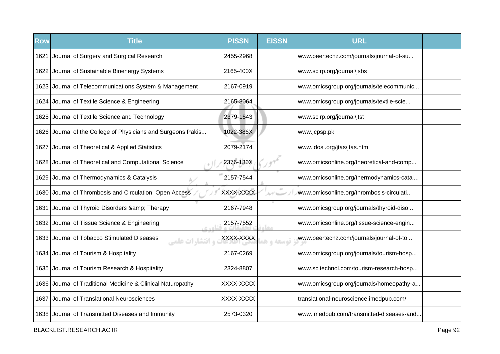| <b>Row</b> | <b>Title</b>                                                      | <b>PISSN</b> | <b>EISSN</b> | <b>URL</b>                               |  |
|------------|-------------------------------------------------------------------|--------------|--------------|------------------------------------------|--|
| 1621       | Journal of Surgery and Surgical Research                          | 2455-2968    |              | www.peertechz.com/journals/journal-of-su |  |
|            | 1622 Journal of Sustainable Bioenergy Systems                     | 2165-400X    |              | www.scirp.org/journal/jsbs               |  |
|            | 1623 Journal of Telecommunications System & Management            | 2167-0919    |              | www.omicsgroup.org/journals/telecommunic |  |
|            | 1624 Journal of Textile Science & Engineering                     | 2165-8064    |              | www.omicsgroup.org/journals/textile-scie |  |
|            | 1625 Journal of Textile Science and Technology                    | 2379-1543    |              | www.scirp.org/journal/jtst               |  |
| 1626       | Journal of the College of Physicians and Surgeons Pakis           | 1022-386X    |              | www.jcpsp.pk                             |  |
| 1627       | Journal of Theoretical & Applied Statistics                       | 2079-2174    |              | www.idosi.org/jtas/jtas.htm              |  |
|            | 1628 Journal of Theoretical and Computational Science             | 2376-130X    |              | www.omicsonline.org/theoretical-and-comp |  |
| 1629       | Journal of Thermodynamics & Catalysis                             | 2157-7544    |              | www.omicsonline.org/thermodynamics-catal |  |
| 1630       | Journal of Thrombosis and Circulation: Open Access                | XXXX-XXXX    | $\pm 0$      | www.omicsonline.org/thrombosis-circulati |  |
| 1631       | Journal of Thyroid Disorders & Therapy                            | 2167-7948    |              | www.omicsgroup.org/journals/thyroid-diso |  |
| 1632       | Journal of Tissue Science & Engineering<br>0.40                   | 2157-7552    | <b>CLO</b>   | www.omicsonline.org/tissue-science-engin |  |
| 1633       | Journal of Tobacco Stimulated Diseases<br><b>، انتشا, ات علمہ</b> | XXXX-XXXX    | توسعه و هد   | www.peertechz.com/journals/journal-of-to |  |
|            | 1634 Journal of Tourism & Hospitality                             | 2167-0269    |              | www.omicsgroup.org/journals/tourism-hosp |  |
|            | 1635 Journal of Tourism Research & Hospitality                    | 2324-8807    |              | www.scitechnol.com/tourism-research-hosp |  |
|            | 1636 Journal of Traditional Medicine & Clinical Naturopathy       | XXXX-XXXX    |              | www.omicsgroup.org/journals/homeopathy-a |  |
| 1637       | Journal of Translational Neurosciences                            | XXXX-XXXX    |              | translational-neuroscience.imedpub.com/  |  |
|            | 1638 Journal of Transmitted Diseases and Immunity                 | 2573-0320    |              | www.imedpub.com/transmitted-diseases-and |  |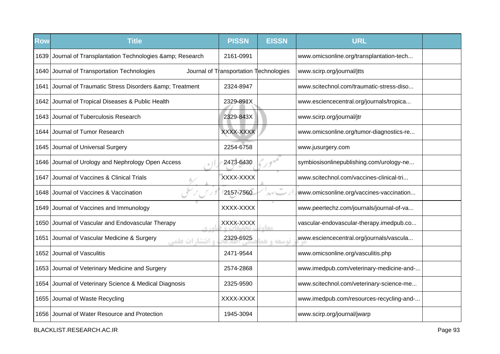| <b>Row</b> | <b>Title</b>                                                     | <b>PISSN</b>                           | <b>EISSN</b>                   | <b>URL</b>                               |  |
|------------|------------------------------------------------------------------|----------------------------------------|--------------------------------|------------------------------------------|--|
|            | 1639 Journal of Transplantation Technologies & amp; Research     | 2161-0991                              |                                | www.omicsonline.org/transplantation-tech |  |
|            | 1640 Journal of Transportation Technologies                      | Journal of Transportation Technologies |                                | www.scirp.org/journal/jtts               |  |
| 1641       | Journal of Traumatic Stress Disorders & amp; Treatment           | 2324-8947                              |                                | www.scitechnol.com/traumatic-stress-diso |  |
|            | 1642 Journal of Tropical Diseases & Public Health                | 2329-891X                              |                                | www.esciencecentral.org/journals/tropica |  |
|            | 1643 Journal of Tuberculosis Research                            | 2329-843X                              |                                | www.scirp.org/journal/jtr                |  |
|            | 1644 Journal of Tumor Research                                   | XXXX-XXXX                              |                                | www.omicsonline.org/tumor-diagnostics-re |  |
|            | 1645 Journal of Universal Surgery                                | 2254-6758                              |                                | www.jusurgery.com                        |  |
|            | 1646 Journal of Urology and Nephrology Open Access               | 2473-6430                              |                                | symbiosisonlinepublishing.com/urology-ne |  |
| 1647       | Journal of Vaccines & Clinical Trials                            | XXXX-XXXX                              |                                | www.scitechnol.com/vaccines-clinical-tri |  |
| 1648       | Journal of Vaccines & Vaccination                                | 2157-7560                              | $\Delta \gamma'$ and $\gamma'$ | www.omicsonline.org/vaccines-vaccination |  |
|            | 1649 Journal of Vaccines and Immunology                          | XXXX-XXXX                              |                                | www.peertechz.com/journals/journal-of-va |  |
| 1650       | Journal of Vascular and Endovascular Therapy<br>c sol            | XXXX-XXXX                              | معا                            | vascular-endovascular-therapy.imedpub.co |  |
| 1651       | Journal of Vascular Medicine & Surgery<br><b>، انتشارات علمے</b> | 2329-6925                              | توسعه و هد                     | www.esciencecentral.org/journals/vascula |  |
|            | 1652 Journal of Vasculitis                                       | 2471-9544                              |                                | www.omicsonline.org/vasculitis.php       |  |
|            | 1653 Journal of Veterinary Medicine and Surgery                  | 2574-2868                              |                                | www.imedpub.com/veterinary-medicine-and- |  |
| 1654       | Journal of Veterinary Science & Medical Diagnosis                | 2325-9590                              |                                | www.scitechnol.com/veterinary-science-me |  |
|            | 1655 Journal of Waste Recycling                                  | XXXX-XXXX                              |                                | www.imedpub.com/resources-recycling-and- |  |
|            | 1656 Journal of Water Resource and Protection                    | 1945-3094                              |                                | www.scirp.org/journal/jwarp              |  |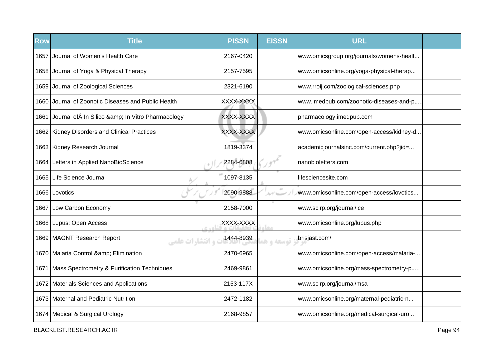| <b>Row</b> | <b>Title</b>                                            | <b>PISSN</b> | <b>EISSN</b>           | <b>URL</b>                               |  |
|------------|---------------------------------------------------------|--------------|------------------------|------------------------------------------|--|
| 1657       | Journal of Women's Health Care                          | 2167-0420    |                        | www.omicsgroup.org/journals/womens-healt |  |
|            | 1658 Journal of Yoga & Physical Therapy                 | 2157-7595    |                        | www.omicsonline.org/yoga-physical-therap |  |
|            | 1659 Journal of Zoological Sciences                     | 2321-6190    |                        | www.rroij.com/zoological-sciences.php    |  |
|            | 1660 Journal of Zoonotic Diseases and Public Health     | XXXX-XXXX    |                        | www.imedpub.com/zoonotic-diseases-and-pu |  |
|            | 1661 Journal of In Silico & In Vitro Pharmacology       | XXXX-XXXX    |                        | pharmacology.imedpub.com                 |  |
|            | 1662 Kidney Disorders and Clinical Practices            | XXXX-XXXX    |                        | www.omicsonline.com/open-access/kidney-d |  |
|            | 1663 Kidney Research Journal                            | 1819-3374    |                        | academicjournalsinc.com/current.php?jid= |  |
|            | 1664 Letters in Applied NanoBioScience                  | 2284-6808    |                        | nanobioletters.com                       |  |
|            | 1665 Life Science Journal                               | 1097-8135    |                        | lifesciencesite.com                      |  |
|            | 1666 Lovotics                                           | 2090-9888    | $\sigma^{\pm}$<br>ルイレー | www.omicsonline.com/open-access/lovotics |  |
|            | 1667 Low Carbon Economy                                 | 2158-7000    |                        | www.scirp.org/journal/lce                |  |
|            | 1668 Lupus: Open Access<br>$C + D$                      | XXXX-XXXX    | معاه                   | www.omicsonline.org/lupus.php            |  |
|            | 1669   MAGNT Research Report<br><b>و انتشا, ات علمی</b> | 1444-8939    | توسعه و هد             | brisjast.com/                            |  |
|            | 1670 Malaria Control & Elimination                      | 2470-6965    |                        | www.omicsonline.com/open-access/malaria- |  |
| 1671       | Mass Spectrometry & Purification Techniques             | 2469-9861    |                        | www.omicsonline.org/mass-spectrometry-pu |  |
|            | 1672 Materials Sciences and Applications                | 2153-117X    |                        | www.scirp.org/journal/msa                |  |
|            | 1673 Maternal and Pediatric Nutrition                   | 2472-1182    |                        | www.omicsonline.org/maternal-pediatric-n |  |
|            | 1674   Medical & Surgical Urology                       | 2168-9857    |                        | www.omicsonline.org/medical-surgical-uro |  |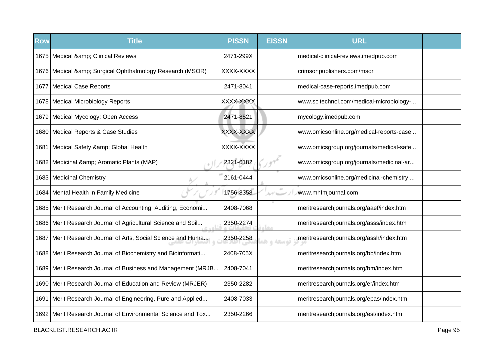| <b>Row</b> | <b>Title</b>                                                   | <b>PISSN</b> | <b>EISSN</b> | <b>URL</b>                               |  |
|------------|----------------------------------------------------------------|--------------|--------------|------------------------------------------|--|
|            | 1675   Medical & Clinical Reviews                              | 2471-299X    |              | medical-clinical-reviews.imedpub.com     |  |
|            | 1676   Medical & amp; Surgical Ophthalmology Research (MSOR)   | XXXX-XXXX    |              | crimsonpublishers.com/msor               |  |
|            | 1677   Medical Case Reports                                    | 2471-8041    |              | medical-case-reports.imedpub.com         |  |
|            | 1678   Medical Microbiology Reports                            | XXXX-XXXX    |              | www.scitechnol.com/medical-microbiology- |  |
|            | 1679 Medical Mycology: Open Access                             | 2471-8521    |              | mycology.imedpub.com                     |  |
|            | 1680   Medical Reports & Case Studies                          | XXXX-XXXX    |              | www.omicsonline.org/medical-reports-case |  |
| 1681       | Medical Safety & Global Health                                 | XXXX-XXXX    |              | www.omicsgroup.org/journals/medical-safe |  |
|            | 1682   Medicinal & Aromatic Plants (MAP)                       | 2321-6182    |              | www.omicsgroup.org/journals/medicinal-ar |  |
|            | 1683 Medicinal Chemistry                                       | 2161-0444    |              | www.omicsonline.org/medicinal-chemistry  |  |
|            | 1684   Mental Health in Family Medicine                        | 1756-8358    | $\pm 0$      | www.mhfmjournal.com                      |  |
|            | 1685   Merit Research Journal of Accounting, Auditing, Economi | 2408-7068    |              | meritresearchjournals.org/aaef/index.htm |  |
|            | 1686 Merit Research Journal of Agricultural Science and Soil   | 2350-2274    | <b>Leurs</b> | meritresearchjournals.org/asss/index.htm |  |
|            | 1687 Merit Research Journal of Arts, Social Science and Huma   | 2350-2258    | توسعه واهد   | meritresearchjournals.org/assh/index.htm |  |
|            | 1688 Merit Research Journal of Biochemistry and Bioinformati   | 2408-705X    |              | meritresearchjournals.org/bb/index.htm   |  |
|            | 1689 Merit Research Journal of Business and Management (MRJB   | 2408-7041    |              | meritresearchjournals.org/bm/index.htm   |  |
|            | 1690 Merit Research Journal of Education and Review (MRJER)    | 2350-2282    |              | meritresearchjournals.org/er/index.htm   |  |
|            | 1691 Merit Research Journal of Engineering, Pure and Applied   | 2408-7033    |              | meritresearchjournals.org/epas/index.htm |  |
|            | 1692 Merit Research Journal of Environmental Science and Tox   | 2350-2266    |              | meritresearchjournals.org/est/index.htm  |  |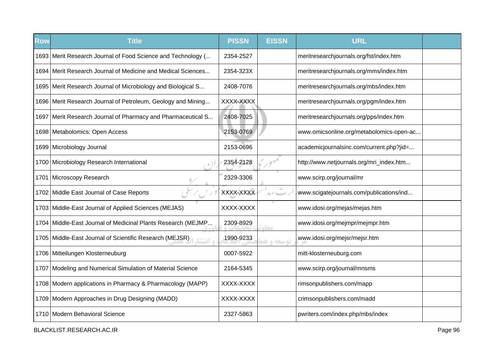| <b>Row</b> | <b>Title</b>                                                        | <b>PISSN</b> | <b>EISSN</b> | <b>URL</b>                               |  |
|------------|---------------------------------------------------------------------|--------------|--------------|------------------------------------------|--|
|            | 1693 Merit Research Journal of Food Science and Technology (        | 2354-2527    |              | meritresearchjournals.org/fst/index.htm  |  |
|            | 1694 Merit Research Journal of Medicine and Medical Sciences        | 2354-323X    |              | meritresearchjournals.org/mms/index.htm  |  |
|            | 1695 Merit Research Journal of Microbiology and Biological S        | 2408-7076    |              | meritresearchjournals.org/mbs/index.htm  |  |
|            | 1696 Merit Research Journal of Petroleum, Geology and Mining        | XXXX-XXXX    |              | meritresearchjournals.org/pgm/index.htm  |  |
|            | 1697   Merit Research Journal of Pharmacy and Pharmaceutical S      | 2408-7025    |              | meritresearchjournals.org/pps/index.htm  |  |
|            | 1698 Metabolomics: Open Access                                      | 2153-0769    |              | www.omicsonline.org/metabolomics-open-ac |  |
|            | 1699 Microbiology Journal                                           | 2153-0696    |              | academicjournalsinc.com/current.php?jid= |  |
|            | 1700 Microbiology Research International                            | 2354-2128    |              | http://www.netjournals.org/mri_index.htm |  |
|            | 1701 Microscopy Research                                            | 2329-3306    |              | www.scirp.org/journal/mr                 |  |
|            | 1702 Middle East Journal of Case Reports                            | XXXX-XXXX    |              | www.scigatejournals.com/publications/ind |  |
|            | 1703 Middle-East Journal of Applied Sciences (MEJAS)                | XXXX-XXXX    |              | www.idosi.org/mejas/mejas.htm            |  |
|            | 1704 Middle-East Journal of Medicinal Plants Research (MEJMP        | 2309-8929    | <b>COLO</b>  | www.idosi.org/mejmpr/mejmpr.htm          |  |
|            | 1705 Middle-East Journal of Scientific Research (MEJSR)<br>ه انتشا، | 1990-9233    | توسعه و هد   | www.idosi.org/mejsr/mejsr.htm            |  |
|            | 1706 Mitteilungen Klosterneuburg                                    | 0007-5922    |              | mitt-klosterneuburg.com                  |  |
|            | 1707 Modeling and Numerical Simulation of Material Science          | 2164-5345    |              | www.scirp.org/journal/mnsms              |  |
|            | 1708 Modern applications in Pharmacy & Pharmacology (MAPP)          | XXXX-XXXX    |              | rimsonpublishers.com/mapp                |  |
|            | 1709 Modern Approaches in Drug Designing (MADD)                     | XXXX-XXXX    |              | crimsonpublishers.com/madd               |  |
|            | 1710 Modern Behavioral Science                                      | 2327-5863    |              | pwriters.com/index.php/mbs/index         |  |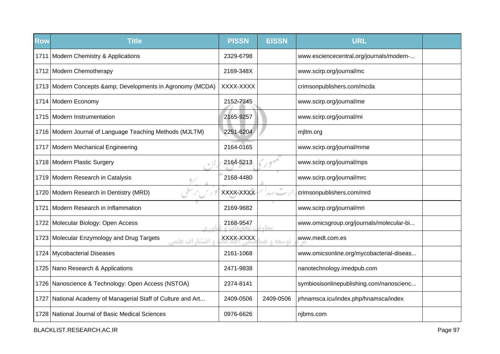| <b>Row</b> | <b>Title</b>                                                         | <b>PISSN</b> | <b>EISSN</b> | <b>URL</b>                               |  |
|------------|----------------------------------------------------------------------|--------------|--------------|------------------------------------------|--|
|            | 1711   Modern Chemistry & Applications                               | 2329-6798    |              | www.esciencecentral.org/journals/modern- |  |
|            | 1712 Modern Chemotherapy                                             | 2169-348X    |              | www.scirp.org/journal/mc                 |  |
|            | 1713 Modern Concepts & amp; Developments in Agronomy (MCDA)          | XXXX-XXXX    |              | crimsonpublishers.com/mcda               |  |
|            | 1714 Modern Economy                                                  | 2152-7245    |              | www.scirp.org/journal/me                 |  |
|            | 1715 Modern Instrumentation                                          | 2165-9257    |              | www.scirp.org/journal/mi                 |  |
|            | 1716 Modern Journal of Language Teaching Methods (MJLTM)             | 2251-6204    |              | miltm.org                                |  |
|            | 1717   Modern Mechanical Engineering                                 | 2164-0165    |              | www.scirp.org/journal/mme                |  |
|            | 1718 Modern Plastic Surgery                                          | 2164-5213    |              | www.scirp.org/journal/mps                |  |
|            | 1719 Modern Research in Catalysis                                    | 2168-4480    |              | www.scirp.org/journal/mrc                |  |
|            | 1720 Modern Research in Dentistry (MRD)                              | XXXX-XXXX    | $\pm 0$      | crimsonpublishers.com/mrd                |  |
| 1721       | Modern Research in Inflammation                                      | 2169-9682    |              | www.scirp.org/journal/mri                |  |
|            | 1722 Molecular Biology: Open Access                                  | 2168-9547    | <b>STAR</b>  | www.omicsgroup.org/journals/molecular-bi |  |
|            | 1723 Molecular Enzymology and Drug Targets<br><b>و انتشا,ات علمے</b> | XXXX-XXXX    | توسعه و هد   | www.medt.com.es                          |  |
|            | 1724 Mycobacterial Diseases                                          | 2161-1068    |              | www.omicsonline.org/mycobacterial-diseas |  |
|            | 1725 Nano Research & Applications                                    | 2471-9838    |              | nanotechnology.imedpub.com               |  |
|            | 1726 Nanoscience & Technology: Open Access (NSTOA)                   | 2374-8141    |              | symbiosisonlinepublishing.com/nanoscienc |  |
|            | 1727 National Academy of Managerial Staff of Culture and Art         | 2409-0506    | 2409-0506    | jrhnamsca.icu/index.php/hnamsca/index    |  |
|            | 1728   National Journal of Basic Medical Sciences                    | 0976-6626    |              | njbms.com                                |  |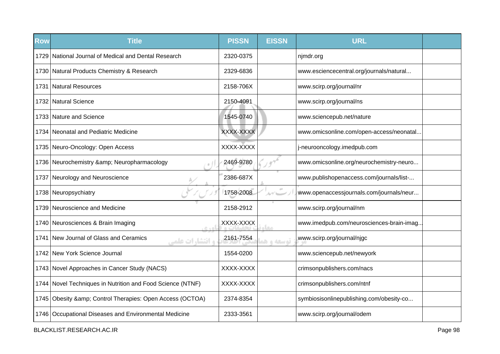| <b>Row</b> | <b>Title</b>                                                 | <b>PISSN</b> | <b>EISSN</b> | <b>URL</b>                               |  |
|------------|--------------------------------------------------------------|--------------|--------------|------------------------------------------|--|
| 1729       | National Journal of Medical and Dental Research              | 2320-0375    |              | njmdr.org                                |  |
|            | 1730   Natural Products Chemistry & Research                 | 2329-6836    |              | www.esciencecentral.org/journals/natural |  |
|            | 1731 Natural Resources                                       | 2158-706X    |              | www.scirp.org/journal/nr                 |  |
|            | 1732 Natural Science                                         | 2150-4091    |              | www.scirp.org/journal/ns                 |  |
|            | 1733 Nature and Science                                      | 1545-0740    |              | www.sciencepub.net/nature                |  |
|            | 1734   Neonatal and Pediatric Medicine                       | XXXX-XXXX    |              | www.omicsonline.com/open-access/neonatal |  |
|            | 1735 Neuro-Oncology: Open Access                             | XXXX-XXXX    |              | j-neurooncology.imedpub.com              |  |
|            | 1736 Neurochemistry & Neuropharmacology                      | 2469-9780    |              | www.omicsonline.org/neurochemistry-neuro |  |
| 1737       | Neurology and Neuroscience                                   | 2386-687X    |              | www.publishopenaccess.com/journals/list- |  |
|            | 1738 Neuropsychiatry                                         | 1758-2008    |              | www.openaccessjournals.com/journals/neur |  |
|            | 1739 Neuroscience and Medicine                               | 2158-2912    |              | www.scirp.org/journal/nm                 |  |
|            | 1740 Neurosciences & Brain Imaging<br>$C + D$                | XXXX-XXXX    | مخام         | www.imedpub.com/neurosciences-brain-imag |  |
| 1741       | New Journal of Glass and Ceramics<br><b>و انتشا, ات علمی</b> | 2161-7554    | توسعه و هد   | www.scirp.org/journal/njgc               |  |
|            | 1742 New York Science Journal                                | 1554-0200    |              | www.sciencepub.net/newyork               |  |
|            | 1743 Novel Approaches in Cancer Study (NACS)                 | XXXX-XXXX    |              | crimsonpublishers.com/nacs               |  |
|            | 1744 Novel Techniques in Nutrition and Food Science (NTNF)   | XXXX-XXXX    |              | crimsonpublishers.com/ntnf               |  |
|            | 1745 Obesity & amp; Control Therapies: Open Access (OCTOA)   | 2374-8354    |              | symbiosisonlinepublishing.com/obesity-co |  |
|            | 1746   Occupational Diseases and Environmental Medicine      | 2333-3561    |              | www.scirp.org/journal/odem               |  |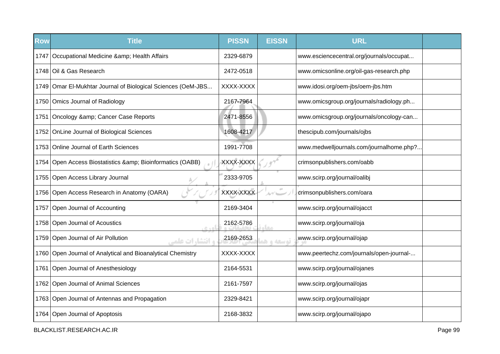| <b>Row</b> | <b>Title</b>                                                  | <b>PISSN</b> | <b>EISSN</b> | <b>URL</b>                               |  |
|------------|---------------------------------------------------------------|--------------|--------------|------------------------------------------|--|
|            | 1747   Occupational Medicine & amp; Health Affairs            | 2329-6879    |              | www.esciencecentral.org/journals/occupat |  |
|            | 1748 Oil & Gas Research                                       | 2472-0518    |              | www.omicsonline.org/oil-gas-research.php |  |
|            | 1749 Omar El-Mukhtar Journal of Biological Sciences (OeM-JBS  | XXXX-XXXX    |              | www.idosi.org/oem-jbs/oem-jbs.htm        |  |
|            | 1750 Omics Journal of Radiology                               | 2167-7964    |              | www.omicsgroup.org/journals/radiology.ph |  |
| 1751       | Oncology & Cancer Case Reports                                | 2471-8556    |              | www.omicsgroup.org/journals/oncology-can |  |
|            | 1752 OnLine Journal of Biological Sciences                    | 1608-4217    |              | thescipub.com/journals/ojbs              |  |
|            | 1753 Online Journal of Earth Sciences                         | 1991-7708    |              | www.medwelljournals.com/journalhome.php? |  |
| 1754       | Open Access Biostatistics & Bioinformatics (OABB)             | XXXX-XXXX    |              | crimsonpublishers.com/oabb               |  |
|            | 1755 Open Access Library Journal                              | 2333-9705    |              | www.scirp.org/journal/oalibj             |  |
|            | 1756 Open Access Research in Anatomy (OARA)                   | XXXX-XXXX    |              | crimsonpublishers.com/oara               |  |
|            | 1757 Open Journal of Accounting                               | 2169-3404    |              | www.scirp.org/journal/ojacct             |  |
|            | 1758 Open Journal of Acoustics<br>0.401                       | 2162-5786    | <b>CLO</b>   | www.scirp.org/journal/oja                |  |
|            | 1759 Open Journal of Air Pollution<br><b>، انتشا, ات علمی</b> | 2169-2653    | توسعه و ه    | www.scirp.org/journal/ojap               |  |
|            | 1760 Open Journal of Analytical and Bioanalytical Chemistry   | XXXX-XXXX    |              | www.peertechz.com/journals/open-journal- |  |
|            | 1761 Open Journal of Anesthesiology                           | 2164-5531    |              | www.scirp.org/journal/ojanes             |  |
|            | 1762 Open Journal of Animal Sciences                          | 2161-7597    |              | www.scirp.org/journal/ojas               |  |
|            | 1763 Open Journal of Antennas and Propagation                 | 2329-8421    |              | www.scirp.org/journal/ojapr              |  |
|            | 1764 Open Journal of Apoptosis                                | 2168-3832    |              | www.scirp.org/journal/ojapo              |  |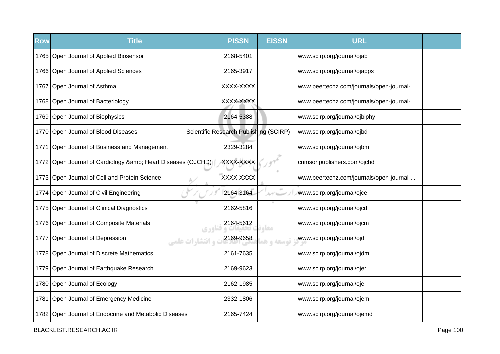| <b>Row</b> | <b>Title</b>                                                  | <b>PISSN</b>                           | <b>EISSN</b> | <b>URL</b>                               |  |
|------------|---------------------------------------------------------------|----------------------------------------|--------------|------------------------------------------|--|
|            | 1765 Open Journal of Applied Biosensor                        | 2168-5401                              |              | www.scirp.org/journal/ojab               |  |
|            | 1766 Open Journal of Applied Sciences                         | 2165-3917                              |              | www.scirp.org/journal/ojapps             |  |
|            | 1767 Open Journal of Asthma                                   | XXXX-XXXX                              |              | www.peertechz.com/journals/open-journal- |  |
|            | 1768 Open Journal of Bacteriology                             | XXXX-XXXX                              |              | www.peertechz.com/journals/open-journal- |  |
|            | 1769 Open Journal of Biophysics                               | 2164-5388                              |              | www.scirp.org/journal/ojbiphy            |  |
|            | 1770 Open Journal of Blood Diseases                           | Scientific Research Publishing (SCIRP) |              | www.scirp.org/journal/ojbd               |  |
| 1771       | Open Journal of Business and Management                       | 2329-3284                              |              | www.scirp.org/journal/ojbm               |  |
|            | 1772 Open Journal of Cardiology & amp; Heart Diseases (OJCHD) | XXXX-XXXX                              |              | crimsonpublishers.com/ojchd              |  |
|            | 1773 Open Journal of Cell and Protein Science                 | XXXX-XXXX                              |              | www.peertechz.com/journals/open-journal- |  |
|            | 1774 Open Journal of Civil Engineering                        | 2164-3164                              |              | www.scirp.org/journal/ojce               |  |
|            | 1775   Open Journal of Clinical Diagnostics                   | 2162-5816                              |              | www.scirp.org/journal/ojcd               |  |
|            | 1776 Open Journal of Composite Materials<br>0.40              | 2164-5612                              | معا          | www.scirp.org/journal/ojcm               |  |
| 1777       | Open Journal of Depression<br><b>و انتشا, ات علمی</b>         | 2169-9658                              | توسعه و ه    | www.scirp.org/journal/ojd                |  |
|            | 1778 Open Journal of Discrete Mathematics                     | 2161-7635                              |              | www.scirp.org/journal/ojdm               |  |
|            | 1779 Open Journal of Earthquake Research                      | 2169-9623                              |              | www.scirp.org/journal/ojer               |  |
|            | 1780 Open Journal of Ecology                                  | 2162-1985                              |              | www.scirp.org/journal/oje                |  |
|            | 1781 Open Journal of Emergency Medicine                       | 2332-1806                              |              | www.scirp.org/journal/ojem               |  |
|            | 1782 Open Journal of Endocrine and Metabolic Diseases         | 2165-7424                              |              | www.scirp.org/journal/ojemd              |  |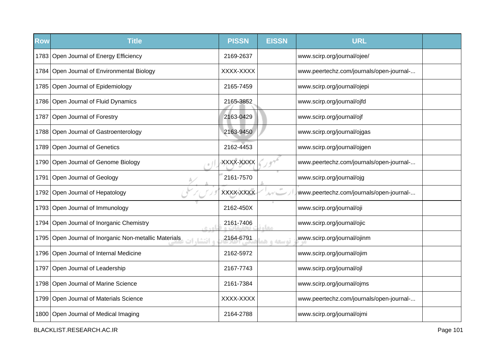| <b>Row</b> | <b>Title</b>                                                         | <b>PISSN</b> | <b>EISSN</b> | <b>URL</b>                               |  |
|------------|----------------------------------------------------------------------|--------------|--------------|------------------------------------------|--|
|            | 1783 Open Journal of Energy Efficiency                               | 2169-2637    |              | www.scirp.org/journal/ojee/              |  |
|            | 1784 Open Journal of Environmental Biology                           | XXXX-XXXX    |              | www.peertechz.com/journals/open-journal- |  |
|            | 1785 Open Journal of Epidemiology                                    | 2165-7459    |              | www.scirp.org/journal/ojepi              |  |
|            | 1786 Open Journal of Fluid Dynamics                                  | 2165-3852    |              | www.scirp.org/journal/ojfd               |  |
|            | 1787 Open Journal of Forestry                                        | 2163-0429    |              | www.scirp.org/journal/ojf                |  |
|            | 1788 Open Journal of Gastroenterology                                | 2163-9450    |              | www.scirp.org/journal/ojgas              |  |
|            | 1789 Open Journal of Genetics                                        | 2162-4453    |              | www.scirp.org/journal/ojgen              |  |
|            | 1790 Open Journal of Genome Biology                                  | XXXX-XXXX    |              | www.peertechz.com/journals/open-journal- |  |
| 1791       | Open Journal of Geology                                              | 2161-7570    |              | www.scirp.org/journal/ojg                |  |
|            | 1792 Open Journal of Hepatology                                      | XXXX-XXXX    |              | www.peertechz.com/journals/open-journal- |  |
|            | 1793 Open Journal of Immunology                                      | 2162-450X    |              | www.scirp.org/journal/oji                |  |
|            | 1794 Open Journal of Inorganic Chemistry<br>$C + D$                  | 2161-7406    | معا          | www.scirp.org/journal/ojic               |  |
|            | 1795 Open Journal of Inorganic Non-metallic Materials<br>ه انتشا, ات | 2164-6791    | توسعه و ه    | www.scirp.org/journal/ojinm              |  |
|            | 1796 Open Journal of Internal Medicine                               | 2162-5972    |              | www.scirp.org/journal/ojim               |  |
|            | 1797 Open Journal of Leadership                                      | 2167-7743    |              | www.scirp.org/journal/ojl                |  |
|            | 1798 Open Journal of Marine Science                                  | 2161-7384    |              | www.scirp.org/journal/ojms               |  |
|            | 1799 Open Journal of Materials Science                               | XXXX-XXXX    |              | www.peertechz.com/journals/open-journal- |  |
|            | 1800 Open Journal of Medical Imaging                                 | 2164-2788    |              | www.scirp.org/journal/ojmi               |  |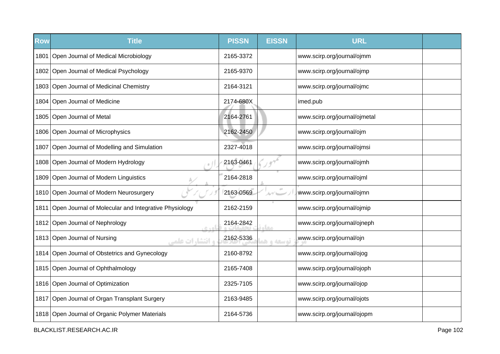| <b>Row</b> | <b>Title</b>                                              | <b>PISSN</b> | <b>EISSN</b> | <b>URL</b>                    |  |
|------------|-----------------------------------------------------------|--------------|--------------|-------------------------------|--|
|            | 1801 Open Journal of Medical Microbiology                 | 2165-3372    |              | www.scirp.org/journal/ojmm    |  |
|            | 1802 Open Journal of Medical Psychology                   | 2165-9370    |              | www.scirp.org/journal/ojmp    |  |
|            | 1803 Open Journal of Medicinal Chemistry                  | 2164-3121    |              | www.scirp.org/journal/ojmc    |  |
|            | 1804 Open Journal of Medicine                             | 2174-680X    |              | imed.pub                      |  |
|            | 1805 Open Journal of Metal                                | 2164-2761    |              | www.scirp.org/journal/ojmetal |  |
|            | 1806 Open Journal of Microphysics                         | 2162-2450    |              | www.scirp.org/journal/ojm     |  |
| 1807       | Open Journal of Modelling and Simulation                  | 2327-4018    |              | www.scirp.org/journal/ojmsi   |  |
|            | 1808 Open Journal of Modern Hydrology                     | 2163-0461    |              | www.scirp.org/journal/ojmh    |  |
|            | 1809 Open Journal of Modern Linguistics                   | 2164-2818    |              | www.scirp.org/journal/ojml    |  |
|            | 1810 Open Journal of Modern Neurosurgery                  | 2163-0569    | ルブレー         | www.scirp.org/journal/ojmn    |  |
|            | 1811 Open Journal of Molecular and Integrative Physiology | 2162-2159    |              | www.scirp.org/journal/ojmip   |  |
|            | 1812 Open Journal of Nephrology<br>0.40                   | 2164-2842    | مخام         | www.scirp.org/journal/ojneph  |  |
|            | 1813 Open Journal of Nursing<br><b>، انتشا, ات علمی</b>   | 2162-5336    | توسعه و ه    | www.scirp.org/journal/ojn     |  |
|            | 1814 Open Journal of Obstetrics and Gynecology            | 2160-8792    |              | www.scirp.org/journal/ojog    |  |
|            | 1815 Open Journal of Ophthalmology                        | 2165-7408    |              | www.scirp.org/journal/ojoph   |  |
|            | 1816 Open Journal of Optimization                         | 2325-7105    |              | www.scirp.org/journal/ojop    |  |
|            | 1817 Open Journal of Organ Transplant Surgery             | 2163-9485    |              | www.scirp.org/journal/ojots   |  |
|            | 1818 Open Journal of Organic Polymer Materials            | 2164-5736    |              | www.scirp.org/journal/ojopm   |  |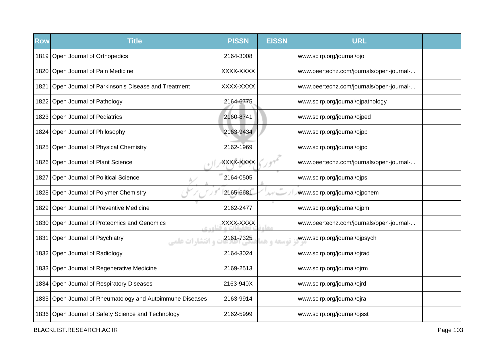| <b>Row</b> | <b>Title</b>                                              | <b>PISSN</b> | <b>EISSN</b> | <b>URL</b>                               |  |
|------------|-----------------------------------------------------------|--------------|--------------|------------------------------------------|--|
|            | 1819 Open Journal of Orthopedics                          | 2164-3008    |              | www.scirp.org/journal/ojo                |  |
|            | 1820 Open Journal of Pain Medicine                        | XXXX-XXXX    |              | www.peertechz.com/journals/open-journal- |  |
|            | 1821 Open Journal of Parkinson's Disease and Treatment    | XXXX-XXXX    |              | www.peertechz.com/journals/open-journal- |  |
|            | 1822 Open Journal of Pathology                            | 2164-6775    |              | www.scirp.org/journal/ojpathology        |  |
|            | 1823 Open Journal of Pediatrics                           | 2160-8741    |              | www.scirp.org/journal/ojped              |  |
|            | 1824 Open Journal of Philosophy                           | 2163-9434    |              | www.scirp.org/journal/ojpp               |  |
|            | 1825 Open Journal of Physical Chemistry                   | 2162-1969    |              | www.scirp.org/journal/ojpc               |  |
|            | 1826 Open Journal of Plant Science                        | XXXX-XXXX    |              | www.peertechz.com/journals/open-journal- |  |
| 1827       | Open Journal of Political Science                         | 2164-0505    |              | www.scirp.org/journal/ojps               |  |
|            | 1828 Open Journal of Polymer Chemistry                    | 2165-6681    |              | www.scirp.org/journal/ojpchem            |  |
|            | 1829 Open Journal of Preventive Medicine                  | 2162-2477    |              | www.scirp.org/journal/ojpm               |  |
|            | 1830 Open Journal of Proteomics and Genomics<br>$C + D$   | XXXX-XXXX    | صحا          | www.peertechz.com/journals/open-journal- |  |
| 1831       | Open Journal of Psychiatry<br><b>و انتشارات علمے</b>      | 2161-7325    | توسعه و ه    | www.scirp.org/journal/ojpsych            |  |
|            | 1832 Open Journal of Radiology                            | 2164-3024    |              | www.scirp.org/journal/ojrad              |  |
|            | 1833 Open Journal of Regenerative Medicine                | 2169-2513    |              | www.scirp.org/journal/ojrm               |  |
|            | 1834 Open Journal of Respiratory Diseases                 | 2163-940X    |              | www.scirp.org/journal/ojrd               |  |
|            | 1835 Open Journal of Rheumatology and Autoimmune Diseases | 2163-9914    |              | www.scirp.org/journal/ojra               |  |
|            | 1836 Open Journal of Safety Science and Technology        | 2162-5999    |              | www.scirp.org/journal/ojsst              |  |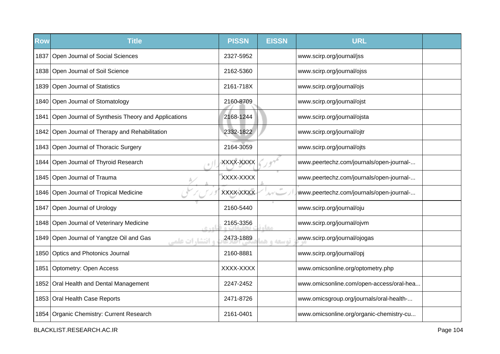| <b>Row</b> | <b>Title</b>                                                       | <b>PISSN</b> | <b>EISSN</b> | <b>URL</b>                               |  |
|------------|--------------------------------------------------------------------|--------------|--------------|------------------------------------------|--|
|            | 1837 Open Journal of Social Sciences                               | 2327-5952    |              | www.scirp.org/journal/jss                |  |
|            | 1838 Open Journal of Soil Science                                  | 2162-5360    |              | www.scirp.org/journal/ojss               |  |
|            | 1839 Open Journal of Statistics                                    | 2161-718X    |              | www.scirp.org/journal/ojs                |  |
|            | 1840 Open Journal of Stomatology                                   | 2160-8709    |              | www.scirp.org/journal/ojst               |  |
|            | 1841 Open Journal of Synthesis Theory and Applications             | 2168-1244    |              | www.scirp.org/journal/ojsta              |  |
|            | 1842 Open Journal of Therapy and Rehabilitation                    | 2332-1822    |              | www.scirp.org/journal/ojtr               |  |
|            | 1843 Open Journal of Thoracic Surgery                              | 2164-3059    |              | www.scirp.org/journal/ojts               |  |
|            | 1844 Open Journal of Thyroid Research                              | XXXX-XXXX    |              | www.peertechz.com/journals/open-journal- |  |
|            | 1845 Open Journal of Trauma                                        | XXXX-XXXX    |              | www.peertechz.com/journals/open-journal- |  |
|            | 1846 Open Journal of Tropical Medicine                             | XXXX-XXXX    |              | www.peertechz.com/journals/open-journal- |  |
| 1847       | Open Journal of Urology                                            | 2160-5440    |              | www.scirp.org/journal/oju                |  |
|            | 1848   Open Journal of Veterinary Medicine<br>c sol                | 2165-3356    | مخام         | www.scirp.org/journal/ojvm               |  |
|            | 1849 Open Journal of Yangtze Oil and Gas<br><b>و انتشارات علمے</b> | 2473-1889    | توسعه و هد   | www.scirp.org/journal/ojogas             |  |
|            | 1850 Optics and Photonics Journal                                  | 2160-8881    |              | www.scirp.org/journal/opj                |  |
| 1851       | Optometry: Open Access                                             | XXXX-XXXX    |              | www.omicsonline.org/optometry.php        |  |
|            | 1852 Oral Health and Dental Management                             | 2247-2452    |              | www.omicsonline.com/open-access/oral-hea |  |
|            | 1853 Oral Health Case Reports                                      | 2471-8726    |              | www.omicsgroup.org/journals/oral-health- |  |
|            | 1854 Organic Chemistry: Current Research                           | 2161-0401    |              | www.omicsonline.org/organic-chemistry-cu |  |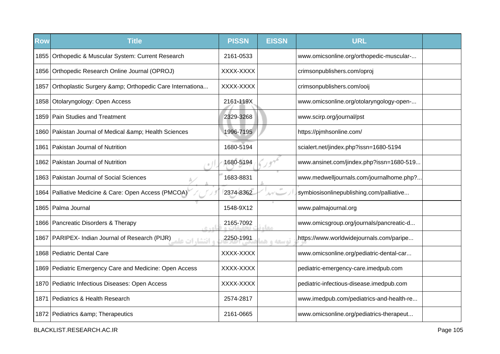| <b>Row</b> | <b>Title</b>                                                | <b>PISSN</b> | <b>EISSN</b> | <b>URL</b>                               |  |
|------------|-------------------------------------------------------------|--------------|--------------|------------------------------------------|--|
|            | 1855   Orthopedic & Muscular System: Current Research       | 2161-0533    |              | www.omicsonline.org/orthopedic-muscular- |  |
|            | 1856   Orthopedic Research Online Journal (OPROJ)           | XXXX-XXXX    |              | crimsonpublishers.com/oproj              |  |
| 1857       | Orthoplastic Surgery & Orthopedic Care Internationa         | XXXX-XXXX    |              | crimsonpublishers.com/ooij               |  |
|            | 1858 Otolaryngology: Open Access                            | 2161-119X    |              | www.omicsonline.org/otolaryngology-open- |  |
|            | 1859 Pain Studies and Treatment                             | 2329-3268    |              | www.scirp.org/journal/pst                |  |
|            | 1860 Pakistan Journal of Medical & Health Sciences          | 1996-7195    |              | https://pjmhsonline.com/                 |  |
| 1861       | Pakistan Journal of Nutrition                               | 1680-5194    |              | scialert.net/jindex.php?issn=1680-5194   |  |
|            | 1862 Pakistan Journal of Nutrition                          | 1680-5194    |              | www.ansinet.com/jindex.php?issn=1680-519 |  |
|            | 1863 Pakistan Journal of Social Sciences                    | 1683-8831    |              | www.medwelljournals.com/journalhome.php? |  |
|            | 1864 Palliative Medicine & Care: Open Access (PMCOA)        | 2374-8362    | $\pm 0$      | symbiosisonlinepublishing.com/palliative |  |
|            | 1865   Palma Journal                                        | 1548-9X12    |              | www.palmajournal.org                     |  |
|            | 1866   Pancreatic Disorders & Therapy                       | 2165-7092    | معا          | www.omicsgroup.org/journals/pancreatic-d |  |
|            | و انتشارات عليه (PARIPEX- Indian Journal of Research (PIJR) | 2250-1991    | توسعه و ه    | https://www.worldwidejournals.com/paripe |  |
|            | 1868   Pediatric Dental Care                                | XXXX-XXXX    |              | www.omicsonline.org/pediatric-dental-car |  |
|            | 1869 Pediatric Emergency Care and Medicine: Open Access     | XXXX-XXXX    |              | pediatric-emergency-care.imedpub.com     |  |
|            | 1870 Pediatric Infectious Diseases: Open Access             | XXXX-XXXX    |              | pediatric-infectious-disease.imedpub.com |  |
| 1871 I     | Pediatrics & Health Research                                | 2574-2817    |              | www.imedpub.com/pediatrics-and-health-re |  |
|            | 1872 Pediatrics & amp; Therapeutics                         | 2161-0665    |              | www.omicsonline.org/pediatrics-therapeut |  |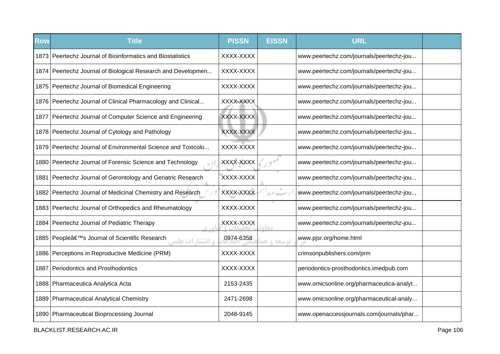| <b>Row</b> | <b>Title</b>                                                            | <b>PISSN</b> | <b>EISSN</b> | <b>URL</b>                               |  |
|------------|-------------------------------------------------------------------------|--------------|--------------|------------------------------------------|--|
|            | 1873 Peertechz Journal of Bioinformatics and Biostatistics              | XXXX-XXXX    |              | www.peertechz.com/journals/peertechz-jou |  |
|            | 1874 Peertechz Journal of Biological Research and Developmen            | XXXX-XXXX    |              | www.peertechz.com/journals/peertechz-jou |  |
|            | 1875   Peertechz Journal of Biomedical Engineering                      | XXXX-XXXX    |              | www.peertechz.com/journals/peertechz-jou |  |
|            | 1876 Peertechz Journal of Clinical Pharmacology and Clinical            | XXXX-XXXX    |              | www.peertechz.com/journals/peertechz-jou |  |
|            | 1877 Peertechz Journal of Computer Science and Engineering              | XXXX-XXXX    |              | www.peertechz.com/journals/peertechz-jou |  |
|            | 1878 Peertechz Journal of Cytology and Pathology                        | XXXX-XXXX    |              | www.peertechz.com/journals/peertechz-jou |  |
|            | 1879 Peertechz Journal of Environmental Science and Toxicolo            | XXXX-XXXX    |              | www.peertechz.com/journals/peertechz-jou |  |
|            | 1880 Peertechz Journal of Forensic Science and Technology               | XXXX-XXXX    |              | www.peertechz.com/journals/peertechz-jou |  |
| 1881.      | Peertechz Journal of Gerontology and Geriatric Research                 | XXXX-XXXX    |              | www.peertechz.com/journals/peertechz-jou |  |
|            | 1882 Peertechz Journal of Medicinal Chemistry and Research              | XXXX-XXXX    | $\alpha$     | www.peertechz.com/journals/peertechz-jou |  |
|            | 1883 Peertechz Journal of Orthopedics and Rheumatology                  | XXXX-XXXX    |              | www.peertechz.com/journals/peertechz-jou |  |
|            | 1884 Peertechz Journal of Pediatric Therapy<br>اهدي                     | XXXX-XXXX    | مقام         | www.peertechz.com/journals/peertechz-jou |  |
|            | 1885 People's Journal of Scientific Research<br><b>، انتشا, ات علمہ</b> | 0974-6358    | توسعه و ه    | www.pjsr.org/home.html                   |  |
|            | 1886 Perceptions in Reproductive Medicine (PRM)                         | XXXX-XXXX    |              | crimsonpublishers.com/prm                |  |
| 1887       | Periodontics and Prosthodontics                                         | XXXX-XXXX    |              | periodontics-prosthodontics.imedpub.com  |  |
|            | 1888   Pharmaceutica Analytica Acta                                     | 2153-2435    |              | www.omicsonline.org/pharmaceutica-analyt |  |
|            | 1889   Pharmaceutical Analytical Chemistry                              | 2471-2698    |              | www.omicsonline.org/pharmaceutical-analy |  |
|            | 1890 Pharmaceutical Bioprocessing Journal                               | 2048-9145    |              | www.openaccessjournals.com/journals/phar |  |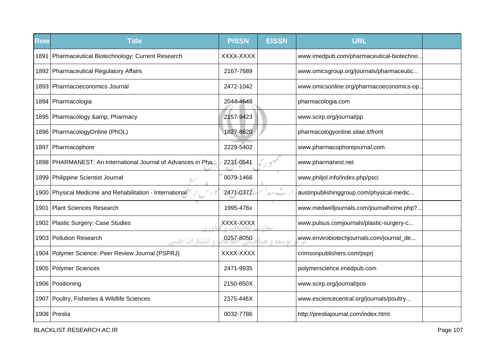| <b>Row</b> | <b>Title</b>                                                    | <b>PISSN</b> | <b>EISSN</b> | <b>URL</b>                                |
|------------|-----------------------------------------------------------------|--------------|--------------|-------------------------------------------|
|            | 1891 Pharmaceutical Biotechnology: Current Research             | XXXX-XXXX    |              | www.imedpub.com/pharmaceutical-biotechno. |
|            | 1892 Pharmaceutical Regulatory Affairs                          | 2167-7689    |              | www.omicsgroup.org/journals/pharmaceutic  |
|            | 1893 Pharmacoeconomics Journal                                  | 2472-1042    |              | www.omicsonline.org/pharmacoeconomics-op  |
|            | 1894   Pharmacologia                                            | 2044-4648    |              | pharmacologia.com                         |
|            | 1895   Pharmacology & amp; Pharmacy                             | 2157-9423    |              | www.scirp.org/journal/pp                  |
|            | 1896   PharmacologyOnline (PhOL)                                | 1827-8620    |              | pharmacologyonline.silae.it/front         |
|            | 1897   Pharmacophore                                            | 2229-5402    |              | www.pharmacophorejournal.com              |
|            | 1898 PHARMANEST: An International Journal of Advances in Pha.I. | 2231-0541    |              | www.pharmanest.net                        |
|            | 1899   Philippine Scientist Journal                             | 0079-1466    |              | www.philjol.info/index.php/psci           |
|            | 1900 Physical Medicine and Rehabilitation - International       | 2471-0377    | ルブレー         | austinpublishinggroup.com/physical-medic  |
| 1901       | Plant Sciences Research                                         | 1995-476x    |              | www.medwelljournals.com/journalhome.php?  |
|            | 1902   Plastic Surgery: Case Studies<br>0.40                    | XXXX-XXXX    | معام         | www.pulsus.comjournals/plastic-surgery-c  |
|            | 1903 Pollution Research<br><b>، انتشا, ات علمی</b>              | 0257-8050    | توسعه و هم   | www.envirobiotechjournals.com/journal_de  |
|            | 1904 Polymer Science: Peer Review Journal (PSPRJ)               | XXXX-XXXX    |              | crimsonpublishers.com/psprj               |
|            | 1905   Polymer Sciences                                         | 2471-9935    |              | polymerscience.imedpub.com                |
|            | 1906 Positioning                                                | 2150-850X    |              | www.scirp.org/journal/pos                 |
|            | 1907 Poultry, Fisheries & Wildlife Sciences                     | 2375-446X    |              | www.esciencecentral.org/journals/poultry  |
|            | 1908 Preslia                                                    | 0032-7786    |              | http://presliajournal.com/index.html      |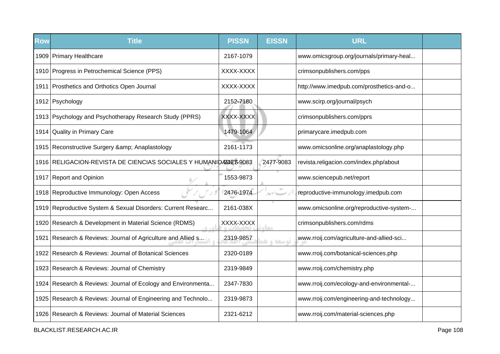| <b>Row</b> | <b>Title</b>                                                      | <b>PISSN</b> | <b>EISSN</b> | <b>URL</b>                               |  |
|------------|-------------------------------------------------------------------|--------------|--------------|------------------------------------------|--|
|            | 1909 Primary Healthcare                                           | 2167-1079    |              | www.omicsgroup.org/journals/primary-heal |  |
|            | 1910 Progress in Petrochemical Science (PPS)                      | XXXX-XXXX    |              | crimsonpublishers.com/pps                |  |
|            | 1911 Prosthetics and Orthotics Open Journal                       | XXXX-XXXX    |              | http://www.imedpub.com/prosthetics-and-o |  |
|            | 1912 Psychology                                                   | 2152-7180    |              | www.scirp.org/journal/psych              |  |
|            | 1913 Psychology and Psychotherapy Research Study (PPRS)           | XXXX-XXXX    |              | crimsonpublishers.com/pprs               |  |
|            | 1914 Quality in Primary Care                                      | 1479-1064    |              | primarycare.imedpub.com                  |  |
|            | 1915 Reconstructive Surgery & amp; Anaplastology                  | 2161-1173    |              | www.omicsonline.org/anaplastology.php    |  |
|            | 1916 RELIGACION-REVISTA DE CIENCIAS SOCIALES Y HUMANIDATALES 9083 |              | 2477-9083    | revista.religacion.com/index.php/about   |  |
|            | 1917 Report and Opinion                                           | 1553-9873    |              | www.sciencepub.net/report                |  |
|            | 1918 Reproductive Immunology: Open Access                         | 2476-1974    | ルブレー         | reproductive-immunology.imedpub.com      |  |
|            | 1919 Reproductive System & Sexual Disorders: Current Researc      | 2161-038X    |              | www.omicsonline.org/reproductive-system- |  |
|            | 1920 Research & Development in Material Science (RDMS)<br>e sal   | XXXX-XXXX    | مغار         | crimsonpublishers.com/rdms               |  |
| 1921       | Research & Reviews: Journal of Agriculture and Allied s           | 2319-9857    | توسعه و ه    | www.rroij.com/agriculture-and-allied-sci |  |
|            | 1922 Research & Reviews: Journal of Botanical Sciences            | 2320-0189    |              | www.rroij.com/botanical-sciences.php     |  |
|            | 1923 Research & Reviews: Journal of Chemistry                     | 2319-9849    |              | www.rroij.com/chemistry.php              |  |
|            | 1924 Research & Reviews: Journal of Ecology and Environmenta      | 2347-7830    |              | www.rroij.com/ecology-and-environmental- |  |
|            | 1925 Research & Reviews: Journal of Engineering and Technolo      | 2319-9873    |              | www.rroij.com/engineering-and-technology |  |
|            | 1926 Research & Reviews: Journal of Material Sciences             | 2321-6212    |              | www.rroij.com/material-sciences.php      |  |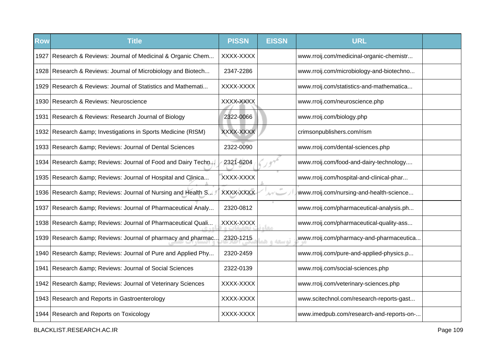| <b>Row</b> | <b>Title</b>                                                  | <b>PISSN</b> | <b>EISSN</b> | <b>URL</b>                               |  |
|------------|---------------------------------------------------------------|--------------|--------------|------------------------------------------|--|
| 1927       | Research & Reviews: Journal of Medicinal & Organic Chem       | XXXX-XXXX    |              | www.rroij.com/medicinal-organic-chemistr |  |
|            | 1928 Research & Reviews: Journal of Microbiology and Biotech  | 2347-2286    |              | www.rroij.com/microbiology-and-biotechno |  |
|            | 1929 Research & Reviews: Journal of Statistics and Mathemati  | XXXX-XXXX    |              | www.rroij.com/statistics-and-mathematica |  |
|            | 1930 Research & Reviews: Neuroscience                         | XXXX-XXXX    |              | www.rroij.com/neuroscience.php           |  |
|            | 1931 Research & Reviews: Research Journal of Biology          | 2322-0066    |              | www.rroij.com/biology.php                |  |
|            | 1932 Research & amp; Investigations in Sports Medicine (RISM) | XXXX-XXXX    |              | crimsonpublishers.com/rism               |  |
|            | 1933 Research & amp; Reviews: Journal of Dental Sciences      | 2322-0090    |              | www.rroij.com/dental-sciences.php        |  |
|            | 1934 Research & Reviews: Journal of Food and Dairy Techn.     | 2321-6204    |              | www.rroij.com/food-and-dairy-technology  |  |
|            | 1935 Research & amp; Reviews: Journal of Hospital and Clinica | XXXX-XXXX    |              | www.rroij.com/hospital-and-clinical-phar |  |
|            | 1936 Research & Reviews: Journal of Nursing and Health S      | XXXX-XXXX    | ルゲーー         | www.rroij.com/nursing-and-health-science |  |
| 1937       | Research & amp; Reviews: Journal of Pharmaceutical Analy      | 2320-0812    |              | www.rroij.com/pharmaceutical-analysis.ph |  |
|            | 1938 Research & amp; Reviews: Journal of Pharmaceutical Quali | XXXX-XXXX    | مغاد         | www.rroij.com/pharmaceutical-quality-ass |  |
|            | 1939 Research & Reviews: Journal of pharmacy and pharmac      | 2320-1215    | توسعه و هد   | www.rroij.com/pharmacy-and-pharmaceutica |  |
|            | 1940 Research & amp; Reviews: Journal of Pure and Applied Phy | 2320-2459    |              | www.rroij.com/pure-and-applied-physics.p |  |
| 1941       | Research & Reviews: Journal of Social Sciences                | 2322-0139    |              | www.rroij.com/social-sciences.php        |  |
|            | 1942 Research & amp; Reviews: Journal of Veterinary Sciences  | XXXX-XXXX    |              | www.rroij.com/veterinary-sciences.php    |  |
|            | 1943 Research and Reports in Gastroenterology                 | XXXX-XXXX    |              | www.scitechnol.com/research-reports-gast |  |
|            | 1944 Research and Reports on Toxicology                       | XXXX-XXXX    |              | www.imedpub.com/research-and-reports-on- |  |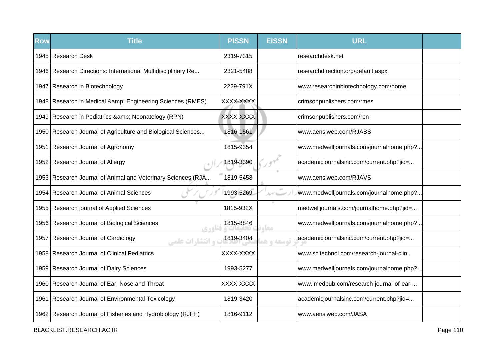| <b>Row</b> | <b>Title</b>                                                   | <b>PISSN</b> | <b>EISSN</b>  | <b>URL</b>                               |  |
|------------|----------------------------------------------------------------|--------------|---------------|------------------------------------------|--|
|            | 1945 Research Desk                                             | 2319-7315    |               | researchdesk.net                         |  |
|            | 1946 Research Directions: International Multidisciplinary Re   | 2321-5488    |               | researchdirection.org/default.aspx       |  |
|            | 1947 Research in Biotechnology                                 | 2229-791X    |               | www.researchinbiotechnology.com/home     |  |
|            | 1948 Research in Medical & Engineering Sciences (RMES)         | XXXX-XXXX    |               | crimsonpublishers.com/rmes               |  |
|            | 1949 Research in Pediatrics & amp; Neonatology (RPN)           | XXXX-XXXX    |               | crimsonpublishers.com/rpn                |  |
|            | 1950 Research Journal of Agriculture and Biological Sciences   | 1816-1561    |               | www.aensiweb.com/RJABS                   |  |
|            | 1951 Research Journal of Agronomy                              | 1815-9354    |               | www.medwelljournals.com/journalhome.php? |  |
|            | 1952 Research Journal of Allergy                               | 1819-3390    |               | academicjournalsinc.com/current.php?jid= |  |
|            | 1953 Research Journal of Animal and Veterinary Sciences (RJA   | 1819-5458    |               | www.aensiweb.com/RJAVS                   |  |
|            | 1954 Research Journal of Animal Sciences                       | 1993-5269    | $\mathcal{N}$ | www.medwelljournals.com/journalhome.php? |  |
|            | 1955   Research journal of Applied Sciences                    | 1815-932X    |               | medwelljournals.com/journalhome.php?jid= |  |
|            | 1956 Research Journal of Biological Sciences<br>6.401          | 1815-8846    | معا           | www.medwelljournals.com/journalhome.php? |  |
|            | 1957 Research Journal of Cardiology<br><b>، انتشا, ات علمی</b> | 1819-3404    | توسعه و ه     | academicjournalsinc.com/current.php?jid= |  |
|            | 1958 Research Journal of Clinical Pediatrics                   | XXXX-XXXX    |               | www.scitechnol.com/research-journal-clin |  |
|            | 1959 Research Journal of Dairy Sciences                        | 1993-5277    |               | www.medwelljournals.com/journalhome.php? |  |
|            | 1960 Research Journal of Ear, Nose and Throat                  | XXXX-XXXX    |               | www.imedpub.com/research-journal-of-ear- |  |
|            | 1961 Research Journal of Environmental Toxicology              | 1819-3420    |               | academicjournalsinc.com/current.php?jid= |  |
|            | 1962 Research Journal of Fisheries and Hydrobiology (RJFH)     | 1816-9112    |               | www.aensiweb.com/JASA                    |  |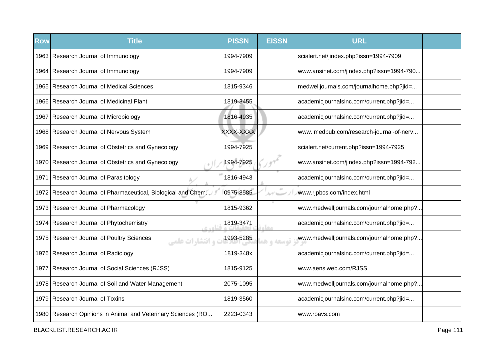| <b>Row</b> | <b>Title</b>                                                        | <b>PISSN</b> | <b>EISSN</b>    | <b>URL</b>                               |  |
|------------|---------------------------------------------------------------------|--------------|-----------------|------------------------------------------|--|
|            | 1963 Research Journal of Immunology                                 | 1994-7909    |                 | scialert.net/jindex.php?issn=1994-7909   |  |
|            | 1964   Research Journal of Immunology                               | 1994-7909    |                 | www.ansinet.com/jindex.php?issn=1994-790 |  |
|            | 1965 Research Journal of Medical Sciences                           | 1815-9346    |                 | medwelljournals.com/journalhome.php?jid= |  |
|            | 1966 Research Journal of Medicinal Plant                            | 1819-3455    |                 | academicjournalsinc.com/current.php?jid= |  |
|            | 1967 Research Journal of Microbiology                               | 1816-4935    |                 | academicjournalsinc.com/current.php?jid= |  |
|            | 1968 Research Journal of Nervous System                             | XXXX-XXXX    |                 | www.imedpub.com/research-journal-of-nerv |  |
|            | 1969 Research Journal of Obstetrics and Gynecology                  | 1994-7925    |                 | scialert.net/current.php?issn=1994-7925  |  |
|            | 1970 Research Journal of Obstetrics and Gynecology                  | 1994-7925    |                 | www.ansinet.com/jindex.php?issn=1994-792 |  |
| 1971       | Research Journal of Parasitology                                    | 1816-4943    |                 | academicjournalsinc.com/current.php?jid= |  |
|            | 1972 Research Journal of Pharmaceutical, Biological and Chem        | 0975-8585    | $\pm 0$<br>ルゲーー | www.rjpbcs.com/index.html                |  |
|            | 1973 Research Journal of Pharmacology                               | 1815-9362    |                 | www.medwelljournals.com/journalhome.php? |  |
|            | 1974 Research Journal of Phytochemistry<br>0.401                    | 1819-3471    | معا             | academicjournalsinc.com/current.php?jid= |  |
|            | 1975 Research Journal of Poultry Sciences<br><b>و انتشارات علمی</b> | 1993-5285    | توسعه و هد      | www.medwelljournals.com/journalhome.php? |  |
|            | 1976 Research Journal of Radiology                                  | 1819-348x    |                 | academicjournalsinc.com/current.php?jid= |  |
|            | 1977 Research Journal of Social Sciences (RJSS)                     | 1815-9125    |                 | www.aensiweb.com/RJSS                    |  |
|            | 1978 Research Journal of Soil and Water Management                  | 2075-1095    |                 | www.medwelljournals.com/journalhome.php? |  |
|            | 1979 Research Journal of Toxins                                     | 1819-3560    |                 | academicjournalsinc.com/current.php?jid= |  |
|            | 1980 Research Opinions in Animal and Veterinary Sciences (RO        | 2223-0343    |                 | www.roavs.com                            |  |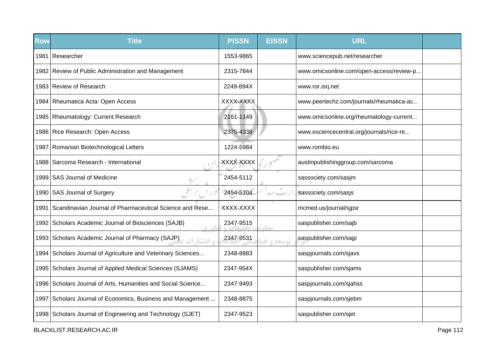| <b>Row</b> | <b>Title</b>                                                     | <b>PISSN</b> | <b>EISSN</b> | <b>URL</b>                               |  |
|------------|------------------------------------------------------------------|--------------|--------------|------------------------------------------|--|
| 1981       | Researcher                                                       | 1553-9865    |              | www.sciencepub.net/researcher            |  |
|            | 1982 Review of Public Administration and Management              | 2315-7844    |              | www.omicsonline.com/open-access/review-p |  |
|            | 1983 Review of Research                                          | 2249-894X    |              | www.ror.isrj.net                         |  |
|            | 1984 Rheumatica Acta: Open Access                                | XXXX-XXXX    |              | www.peertechz.com/journals/rheumatica-ac |  |
|            | 1985   Rheumatology: Current Research                            | 2161-1149    |              | www.omicsonline.org/rheumatology-current |  |
|            | 1986 Rice Research: Open Access                                  | 2375-4338    |              | www.esciencecentral.org/journals/rice-re |  |
| 1987       | Romanian Biotechnological Letters                                | 1224-5984    |              | www.rombio.eu                            |  |
|            | 1988 Sarcoma Research - International                            | XXXX-XXXX    |              | austinpublishinggroup.com/sarcoma        |  |
|            | 1989 SAS Journal of Medicine                                     | 2454-5112    |              | sassociety.com/sasjm                     |  |
|            | 1990 SAS Journal of Surgery                                      | 2454-5104    |              | sassociety.com/sasjs                     |  |
| 1991       | Scandinavian Journal of Pharmaceutical Science and Rese          | XXXX-XXXX    |              | mcmed.us/journal/sjpsr                   |  |
|            | 1992 Scholars Academic Journal of Biosciences (SAJB)<br>اهده     | 2347-9515    | <b>COLO</b>  | saspublisher.com/sajb                    |  |
|            | 1993 Scholars Academic Journal of Pharmacy (SAJP)<br>ه انتشا، ات | 2347-9531    | توسعه و هد   | saspublisher.com/sajp                    |  |
|            | 1994 Scholars Journal of Agriculture and Veterinary Sciences     | 2348-8883    |              | saspjournals.com/sjavs                   |  |
|            | 1995 Scholars Journal of Applied Medical Sciences (SJAMS)        | 2347-954X    |              | saspublisher.com/sjams                   |  |
|            | 1996 Scholars Journal of Arts, Humanities and Social Science     | 2347-9493    |              | saspjournals.com/sjahss                  |  |
|            | 1997 Scholars Journal of Economics, Business and Management      | 2348-8875    |              | saspjournals.com/sjebm                   |  |
|            | 1998 Scholars Journal of Engineering and Technology (SJET)       | 2347-9523    |              | saspublisher.com/sjet                    |  |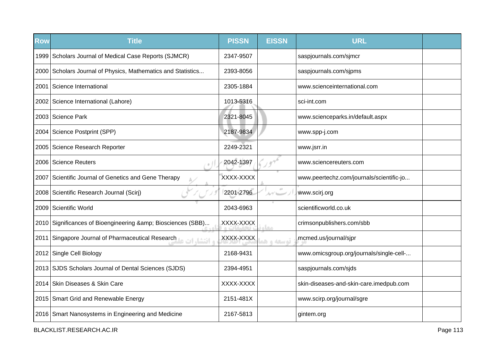| <b>Row</b> | <b>Title</b>                                                 | <b>PISSN</b> | <b>EISSN</b> | <b>URL</b>                               |  |
|------------|--------------------------------------------------------------|--------------|--------------|------------------------------------------|--|
|            | 1999 Scholars Journal of Medical Case Reports (SJMCR)        | 2347-9507    |              | saspjournals.com/sjmcr                   |  |
|            | 2000 Scholars Journal of Physics, Mathematics and Statistics | 2393-8056    |              | saspjournals.com/sjpms                   |  |
| 2001       | Science International                                        | 2305-1884    |              | www.scienceinternational.com             |  |
|            | 2002 Science International (Lahore)                          | 1013-5316    |              | sci-int.com                              |  |
|            | 2003 Science Park                                            | 2321-8045    |              | www.scienceparks.in/default.aspx         |  |
|            | 2004 Science Postprint (SPP)                                 | 2187-9834    |              | www.spp-j.com                            |  |
|            | 2005 Science Research Reporter                               | 2249-2321    |              | www.jsrr.in                              |  |
|            | 2006 Science Reuters                                         | 2042-1397    |              | www.sciencereuters.com                   |  |
| 2007       | Scientific Journal of Genetics and Gene Therapy              | XXXX-XXXX    |              | www.peertechz.com/journals/scientific-jo |  |
|            | 2008   Scientific Research Journal (Scirj)                   | 2201-2796    |              | www.scirj.org                            |  |
| 2009       | Scientific World                                             | 2043-6963    |              | scientificworld.co.uk                    |  |
|            | 2010 Significances of Bioengineering & Biosciences (SBB)     | XXXX-XXXX    | مخالم        | crimsonpublishers.com/sbb                |  |
| 2011       | Singapore Journal of Pharmaceutical Research                 | XXXX-XXXX    | توسعه و ه    | mcmed.us/journal/sjpr                    |  |
| 2012       | Single Cell Biology                                          | 2168-9431    |              | www.omicsgroup.org/journals/single-cell- |  |
|            | 2013 SJDS Scholars Journal of Dental Sciences (SJDS)         | 2394-4951    |              | saspjournals.com/sjds                    |  |
| 2014       | Skin Diseases & Skin Care                                    | XXXX-XXXX    |              | skin-diseases-and-skin-care.imedpub.com  |  |
|            | 2015 Smart Grid and Renewable Energy                         | 2151-481X    |              | www.scirp.org/journal/sgre               |  |
|            | 2016 Smart Nanosystems in Engineering and Medicine           | 2167-5813    |              | gintem.org                               |  |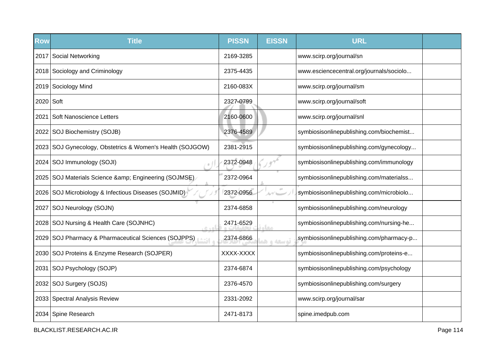| Row       | <b>Title</b>                                                   | <b>PISSN</b> | <b>EISSN</b>    | <b>URL</b>                               |  |
|-----------|----------------------------------------------------------------|--------------|-----------------|------------------------------------------|--|
|           | 2017 Social Networking                                         | 2169-3285    |                 | www.scirp.org/journal/sn                 |  |
|           | 2018 Sociology and Criminology                                 | 2375-4435    |                 | www.esciencecentral.org/journals/sociolo |  |
|           | 2019 Sociology Mind                                            | 2160-083X    |                 | www.scirp.org/journal/sm                 |  |
| 2020 Soft |                                                                | 2327-0799    |                 | www.scirp.org/journal/soft               |  |
| 2021      | Soft Nanoscience Letters                                       | 2160-0600    |                 | www.scirp.org/journal/snl                |  |
|           | 2022   SOJ Biochemistry (SOJB)                                 | 2376-4589    |                 | symbiosisonlinepublishing.com/biochemist |  |
|           | 2023 SOJ Gynecology, Obstetrics & Women's Health (SOJGOW)      | 2381-2915    |                 | symbiosisonlinepublishing.com/gynecology |  |
|           | 2024   SOJ Immunology (SOJI)                                   | 2372-0948    |                 | symbiosisonlinepublishing.com/immunology |  |
|           | 2025 SOJ Materials Science & Engineering (SOJMSE)              | 2372-0964    |                 | symbiosisonlinepublishing.com/materialss |  |
|           | 2026 SOJ Microbiology & Infectious Diseases (SOJMID)           | 2372-0956    | $\pm 0$<br>ルブレー | symbiosisonlinepublishing.com/microbiolo |  |
| 2027      | SOJ Neurology (SOJN)                                           | 2374-6858    |                 | symbiosisonlinepublishing.com/neurology  |  |
|           | 2028   SOJ Nursing & Health Care (SOJNHC)<br>$C + 0$           | 2471-6529    | معا             | symbiosisonlinepublishing.com/nursing-he |  |
|           | 2029 SOJ Pharmacy & Pharmaceutical Sciences (SOJPPS)<br>ه انتش | 2374-6866    | توسعه و ه       | symbiosisonlinepublishing.com/pharmacy-p |  |
|           | 2030 SOJ Proteins & Enzyme Research (SOJPER)                   | XXXX-XXXX    |                 | symbiosisonlinepublishing.com/proteins-e |  |
|           | 2031 SOJ Psychology (SOJP)                                     | 2374-6874    |                 | symbiosisonlinepublishing.com/psychology |  |
|           | 2032 SOJ Surgery (SOJS)                                        | 2376-4570    |                 | symbiosisonlinepublishing.com/surgery    |  |
|           | 2033 Spectral Analysis Review                                  | 2331-2092    |                 | www.scirp.org/journal/sar                |  |
|           | 2034 Spine Research                                            | 2471-8173    |                 | spine.imedpub.com                        |  |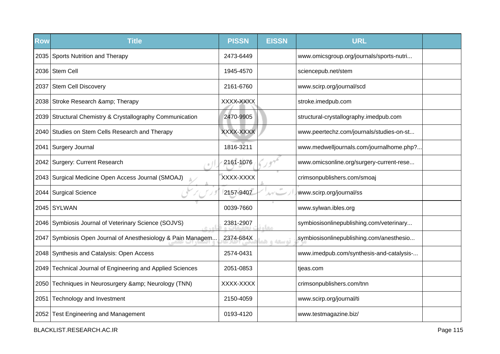| <b>Row</b> | <b>Title</b>                                                 | <b>PISSN</b> | <b>EISSN</b> | <b>URL</b>                               |  |
|------------|--------------------------------------------------------------|--------------|--------------|------------------------------------------|--|
|            | 2035 Sports Nutrition and Therapy                            | 2473-6449    |              | www.omicsgroup.org/journals/sports-nutri |  |
|            | 2036 Stem Cell                                               | 1945-4570    |              | sciencepub.net/stem                      |  |
|            | 2037 Stem Cell Discovery                                     | 2161-6760    |              | www.scirp.org/journal/scd                |  |
|            | 2038 Stroke Research & amp; Therapy                          | XXXX-XXXX    |              | stroke.imedpub.com                       |  |
|            | 2039 Structural Chemistry & Crystallography Communication    | 2470-9905    |              | structural-crystallography.imedpub.com   |  |
|            | 2040 Studies on Stem Cells Research and Therapy              | XXXX-XXXX    |              | www.peertechz.com/journals/studies-on-st |  |
|            | 2041 Surgery Journal                                         | 1816-3211    |              | www.medwelljournals.com/journalhome.php? |  |
|            | 2042 Surgery: Current Research                               | 2161-1076    |              | www.omicsonline.org/surgery-current-rese |  |
|            | 2043 Surgical Medicine Open Access Journal (SMOAJ)           | XXXX-XXXX    |              | crimsonpublishers.com/smoaj              |  |
|            | 2044 Surgical Science                                        | 2157-9407    | $\pm 0$      | www.scirp.org/journal/ss                 |  |
|            | 2045 SYLWAN                                                  | 0039-7660    |              | www.sylwan.ibles.org                     |  |
|            | 2046 Symbiosis Journal of Veterinary Science (SOJVS)         | 2381-2907    | معاد         | symbiosisonlinepublishing.com/veterinary |  |
|            | 2047 Symbiosis Open Journal of Anesthesiology & Pain Managem | 2374-684X    | توسعه و هد   | symbiosisonlinepublishing.com/anesthesio |  |
|            | 2048 Synthesis and Catalysis: Open Access                    | 2574-0431    |              | www.imedpub.com/synthesis-and-catalysis- |  |
|            | 2049 Technical Journal of Engineering and Applied Sciences   | 2051-0853    |              | tjeas.com                                |  |
|            | 2050 Techniques in Neurosurgery & Neurology (TNN)            | XXXX-XXXX    |              | crimsonpublishers.com/tnn                |  |
|            | 2051 Technology and Investment                               | 2150-4059    |              | www.scirp.org/journal/ti                 |  |
|            | 2052 Test Engineering and Management                         | 0193-4120    |              | www.testmagazine.biz/                    |  |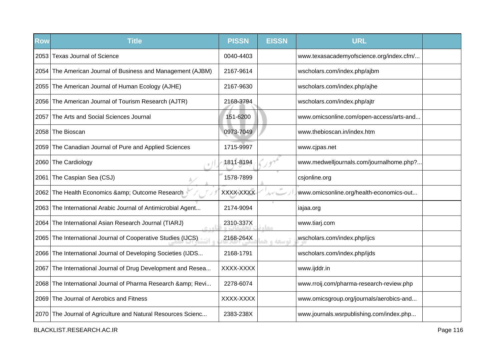| Row    | <b>Title</b>                                                   | <b>PISSN</b> | <b>EISSN</b> | <b>URL</b>                               |  |
|--------|----------------------------------------------------------------|--------------|--------------|------------------------------------------|--|
|        | 2053 Texas Journal of Science                                  | 0040-4403    |              | www.texasacademyofscience.org/index.cfm/ |  |
| 2054 I | The American Journal of Business and Management (AJBM)         | 2167-9614    |              | wscholars.com/index.php/ajbm             |  |
|        | 2055 The American Journal of Human Ecology (AJHE)              | 2167-9630    |              | wscholars.com/index.php/ajhe             |  |
|        | 2056 The American Journal of Tourism Research (AJTR)           | 2168-3794    |              | wscholars.com/index.php/ajtr             |  |
| 2057   | The Arts and Social Sciences Journal                           | 151-6200     |              | www.omicsonline.com/open-access/arts-and |  |
|        | 2058 The Bioscan                                               | 0973-7049    |              | www.thebioscan.in/index.htm              |  |
|        | 2059 The Canadian Journal of Pure and Applied Sciences         | 1715-9997    |              | www.cjpas.net                            |  |
|        | 2060 The Cardiology                                            | 1811-8194    |              | www.medwelljournals.com/journalhome.php? |  |
| 2061   | The Caspian Sea (CSJ)                                          | 1578-7899    |              | csjonline.org                            |  |
|        | 2062 The Health Economics & Outcome Research                   | XXXX-XXXX    | $\alpha$     | www.omicsonline.org/health-economics-out |  |
|        | 2063   The International Arabic Journal of Antimicrobial Agent | 2174-9094    |              | iajaa.org                                |  |
|        | 2064 The International Asian Research Journal (TIARJ)<br>اه ده | 2310-337X    | مغاه         | www.tiarj.com                            |  |
| 2065   | The International Journal of Cooperative Studies (IJCS)        | 2168-264X    | توسعه و هد   | wscholars.com/index.php/ijcs             |  |
|        | 2066 The International Journal of Developing Societies (IJDS   | 2168-1791    |              | wscholars.com/index.php/ijds             |  |
| 2067   | The International Journal of Drug Development and Resea        | XXXX-XXXX    |              | www.ijddr.in                             |  |
|        | 2068 The International Journal of Pharma Research & amp; Revi  | 2278-6074    |              | www.rroij.com/pharma-research-review.php |  |
|        | 2069 The Journal of Aerobics and Fitness                       | XXXX-XXXX    |              | www.omicsgroup.org/journals/aerobics-and |  |
|        | 2070 The Journal of Agriculture and Natural Resources Scienc   | 2383-238X    |              | www.journals.wsrpublishing.com/index.php |  |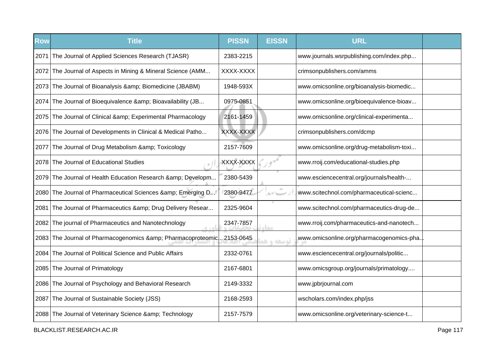| <b>Row</b> | <b>Title</b>                                                   | <b>PISSN</b> | <b>EISSN</b>     | <b>URL</b>                               |  |
|------------|----------------------------------------------------------------|--------------|------------------|------------------------------------------|--|
| 2071       | The Journal of Applied Sciences Research (TJASR)               | 2383-2215    |                  | www.journals.wsrpublishing.com/index.php |  |
|            | 2072 The Journal of Aspects in Mining & Mineral Science (AMM   | XXXX-XXXX    |                  | crimsonpublishers.com/amms               |  |
|            | 2073 The Journal of Bioanalysis & Biomedicine (JBABM)          | 1948-593X    |                  | www.omicsonline.org/bioanalysis-biomedic |  |
|            | 2074 The Journal of Bioequivalence & Bioavailability (JB       | 0975-0851    |                  | www.omicsonline.org/bioequivalence-bioav |  |
|            | 2075 The Journal of Clinical & Experimental Pharmacology       | 2161-1459    |                  | www.omicsonline.org/clinical-experimenta |  |
|            | 2076 The Journal of Developments in Clinical & Medical Patho   | XXXX-XXXX    |                  | crimsonpublishers.com/dcmp               |  |
| 2077       | The Journal of Drug Metabolism & amp; Toxicology               | 2157-7609    |                  | www.omicsonline.org/drug-metabolism-toxi |  |
|            | 2078 The Journal of Educational Studies                        | XXXX-XXXX    |                  | www.rroij.com/educational-studies.php    |  |
|            | 2079   The Journal of Health Education Research & Developm     | 2380-5439    |                  | www.esciencecentral.org/journals/health- |  |
|            | 2080 The Journal of Pharmaceutical Sciences & amp; Emerging D  | 2380-9477    | $\alpha$<br>ルゲーー | www.scitechnol.com/pharmaceutical-scienc |  |
| 2081       | The Journal of Pharmaceutics & Drug Delivery Resear            | 2325-9604    |                  | www.scitechnol.com/pharmaceutics-drug-de |  |
|            | 2082 The journal of Pharmaceutics and Nanotechnology<br>اهده   | 2347-7857    | مقاء             | www.rroij.com/pharmaceutics-and-nanotech |  |
|            | 2083 The Journal of Pharmacogenomics & amp; Pharmacoproteomic. | .2153-0645   | توسعه و هد       | www.omicsonline.org/pharmacogenomics-pha |  |
| 2084 I     | The Journal of Political Science and Public Affairs            | 2332-0761    |                  | www.esciencecentral.org/journals/politic |  |
|            | 2085 The Journal of Primatology                                | 2167-6801    |                  | www.omicsgroup.org/journals/primatology  |  |
|            | 2086 The Journal of Psychology and Behavioral Research         | 2149-3332    |                  | www.jpbrjournal.com                      |  |
| 2087       | The Journal of Sustainable Society (JSS)                       | 2168-2593    |                  | wscholars.com/index.php/jss              |  |
|            | 2088 The Journal of Veterinary Science & amp; Technology       | 2157-7579    |                  | www.omicsonline.org/veterinary-science-t |  |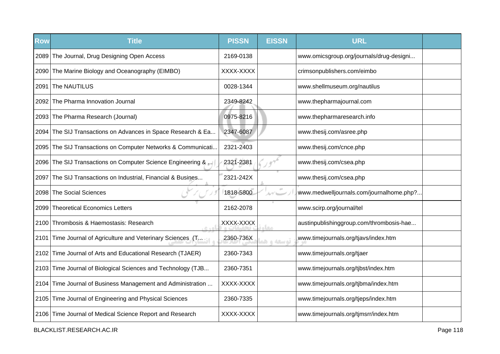| <b>Row</b> | <b>Title</b>                                                 | <b>PISSN</b> | <b>EISSN</b> | <b>URL</b>                               |  |
|------------|--------------------------------------------------------------|--------------|--------------|------------------------------------------|--|
|            | 2089 The Journal, Drug Designing Open Access                 | 2169-0138    |              | www.omicsgroup.org/journals/drug-designi |  |
|            | 2090 The Marine Biology and Oceanography (EIMBO)             | XXXX-XXXX    |              | crimsonpublishers.com/eimbo              |  |
| 2091       | The NAUTILUS                                                 | 0028-1344    |              | www.shellmuseum.org/nautilus             |  |
|            | 2092 The Pharma Innovation Journal                           | 2349-8242    |              | www.thepharmajournal.com                 |  |
|            | 2093 The Pharma Research (Journal)                           | 0975-8216    |              | www.thepharmaresearch.info               |  |
|            | 2094 The SIJ Transactions on Advances in Space Research & Ea | 2347-6087    |              | www.thesij.com/asree.php                 |  |
|            | 2095 The SIJ Transactions on Computer Networks & Communicati | 2321-2403    |              | www.thesij.com/cnce.php                  |  |
|            | 2096 The SIJ Transactions on Computer Science Engineering &  | 2321-2381    |              | www.thesij.com/csea.php                  |  |
| 2097       | The SIJ Transactions on Industrial, Financial & Busines      | 2321-242X    |              | www.thesij.com/csea.php                  |  |
|            | 2098 The Social Sciences                                     | 1818-5800    | $\pm 0$      | www.medwelljournals.com/journalhome.php? |  |
|            | 2099 Theoretical Economics Letters                           | 2162-2078    |              | www.scirp.org/journal/tel                |  |
|            | 2100 Thrombosis & Haemostasis: Research                      | XXXX-XXXX    | <b>STAR</b>  | austinpublishinggroup.com/thrombosis-hae |  |
| 2101       | Time Journal of Agriculture and Veterinary Sciences (T.A.    | 2360-736X    | توسعه و ه    | www.timejournals.org/tjavs/index.htm     |  |
|            | 2102 Time Journal of Arts and Educational Research (TJAER)   | 2360-7343    |              | www.timejournals.org/tjaer               |  |
|            | 2103 Time Journal of Biological Sciences and Technology (TJB | 2360-7351    |              | www.timejournals.org/tjbst/index.htm     |  |
|            | 2104 Time Journal of Business Management and Administration  | XXXX-XXXX    |              | www.timejournals.org/tjbma/index.htm     |  |
|            | 2105 Time Journal of Engineering and Physical Sciences       | 2360-7335    |              | www.timejournals.org/tjeps/index.htm     |  |
|            | 2106 Time Journal of Medical Science Report and Research     | XXXX-XXXX    |              | www.timejournals.org/tjmsrr/index.htm    |  |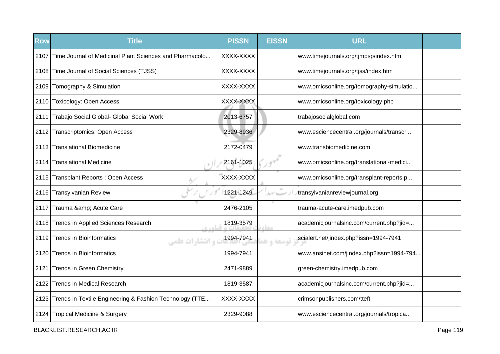| <b>Row</b> | <b>Title</b>                                                 | <b>PISSN</b> | <b>EISSN</b>  | <b>URL</b>                               |  |
|------------|--------------------------------------------------------------|--------------|---------------|------------------------------------------|--|
| 2107       | Time Journal of Medicinal Plant Sciences and Pharmacolo      | XXXX-XXXX    |               | www.timejournals.org/tjmpsp/index.htm    |  |
|            | 2108 Time Journal of Social Sciences (TJSS)                  | XXXX-XXXX    |               | www.timejournals.org/tjss/index.htm      |  |
|            | 2109 Tomography & Simulation                                 | XXXX-XXXX    |               | www.omicsonline.org/tomography-simulatio |  |
|            | 2110 Toxicology: Open Access                                 | XXXX-XXXX    |               | www.omicsonline.org/toxicology.php       |  |
|            | 2111 Trabajo Social Global- Global Social Work               | 2013-6757    |               | trabajosocialglobal.com                  |  |
|            | 2112 Transcriptomics: Open Access                            | 2329-8936    |               | www.esciencecentral.org/journals/transcr |  |
|            | 2113 Translational Biomedicine                               | 2172-0479    |               | www.transbiomedicine.com                 |  |
|            | 2114 Translational Medicine                                  | 2161-1025    |               | www.omicsonline.org/translational-medici |  |
|            | 2115 Transplant Reports: Open Access                         | XXXX-XXXX    |               | www.omicsonline.org/transplant-reports.p |  |
|            | 2116 Transylvanian Review                                    | 1221-1249    | $\mathcal{N}$ | transylvanianreviewjournal.org           |  |
|            | 2117 Trauma & Acute Care                                     | 2476-2105    |               | trauma-acute-care.imedpub.com            |  |
|            | 2118 Trends in Applied Sciences Research<br>e sel            | 1819-3579    | مغاد          | academicjournalsinc.com/current.php?jid= |  |
|            | 2119 Trends in Bioinformatics<br><b>، انتشا, ات علمی</b>     | 1994-7941    | توسعه و هذ    | scialert.net/jindex.php?issn=1994-7941   |  |
|            | 2120 Trends in Bioinformatics                                | 1994-7941    |               | www.ansinet.com/jindex.php?issn=1994-794 |  |
| 2121       | <b>Trends in Green Chemistry</b>                             | 2471-9889    |               | green-chemistry.imedpub.com              |  |
|            | 2122 Trends in Medical Research                              | 1819-3587    |               | academicjournalsinc.com/current.php?jid= |  |
|            | 2123 Trends in Textile Engineering & Fashion Technology (TTE | XXXX-XXXX    |               | crimsonpublishers.com/tteft              |  |
|            | 2124 Tropical Medicine & Surgery                             | 2329-9088    |               | www.esciencecentral.org/journals/tropica |  |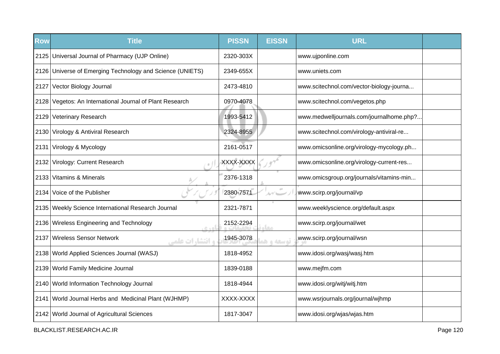| <b>Row</b> | <b>Title</b>                                              | <b>PISSN</b> | <b>EISSN</b> | <b>URL</b>                               |  |
|------------|-----------------------------------------------------------|--------------|--------------|------------------------------------------|--|
|            | 2125   Universal Journal of Pharmacy (UJP Online)         | 2320-303X    |              | www.ujponline.com                        |  |
|            | 2126 Universe of Emerging Technology and Science (UNIETS) | 2349-655X    |              | www.uniets.com                           |  |
|            | 2127 Vector Biology Journal                               | 2473-4810    |              | www.scitechnol.com/vector-biology-journa |  |
|            | 2128 Vegetos: An International Journal of Plant Research  | 0970-4078    |              | www.scitechnol.com/vegetos.php           |  |
|            | 2129 Veterinary Research                                  | 1993-5412    |              | www.medwelljournals.com/journalhome.php? |  |
|            | 2130 Virology & Antiviral Research                        | 2324-8955    |              | www.scitechnol.com/virology-antiviral-re |  |
|            | 2131 Virology & Mycology                                  | 2161-0517    |              | www.omicsonline.org/virology-mycology.ph |  |
|            | 2132 Virology: Current Research                           | XXXX-XXXX    |              | www.omicsonline.org/virology-current-res |  |
|            | 2133 Vitamins & Minerals                                  | 2376-1318    |              | www.omicsgroup.org/journals/vitamins-min |  |
|            | 2134 Voice of the Publisher                               | 2380-7571    | $\alpha$     | www.scirp.org/journal/vp                 |  |
|            | 2135 Weekly Science International Research Journal        | 2321-7871    |              | www.weeklyscience.org/default.aspx       |  |
|            | 2136 Wireless Engineering and Technology<br>6.401         | 2152-2294    | مقاء         | www.scirp.org/journal/wet                |  |
|            | 2137 Wireless Sensor Network<br><b>و انتشا, ات علمی</b>   | 1945-3078    | توسعه و هو   | www.scirp.org/journal/wsn                |  |
|            | 2138   World Applied Sciences Journal (WASJ)              | 1818-4952    |              | www.idosi.org/wasj/wasj.htm              |  |
|            | 2139 World Family Medicine Journal                        | 1839-0188    |              | www.mejfm.com                            |  |
|            | 2140 World Information Technology Journal                 | 1818-4944    |              | www.idosi.org/witj/witj.htm              |  |
|            | 2141 World Journal Herbs and Medicinal Plant (WJHMP)      | XXXX-XXXX    |              | www.wsrjournals.org/journal/wjhmp        |  |
|            | 2142 World Journal of Agricultural Sciences               | 1817-3047    |              | www.idosi.org/wjas/wjas.htm              |  |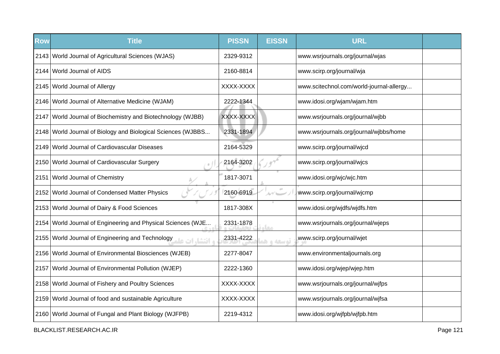| <b>Row</b> | <b>Title</b>                                                 | <b>PISSN</b> | <b>EISSN</b> | <b>URL</b>                               |  |
|------------|--------------------------------------------------------------|--------------|--------------|------------------------------------------|--|
|            | 2143 World Journal of Agricultural Sciences (WJAS)           | 2329-9312    |              | www.wsrjournals.org/journal/wjas         |  |
|            | 2144 World Journal of AIDS                                   | 2160-8814    |              | www.scirp.org/journal/wja                |  |
|            | 2145 World Journal of Allergy                                | XXXX-XXXX    |              | www.scitechnol.com/world-journal-allergy |  |
|            | 2146 World Journal of Alternative Medicine (WJAM)            | 2222-1344    |              | www.idosi.org/wjam/wjam.htm              |  |
|            | 2147 World Journal of Biochemistry and Biotechnology (WJBB)  | XXXX-XXXX    |              | www.wsrjournals.org/journal/wjbb         |  |
|            | 2148 World Journal of Biology and Biological Sciences (WJBBS | 2331-1894    |              | www.wsrjournals.org/journal/wjbbs/home   |  |
|            | 2149 World Journal of Cardiovascular Diseases                | 2164-5329    |              | www.scirp.org/journal/wjcd               |  |
|            | 2150 World Journal of Cardiovascular Surgery                 | 2164-3202    |              | www.scirp.org/journal/wjcs               |  |
| 2151       | <b>World Journal of Chemistry</b>                            | 1817-3071    |              | www.idosi.org/wjc/wjc.htm                |  |
|            | 2152 World Journal of Condensed Matter Physics               | 2160-6919    |              | www.scirp.org/journal/wjcmp              |  |
|            | 2153 World Journal of Dairy & Food Sciences                  | 1817-308X    |              | www.idosi.org/wjdfs/wjdfs.htm            |  |
|            | 2154 World Journal of Engineering and Physical Sciences (WJE | 2331-1878    | معا          | www.wsrjournals.org/journal/wjeps        |  |
|            | و افتشار ات علم World Journal of Engineering and Technology  | 2331-4222    | توسعه و ه    | www.scirp.org/journal/wjet               |  |
|            | 2156 World Journal of Environmental Biosciences (WJEB)       | 2277-8047    |              | www.environmentaljournals.org            |  |
|            | 2157 World Journal of Environmental Pollution (WJEP)         | 2222-1360    |              | www.idosi.org/wjep/wjep.htm              |  |
|            | 2158 World Journal of Fishery and Poultry Sciences           | XXXX-XXXX    |              | www.wsrjournals.org/journal/wjfps        |  |
|            | 2159 World Journal of food and sustainable Agriculture       | XXXX-XXXX    |              | www.wsrjournals.org/journal/wjfsa        |  |
|            | 2160   World Journal of Fungal and Plant Biology (WJFPB)     | 2219-4312    |              | www.idosi.org/wjfpb/wjfpb.htm            |  |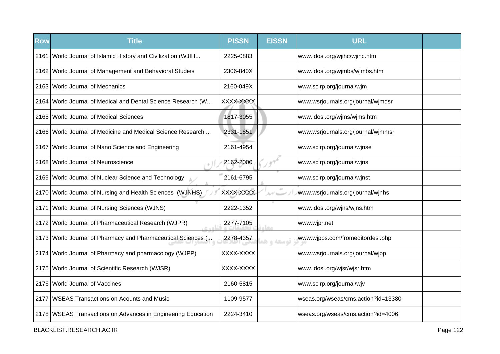| <b>Row</b> | <b>Title</b>                                                   | <b>PISSN</b> | <b>EISSN</b> | <b>URL</b>                          |  |
|------------|----------------------------------------------------------------|--------------|--------------|-------------------------------------|--|
|            | 2161 World Journal of Islamic History and Civilization (WJIH   | 2225-0883    |              | www.idosi.org/wjihc/wjihc.htm       |  |
|            | 2162 World Journal of Management and Behavioral Studies        | 2306-840X    |              | www.idosi.org/wjmbs/wjmbs.htm       |  |
|            | 2163 World Journal of Mechanics                                | 2160-049X    |              | www.scirp.org/journal/wjm           |  |
|            | 2164 World Journal of Medical and Dental Science Research (W   | XXXX-XXXX    |              | www.wsrjournals.org/journal/wjmdsr  |  |
|            | 2165 World Journal of Medical Sciences                         | 1817-3055    |              | www.idosi.org/wjms/wjms.htm         |  |
|            | 2166   World Journal of Medicine and Medical Science Research  | 2331-1851    |              | www.wsrjournals.org/journal/wjmmsr  |  |
|            | 2167 World Journal of Nano Science and Engineering             | 2161-4954    |              | www.scirp.org/journal/wjnse         |  |
|            | 2168 World Journal of Neuroscience                             | 2162-2000    |              | www.scirp.org/journal/wjns          |  |
|            | 2169 World Journal of Nuclear Science and Technology           | 2161-6795    |              | www.scirp.org/journal/wjnst         |  |
|            | 2170 World Journal of Nursing and Health Sciences (WJNHS)      | XXXX-XXXX    | $\alpha$     | www.wsrjournals.org/journal/wjnhs   |  |
| 2171       | <b>World Journal of Nursing Sciences (WJNS)</b>                | 2222-1352    |              | www.idosi.org/wjns/wjns.htm         |  |
|            | 2172 World Journal of Pharmaceutical Research (WJPR)           | 2277-7105    | معام         | www.wjpr.net                        |  |
|            | 2173   World Journal of Pharmacy and Pharmaceutical Sciences ( | 2278-4357    | توسعه و ه    | www.wjpps.com/fromeditordesl.php    |  |
|            | 2174 World Journal of Pharmacy and pharmacology (WJPP)         | XXXX-XXXX    |              | www.wsrjournals.org/journal/wjpp    |  |
|            | 2175 World Journal of Scientific Research (WJSR)               | XXXX-XXXX    |              | www.idosi.org/wjsr/wjsr.htm         |  |
|            | 2176 World Journal of Vaccines                                 | 2160-5815    |              | www.scirp.org/journal/wjv           |  |
|            | 2177 WSEAS Transactions on Acounts and Music                   | 1109-9577    |              | wseas.org/wseas/cms.action?id=13380 |  |
|            | 2178   WSEAS Transactions on Advances in Engineering Education | 2224-3410    |              | wseas.org/wseas/cms.action?id=4006  |  |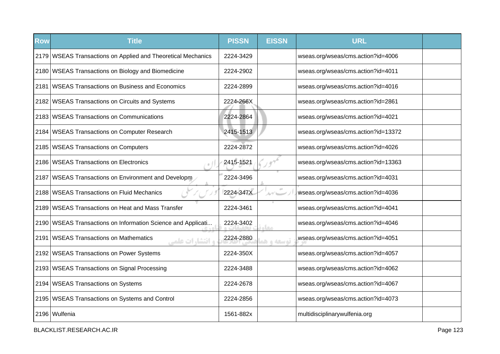| <b>Row</b> | <b>Title</b>                                                       | <b>PISSN</b> | <b>EISSN</b> | <b>URL</b>                          |  |
|------------|--------------------------------------------------------------------|--------------|--------------|-------------------------------------|--|
|            | 2179 WSEAS Transactions on Applied and Theoretical Mechanics       | 2224-3429    |              | wseas.org/wseas/cms.action?id=4006  |  |
|            | 2180 WSEAS Transactions on Biology and Biomedicine                 | 2224-2902    |              | wseas.org/wseas/cms.action?id=4011  |  |
|            | 2181   WSEAS Transactions on Business and Economics                | 2224-2899    |              | wseas.org/wseas/cms.action?id=4016  |  |
|            | 2182 WSEAS Transactions on Circuits and Systems                    | 2224-266X    |              | wseas.org/wseas/cms.action?id=2861  |  |
|            | 2183 WSEAS Transactions on Communications                          | 2224-2864    |              | wseas.org/wseas/cms.action?id=4021  |  |
|            | 2184 WSEAS Transactions on Computer Research                       | 2415-1513    |              | wseas.org/wseas/cms.action?id=13372 |  |
|            | 2185   WSEAS Transactions on Computers                             | 2224-2872    |              | wseas.org/wseas/cms.action?id=4026  |  |
|            | 2186   WSEAS Transactions on Electronics                           | 2415-1521    |              | wseas.org/wseas/cms.action?id=13363 |  |
|            | 2187 WSEAS Transactions on Environment and Developm                | 2224-3496    |              | wseas.org/wseas/cms.action?id=4031  |  |
|            | 2188   WSEAS Transactions on Fluid Mechanics                       | 2224-347X    | $\pm 0$      | wseas.org/wseas/cms.action?id=4036  |  |
|            | 2189 WSEAS Transactions on Heat and Mass Transfer                  | 2224-3461    |              | wseas.org/wseas/cms.action?id=4041  |  |
|            | 2190 WSEAS Transactions on Information Science and Applicati       | 2224-3402    | معا          | wseas.org/wseas/cms.action?id=4046  |  |
|            | 2191   WSEAS Transactions on Mathematics<br><b>و انتشارات علمی</b> | 2224-2880    | توسعه و ه    | wseas.org/wseas/cms.action?id=4051  |  |
|            | 2192   WSEAS Transactions on Power Systems                         | 2224-350X    |              | wseas.org/wseas/cms.action?id=4057  |  |
|            | 2193   WSEAS Transactions on Signal Processing                     | 2224-3488    |              | wseas.org/wseas/cms.action?id=4062  |  |
|            | 2194   WSEAS Transactions on Systems                               | 2224-2678    |              | wseas.org/wseas/cms.action?id=4067  |  |
|            | 2195   WSEAS Transactions on Systems and Control                   | 2224-2856    |              | wseas.org/wseas/cms.action?id=4073  |  |
|            | 2196 Wulfenia                                                      | 1561-882x    |              | multidisciplinarywulfenia.org       |  |